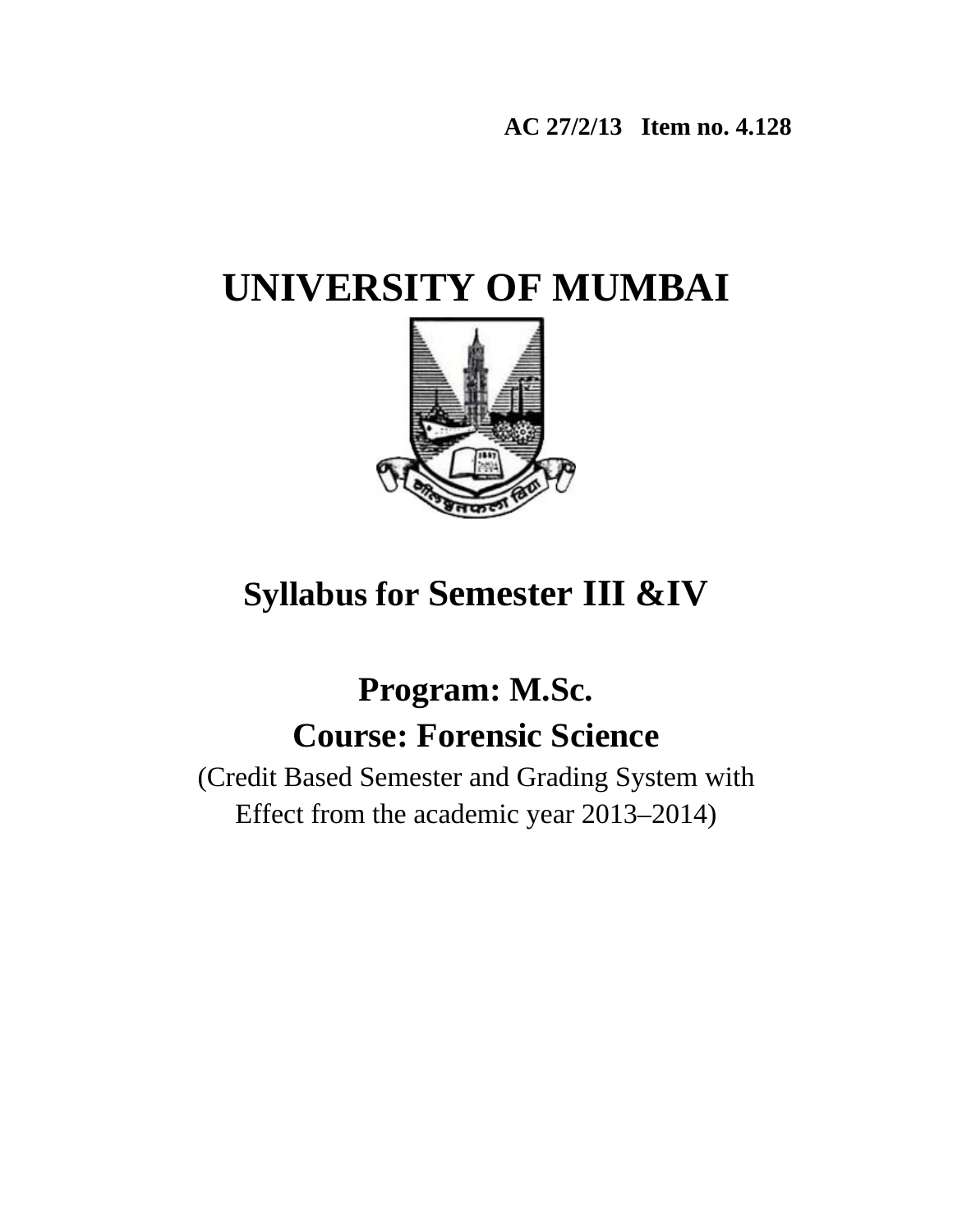# **UNIVERSITY OF MUMBAI**



# **Syllabus for Semester III &IV**

## **Program: M.Sc. Course: Forensic Science**

(Credit Based Semester and Grading System with Effect from the academic year 2013–2014)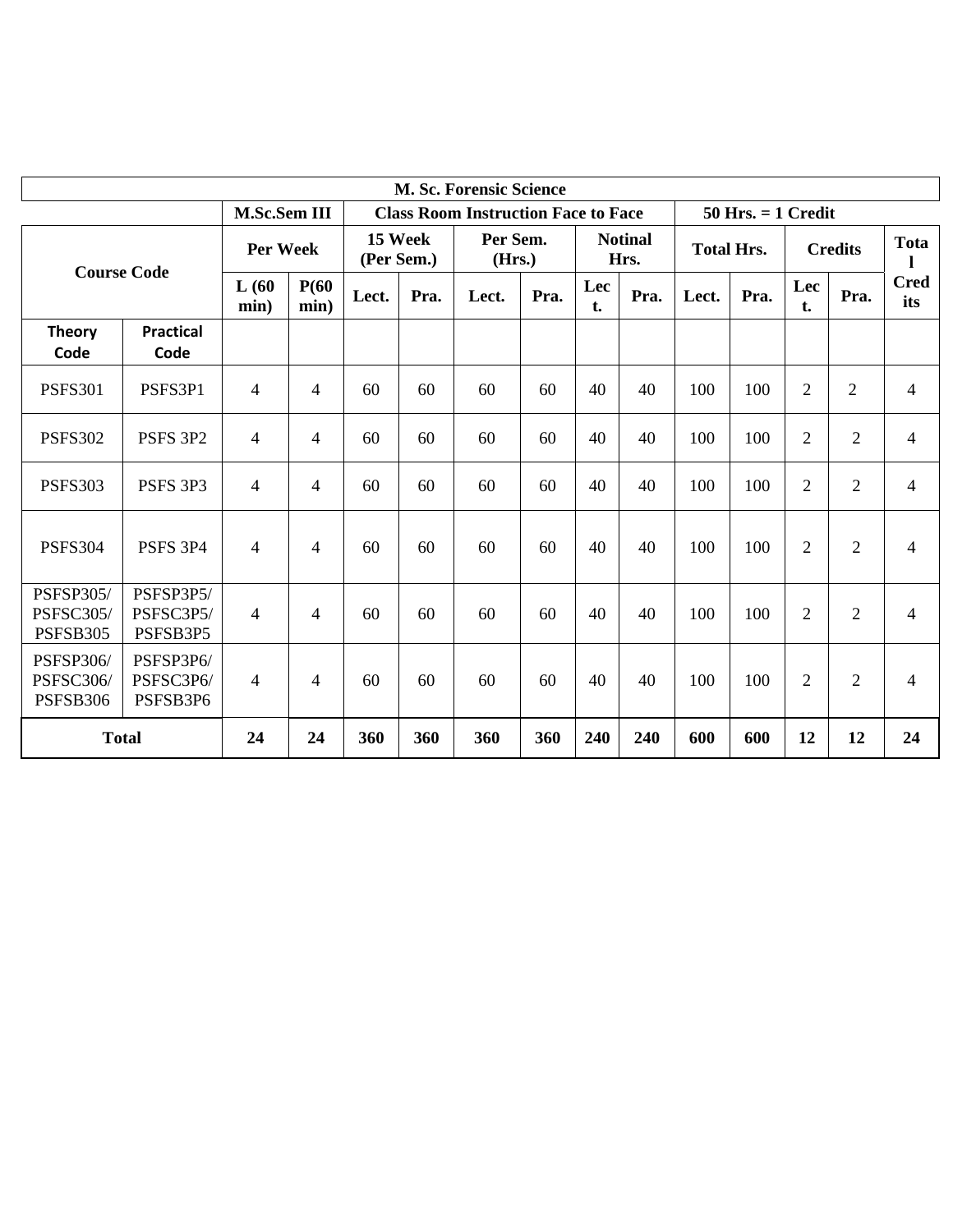|                                                         | <b>M. Sc. Forensic Science</b>     |                |               |                                             |                                            |                        |      |                   |     |                |                        |                |                |                    |
|---------------------------------------------------------|------------------------------------|----------------|---------------|---------------------------------------------|--------------------------------------------|------------------------|------|-------------------|-----|----------------|------------------------|----------------|----------------|--------------------|
| M.Sc.Sem III                                            |                                    |                |               |                                             | <b>Class Room Instruction Face to Face</b> |                        |      |                   |     |                | $50$ Hrs. $= 1$ Credit |                |                |                    |
| <b>Course Code</b>                                      |                                    | Per Week       |               | Per Sem.<br>15 Week<br>(Per Sem.)<br>(Hrs.) |                                            | <b>Notinal</b><br>Hrs. |      | <b>Total Hrs.</b> |     | <b>Credits</b> |                        | Tota           |                |                    |
|                                                         |                                    | L(60)<br>min)  | P(60)<br>min) | Lect.                                       | Pra.                                       | Lect.                  | Pra. | Lec<br>Pra.<br>t. |     | Lect.          | Pra.                   | Lec<br>t.      | Pra.           | <b>Cred</b><br>its |
| <b>Theory</b><br>Code                                   | <b>Practical</b><br>Code           |                |               |                                             |                                            |                        |      |                   |     |                |                        |                |                |                    |
| <b>PSFS301</b>                                          | PSFS3P1                            | $\overline{4}$ | 4             | 60                                          | 60                                         | 60                     | 60   | 40                | 40  | 100            | 100                    | $\overline{2}$ | $\overline{2}$ | $\overline{4}$     |
| <b>PSFS302</b>                                          | PSFS 3P2                           | $\overline{4}$ | 4             | 60                                          | 60                                         | 60                     | 60   | 40                | 40  | 100            | 100                    | $\overline{2}$ | $\overline{2}$ | $\overline{4}$     |
| <b>PSFS303</b>                                          | PSFS 3P3                           | $\overline{4}$ | 4             | 60                                          | 60                                         | 60                     | 60   | 40                | 40  | 100            | 100                    | $\overline{2}$ | $\overline{2}$ | $\overline{4}$     |
| <b>PSFS304</b>                                          | PSFS 3P4                           | $\overline{4}$ | 4             | 60                                          | 60                                         | 60                     | 60   | 40                | 40  | 100            | 100                    | $\overline{2}$ | $\overline{2}$ | $\overline{4}$     |
| <b>PSFSP305/</b><br><b>PSFSC305/</b><br><b>PSFSB305</b> | PSFSP3P5/<br>PSFSC3P5/<br>PSFSB3P5 | $\overline{4}$ | 4             | 60                                          | 60                                         | 60                     | 60   | 40                | 40  | 100            | 100                    | $\overline{2}$ | $\overline{2}$ | $\overline{4}$     |
| <b>PSFSP306/</b><br>PSFSC306/<br>PSFSB306               | PSFSP3P6/<br>PSFSC3P6/<br>PSFSB3P6 | $\overline{4}$ | 4             | 60                                          | 60                                         | 60                     | 60   | 40                | 40  | 100            | 100                    | $\overline{2}$ | $\overline{2}$ | $\overline{4}$     |
| <b>Total</b>                                            |                                    | 24             | 24            | 360                                         | 360                                        | 360                    | 360  | 240               | 240 | 600            | 600                    | 12             | 12             | 24                 |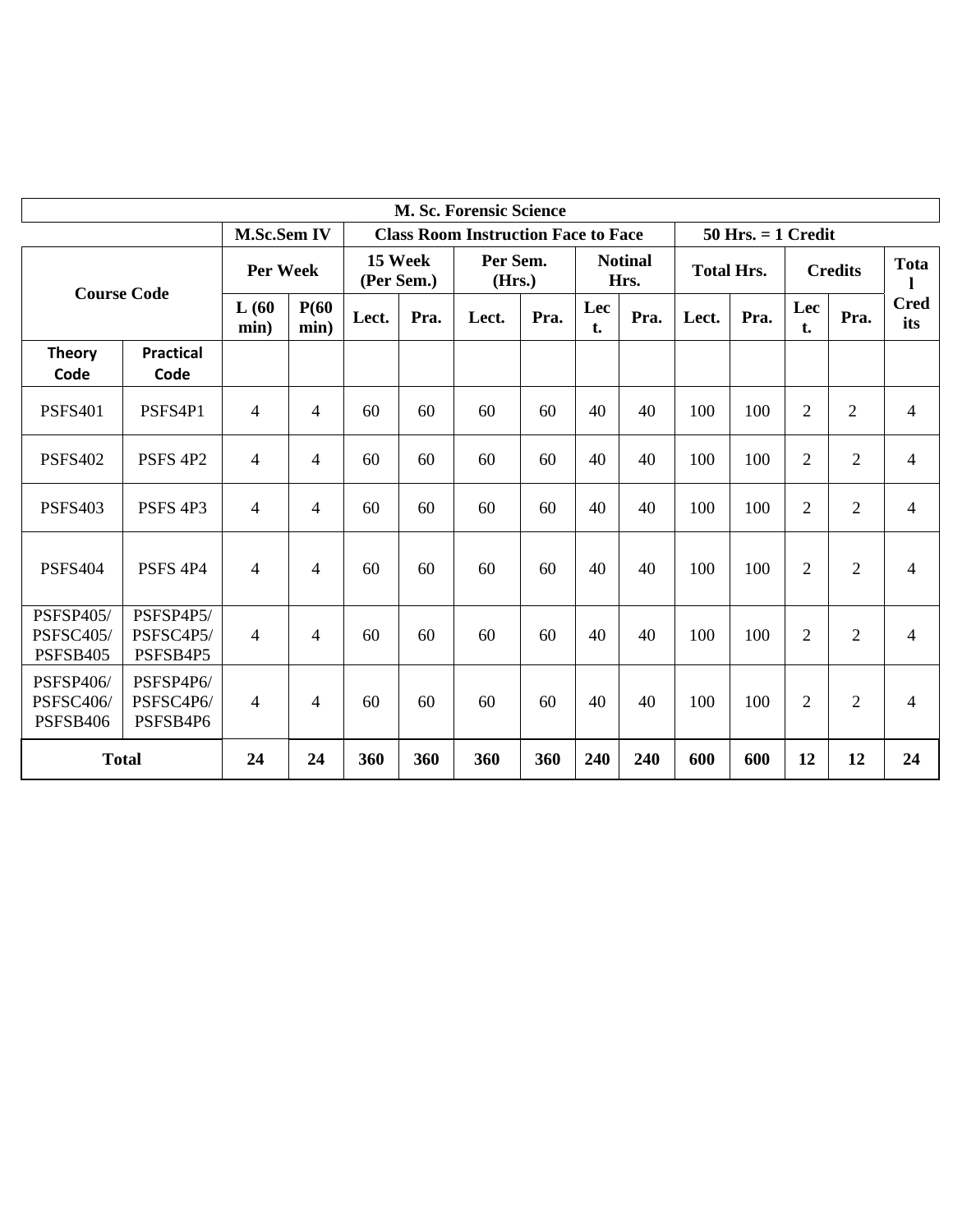|                                                         | <b>M. Sc. Forensic Science</b>     |                 |               |                       |      |                    |                                            |                        |     |                   |      |                        |                |                    |  |
|---------------------------------------------------------|------------------------------------|-----------------|---------------|-----------------------|------|--------------------|--------------------------------------------|------------------------|-----|-------------------|------|------------------------|----------------|--------------------|--|
| M.Sc.Sem IV                                             |                                    |                 |               |                       |      |                    | <b>Class Room Instruction Face to Face</b> |                        |     |                   |      | $50$ Hrs. $= 1$ Credit |                |                    |  |
| <b>Course Code</b>                                      |                                    | <b>Per Week</b> |               | 15 Week<br>(Per Sem.) |      | Per Sem.<br>(Hrs.) |                                            | <b>Notinal</b><br>Hrs. |     | <b>Total Hrs.</b> |      | <b>Credits</b>         |                | <b>Tota</b>        |  |
|                                                         |                                    | L(60)<br>min)   | P(60)<br>min) | Lect.                 | Pra. | Lect.              | Pra.                                       | Lec<br>Pra.<br>t.      |     | Lect.             | Pra. | Lec<br>t.              | Pra.           | <b>Cred</b><br>its |  |
| <b>Theory</b><br>Code                                   | <b>Practical</b><br>Code           |                 |               |                       |      |                    |                                            |                        |     |                   |      |                        |                |                    |  |
| <b>PSFS401</b>                                          | PSFS4P1                            | $\overline{4}$  | 4             | 60                    | 60   | 60                 | 60                                         | 40                     | 40  | 100               | 100  | $\overline{2}$         | $\overline{2}$ | $\overline{4}$     |  |
| <b>PSFS402</b>                                          | PSFS <sub>4P2</sub>                | $\overline{4}$  | 4             | 60                    | 60   | 60                 | 60                                         | 40                     | 40  | 100               | 100  | $\overline{2}$         | $\overline{2}$ | $\overline{4}$     |  |
| <b>PSFS403</b>                                          | PSFS <sub>4P3</sub>                | $\overline{4}$  | 4             | 60                    | 60   | 60                 | 60                                         | 40                     | 40  | 100               | 100  | $\overline{2}$         | $\overline{2}$ | $\overline{4}$     |  |
| <b>PSFS404</b>                                          | PSFS <sub>4P4</sub>                | $\overline{4}$  | 4             | 60                    | 60   | 60                 | 60                                         | 40                     | 40  | 100               | 100  | $\overline{2}$         | $\overline{2}$ | $\overline{4}$     |  |
| <b>PSFSP405/</b><br><b>PSFSC405/</b><br><b>PSFSB405</b> | PSFSP4P5/<br>PSFSC4P5/<br>PSFSB4P5 | $\overline{4}$  | 4             | 60                    | 60   | 60                 | 60                                         | 40                     | 40  | 100               | 100  | $\overline{2}$         | $\overline{2}$ | $\overline{4}$     |  |
| <b>PSFSP406/</b><br>PSFSC406/<br>PSFSB406               | PSFSP4P6/<br>PSFSC4P6/<br>PSFSB4P6 | $\overline{4}$  | 4             | 60                    | 60   | 60                 | 60                                         | 40                     | 40  | 100               | 100  | $\overline{2}$         | $\overline{2}$ | $\overline{4}$     |  |
| <b>Total</b>                                            |                                    | 24              | 24            | 360                   | 360  | 360                | 360                                        | 240                    | 240 | 600               | 600  | 12                     | 12             | 24                 |  |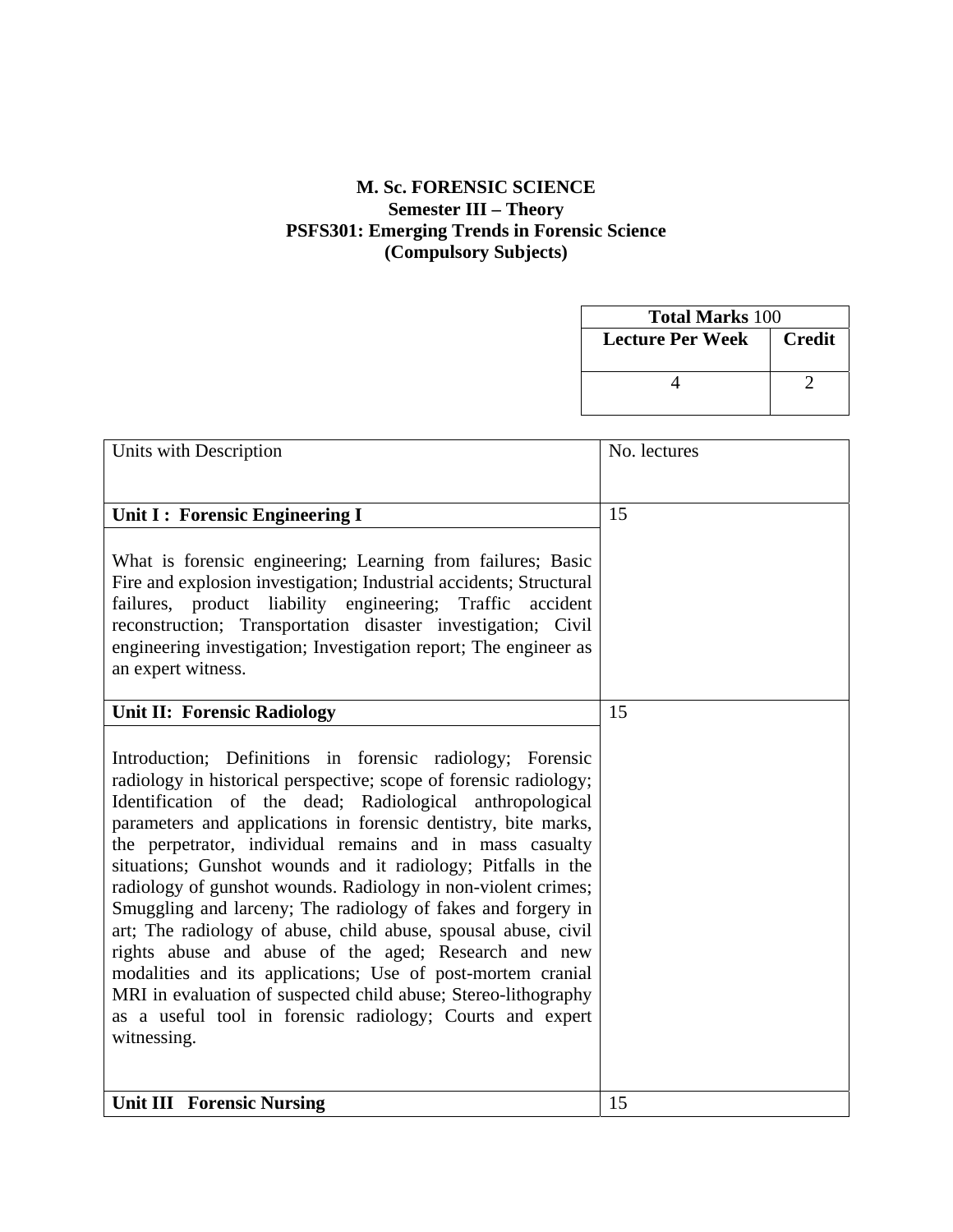#### **M. Sc. FORENSIC SCIENCE Semester III – Theory PSFS301: Emerging Trends in Forensic Science (Compulsory Subjects)**

| <b>Total Marks</b> 100  |               |  |  |  |  |
|-------------------------|---------------|--|--|--|--|
| <b>Lecture Per Week</b> | <b>Credit</b> |  |  |  |  |
|                         |               |  |  |  |  |

| Units with Description                                                                                                                                                                                                                                                                                                                                                                                                                                                                                                                                                                                                                                                                                                                                                                                                                                           | No. lectures |
|------------------------------------------------------------------------------------------------------------------------------------------------------------------------------------------------------------------------------------------------------------------------------------------------------------------------------------------------------------------------------------------------------------------------------------------------------------------------------------------------------------------------------------------------------------------------------------------------------------------------------------------------------------------------------------------------------------------------------------------------------------------------------------------------------------------------------------------------------------------|--------------|
| Unit I: Forensic Engineering I                                                                                                                                                                                                                                                                                                                                                                                                                                                                                                                                                                                                                                                                                                                                                                                                                                   | 15           |
| What is forensic engineering; Learning from failures; Basic<br>Fire and explosion investigation; Industrial accidents; Structural<br>failures, product liability engineering; Traffic<br>accident<br>reconstruction; Transportation disaster investigation; Civil<br>engineering investigation; Investigation report; The engineer as<br>an expert witness.                                                                                                                                                                                                                                                                                                                                                                                                                                                                                                      |              |
| <b>Unit II: Forensic Radiology</b>                                                                                                                                                                                                                                                                                                                                                                                                                                                                                                                                                                                                                                                                                                                                                                                                                               | 15           |
| Introduction; Definitions in forensic radiology; Forensic<br>radiology in historical perspective; scope of forensic radiology;<br>Identification of the dead; Radiological anthropological<br>parameters and applications in forensic dentistry, bite marks,<br>the perpetrator, individual remains and in mass casualty<br>situations; Gunshot wounds and it radiology; Pitfalls in the<br>radiology of gunshot wounds. Radiology in non-violent crimes;<br>Smuggling and larceny; The radiology of fakes and forgery in<br>art; The radiology of abuse, child abuse, spousal abuse, civil<br>rights abuse and abuse of the aged; Research and new<br>modalities and its applications; Use of post-mortem cranial<br>MRI in evaluation of suspected child abuse; Stereo-lithography<br>as a useful tool in forensic radiology; Courts and expert<br>witnessing. |              |
| <b>Unit III Forensic Nursing</b>                                                                                                                                                                                                                                                                                                                                                                                                                                                                                                                                                                                                                                                                                                                                                                                                                                 | 15           |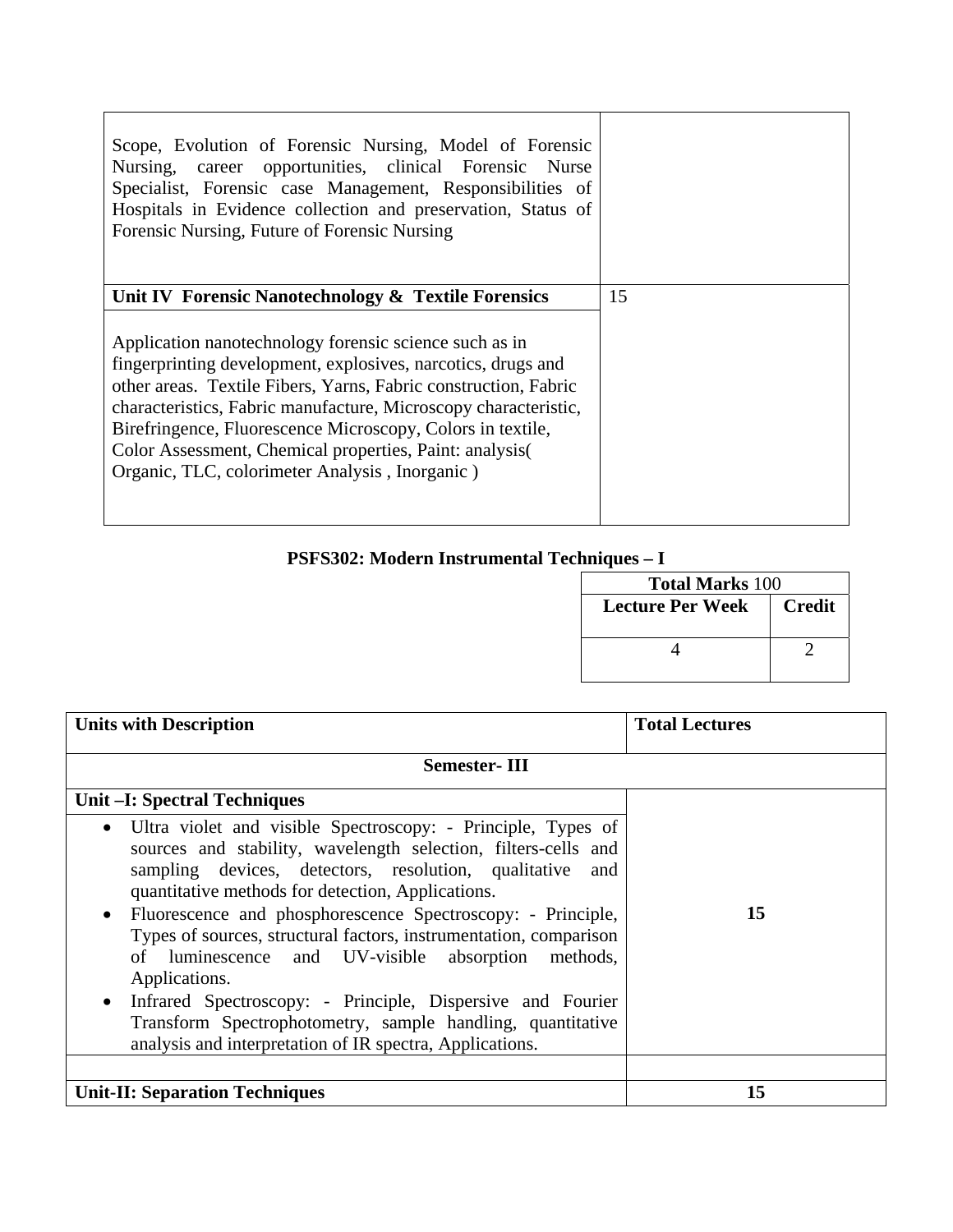| Scope, Evolution of Forensic Nursing, Model of Forensic<br>Nursing, career opportunities, clinical Forensic Nurse<br>Specialist, Forensic case Management, Responsibilities of<br>Hospitals in Evidence collection and preservation, Status of<br>Forensic Nursing, Future of Forensic Nursing                                                                                                                                                                                                  |    |
|-------------------------------------------------------------------------------------------------------------------------------------------------------------------------------------------------------------------------------------------------------------------------------------------------------------------------------------------------------------------------------------------------------------------------------------------------------------------------------------------------|----|
| Unit IV Forensic Nanotechnology & Textile Forensics<br>Application nanotechnology forensic science such as in<br>fingerprinting development, explosives, narcotics, drugs and<br>other areas. Textile Fibers, Yarns, Fabric construction, Fabric<br>characteristics, Fabric manufacture, Microscopy characteristic,<br>Birefringence, Fluorescence Microscopy, Colors in textile,<br>Color Assessment, Chemical properties, Paint: analysis (<br>Organic, TLC, colorimeter Analysis, Inorganic) | 15 |

### **PSFS302: Modern Instrumental Techniques – I**

| <b>Total Marks 100</b> |               |  |  |  |  |  |
|------------------------|---------------|--|--|--|--|--|
| Lecture Per Week       | <b>Credit</b> |  |  |  |  |  |
|                        |               |  |  |  |  |  |
|                        |               |  |  |  |  |  |
|                        |               |  |  |  |  |  |

| <b>Units with Description</b>                                                                                                                                                                                                                                                                                                                                                                                                                                                                                                                                                                   | <b>Total Lectures</b> |
|-------------------------------------------------------------------------------------------------------------------------------------------------------------------------------------------------------------------------------------------------------------------------------------------------------------------------------------------------------------------------------------------------------------------------------------------------------------------------------------------------------------------------------------------------------------------------------------------------|-----------------------|
| <b>Semester-III</b>                                                                                                                                                                                                                                                                                                                                                                                                                                                                                                                                                                             |                       |
| Unit -I: Spectral Techniques<br>• Ultra violet and visible Spectroscopy: - Principle, Types of                                                                                                                                                                                                                                                                                                                                                                                                                                                                                                  |                       |
| sources and stability, wavelength selection, filters-cells and<br>sampling devices, detectors, resolution, qualitative and<br>quantitative methods for detection, Applications.<br>Fluorescence and phosphorescence Spectroscopy: - Principle,<br>$\bullet$<br>Types of sources, structural factors, instrumentation, comparison<br>of luminescence and UV-visible absorption methods,<br>Applications.<br>Infrared Spectroscopy: - Principle, Dispersive and Fourier<br>Transform Spectrophotometry, sample handling, quantitative<br>analysis and interpretation of IR spectra, Applications. | 15                    |
|                                                                                                                                                                                                                                                                                                                                                                                                                                                                                                                                                                                                 |                       |
| <b>Unit-II: Separation Techniques</b>                                                                                                                                                                                                                                                                                                                                                                                                                                                                                                                                                           | 15                    |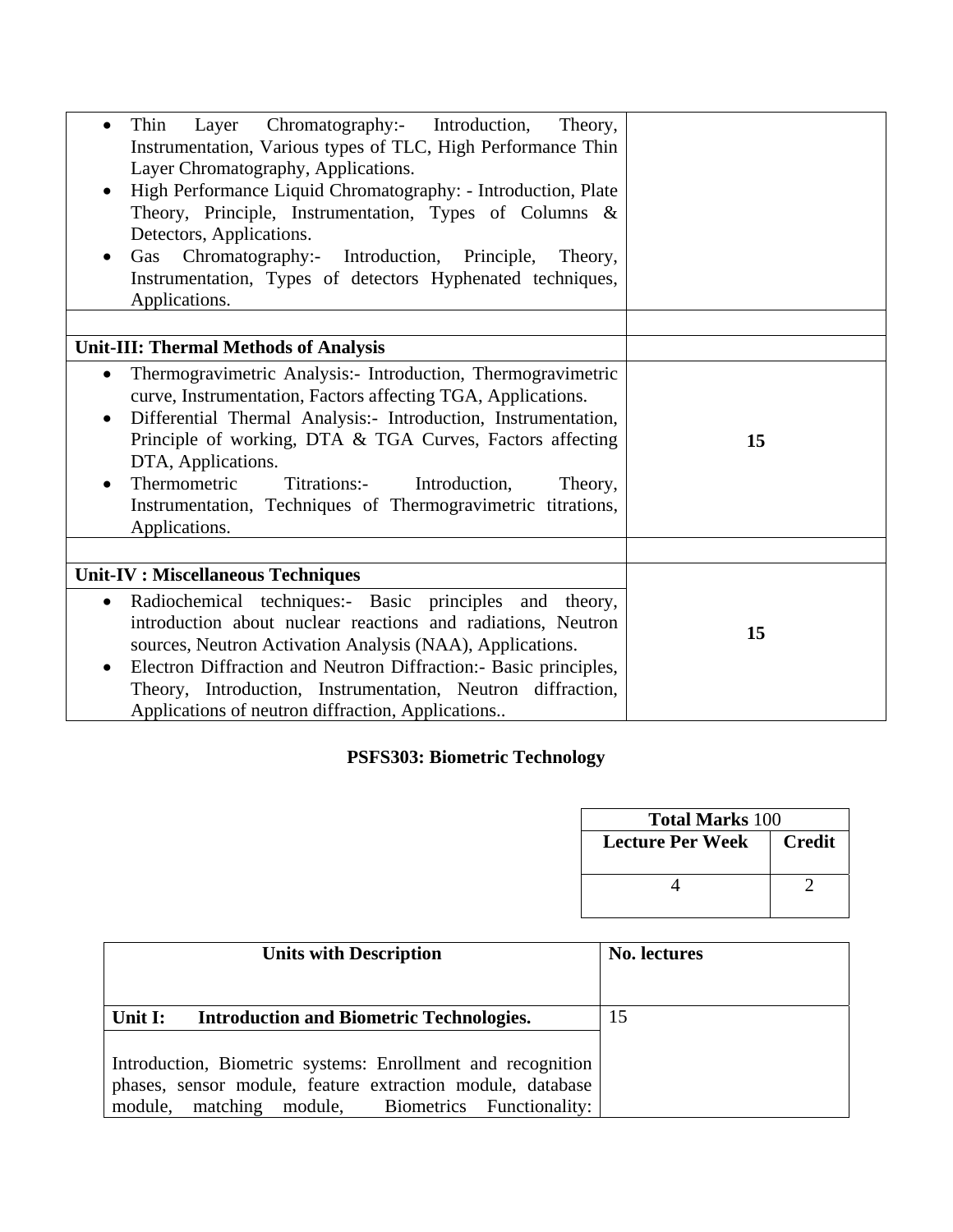| Chromatography:- Introduction,<br>Thin<br>Layer<br>Theory,<br>$\bullet$<br>Instrumentation, Various types of TLC, High Performance Thin<br>Layer Chromatography, Applications.<br>High Performance Liquid Chromatography: - Introduction, Plate<br>$\bullet$<br>Theory, Principle, Instrumentation, Types of Columns &<br>Detectors, Applications.<br>Gas Chromatography:- Introduction, Principle,<br>Theory,<br>$\bullet$<br>Instrumentation, Types of detectors Hyphenated techniques,<br>Applications. |    |
|------------------------------------------------------------------------------------------------------------------------------------------------------------------------------------------------------------------------------------------------------------------------------------------------------------------------------------------------------------------------------------------------------------------------------------------------------------------------------------------------------------|----|
|                                                                                                                                                                                                                                                                                                                                                                                                                                                                                                            |    |
| <b>Unit-III: Thermal Methods of Analysis</b>                                                                                                                                                                                                                                                                                                                                                                                                                                                               |    |
| Thermogravimetric Analysis: Introduction, Thermogravimetric<br>$\bullet$<br>curve, Instrumentation, Factors affecting TGA, Applications.<br>Differential Thermal Analysis:- Introduction, Instrumentation,<br>$\bullet$<br>Principle of working, DTA & TGA Curves, Factors affecting<br>DTA, Applications.<br>Thermometric<br>Titrations:-<br>Introduction,<br>Theory,<br>$\bullet$<br>Instrumentation, Techniques of Thermogravimetric titrations,<br>Applications.                                       | 15 |
|                                                                                                                                                                                                                                                                                                                                                                                                                                                                                                            |    |
| <b>Unit-IV: Miscellaneous Techniques</b><br>Radiochemical techniques:- Basic principles and theory,<br>$\bullet$<br>introduction about nuclear reactions and radiations. Neutron<br>sources, Neutron Activation Analysis (NAA), Applications.<br>Electron Diffraction and Neutron Diffraction: Basic principles,<br>$\bullet$<br>Theory, Introduction, Instrumentation, Neutron diffraction,<br>Applications of neutron diffraction, Applications                                                          | 15 |

### **PSFS303: Biometric Technology**

| <b>Total Marks 100</b>  |               |  |  |  |  |
|-------------------------|---------------|--|--|--|--|
| <b>Lecture Per Week</b> | <b>Credit</b> |  |  |  |  |
|                         |               |  |  |  |  |

| <b>Units with Description</b>                               | <b>No. lectures</b> |
|-------------------------------------------------------------|---------------------|
|                                                             |                     |
| Unit I:<br><b>Introduction and Biometric Technologies.</b>  | 15                  |
|                                                             |                     |
| Introduction, Biometric systems: Enrollment and recognition |                     |
| phases, sensor module, feature extraction module, database  |                     |
| module, matching module, Biometrics Functionality:          |                     |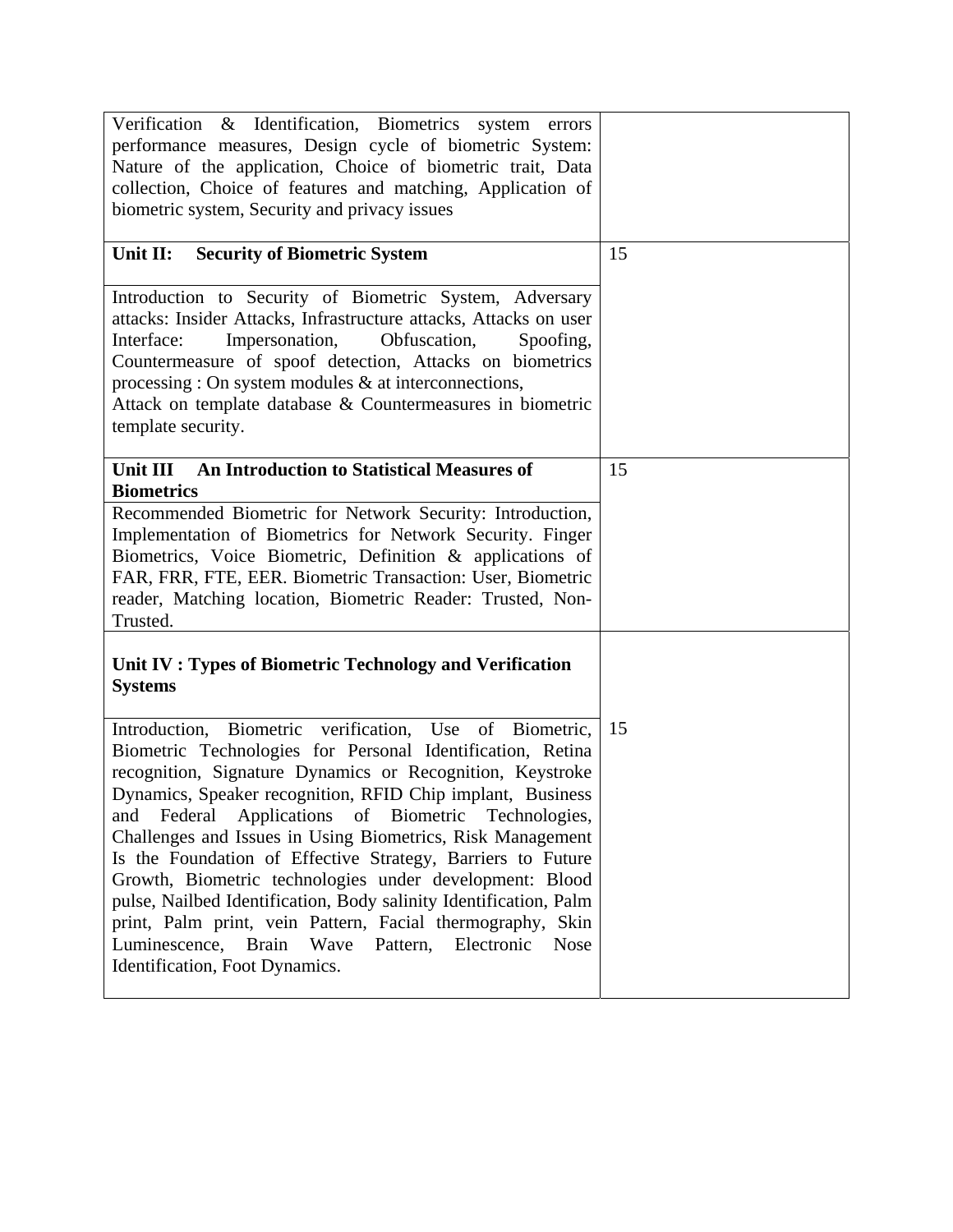| Verification & Identification, Biometrics system errors<br>performance measures, Design cycle of biometric System:<br>Nature of the application, Choice of biometric trait, Data<br>collection, Choice of features and matching, Application of<br>biometric system, Security and privacy issues                                                                                                                                                                                                                                                                                                                                                                                                                                                                   |    |
|--------------------------------------------------------------------------------------------------------------------------------------------------------------------------------------------------------------------------------------------------------------------------------------------------------------------------------------------------------------------------------------------------------------------------------------------------------------------------------------------------------------------------------------------------------------------------------------------------------------------------------------------------------------------------------------------------------------------------------------------------------------------|----|
| Unit II:<br><b>Security of Biometric System</b>                                                                                                                                                                                                                                                                                                                                                                                                                                                                                                                                                                                                                                                                                                                    | 15 |
| Introduction to Security of Biometric System, Adversary<br>attacks: Insider Attacks, Infrastructure attacks, Attacks on user<br>Interface:<br>Impersonation,<br>Obfuscation,<br>Spoofing,<br>Countermeasure of spoof detection, Attacks on biometrics<br>processing : On system modules $\&$ at interconnections,<br>Attack on template database & Countermeasures in biometric<br>template security.                                                                                                                                                                                                                                                                                                                                                              |    |
| An Introduction to Statistical Measures of<br>Unit III<br><b>Biometrics</b>                                                                                                                                                                                                                                                                                                                                                                                                                                                                                                                                                                                                                                                                                        | 15 |
| Recommended Biometric for Network Security: Introduction,<br>Implementation of Biometrics for Network Security. Finger<br>Biometrics, Voice Biometric, Definition & applications of<br>FAR, FRR, FTE, EER. Biometric Transaction: User, Biometric<br>reader, Matching location, Biometric Reader: Trusted, Non-<br>Trusted.                                                                                                                                                                                                                                                                                                                                                                                                                                        |    |
| Unit IV: Types of Biometric Technology and Verification<br><b>Systems</b>                                                                                                                                                                                                                                                                                                                                                                                                                                                                                                                                                                                                                                                                                          |    |
| Biometric verification, Use of Biometric,<br>Introduction,<br>Biometric Technologies for Personal Identification, Retina<br>recognition, Signature Dynamics or Recognition, Keystroke<br>Dynamics, Speaker recognition, RFID Chip implant, Business<br>Applications of Biometric Technologies,<br>Federal<br>and<br>Challenges and Issues in Using Biometrics, Risk Management<br>Is the Foundation of Effective Strategy, Barriers to Future<br>Growth, Biometric technologies under development: Blood<br>pulse, Nailbed Identification, Body salinity Identification, Palm<br>print, Palm print, vein Pattern, Facial thermography,<br>Skin<br>Luminescence,<br><b>Brain</b><br>Wave<br>Pattern,<br>Electronic<br><b>Nose</b><br>Identification, Foot Dynamics. | 15 |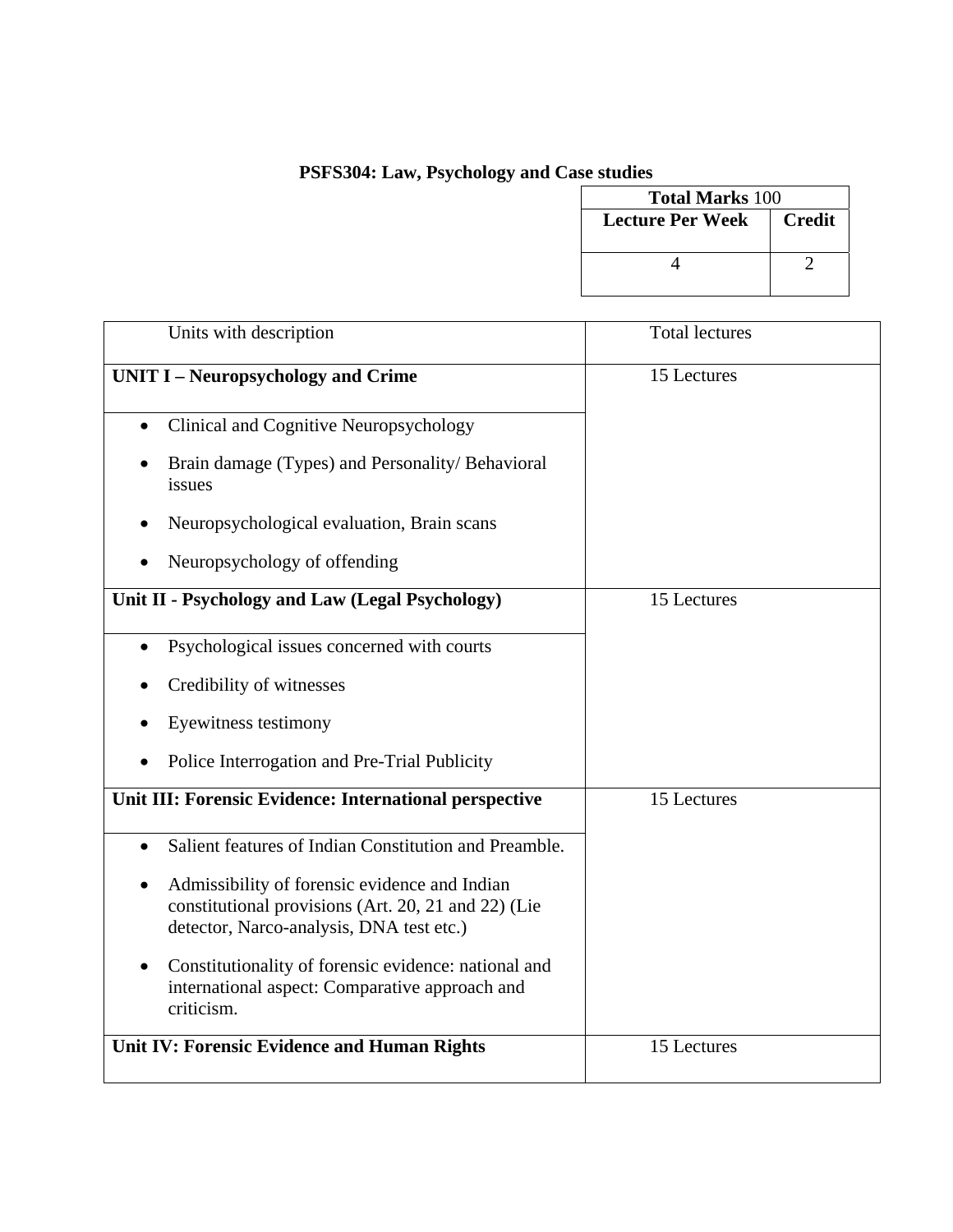### **PSFS304: Law, Psychology and Case studies**

| <b>Total Marks 100</b> |               |  |  |  |  |  |
|------------------------|---------------|--|--|--|--|--|
| Lecture Per Week       | <b>Credit</b> |  |  |  |  |  |
|                        |               |  |  |  |  |  |

| Units with description                                                                                                                           | <b>Total lectures</b> |
|--------------------------------------------------------------------------------------------------------------------------------------------------|-----------------------|
| <b>UNIT I – Neuropsychology and Crime</b>                                                                                                        | 15 Lectures           |
| Clinical and Cognitive Neuropsychology                                                                                                           |                       |
| Brain damage (Types) and Personality/ Behavioral<br>issues                                                                                       |                       |
| Neuropsychological evaluation, Brain scans                                                                                                       |                       |
| Neuropsychology of offending                                                                                                                     |                       |
| Unit II - Psychology and Law (Legal Psychology)                                                                                                  | 15 Lectures           |
| Psychological issues concerned with courts                                                                                                       |                       |
| Credibility of witnesses                                                                                                                         |                       |
| Eyewitness testimony                                                                                                                             |                       |
| Police Interrogation and Pre-Trial Publicity                                                                                                     |                       |
| Unit III: Forensic Evidence: International perspective                                                                                           | 15 Lectures           |
| Salient features of Indian Constitution and Preamble.                                                                                            |                       |
| Admissibility of forensic evidence and Indian<br>constitutional provisions (Art. 20, 21 and 22) (Lie<br>detector, Narco-analysis, DNA test etc.) |                       |
| Constitutionality of forensic evidence: national and<br>international aspect: Comparative approach and<br>criticism.                             |                       |
| Unit IV: Forensic Evidence and Human Rights                                                                                                      | 15 Lectures           |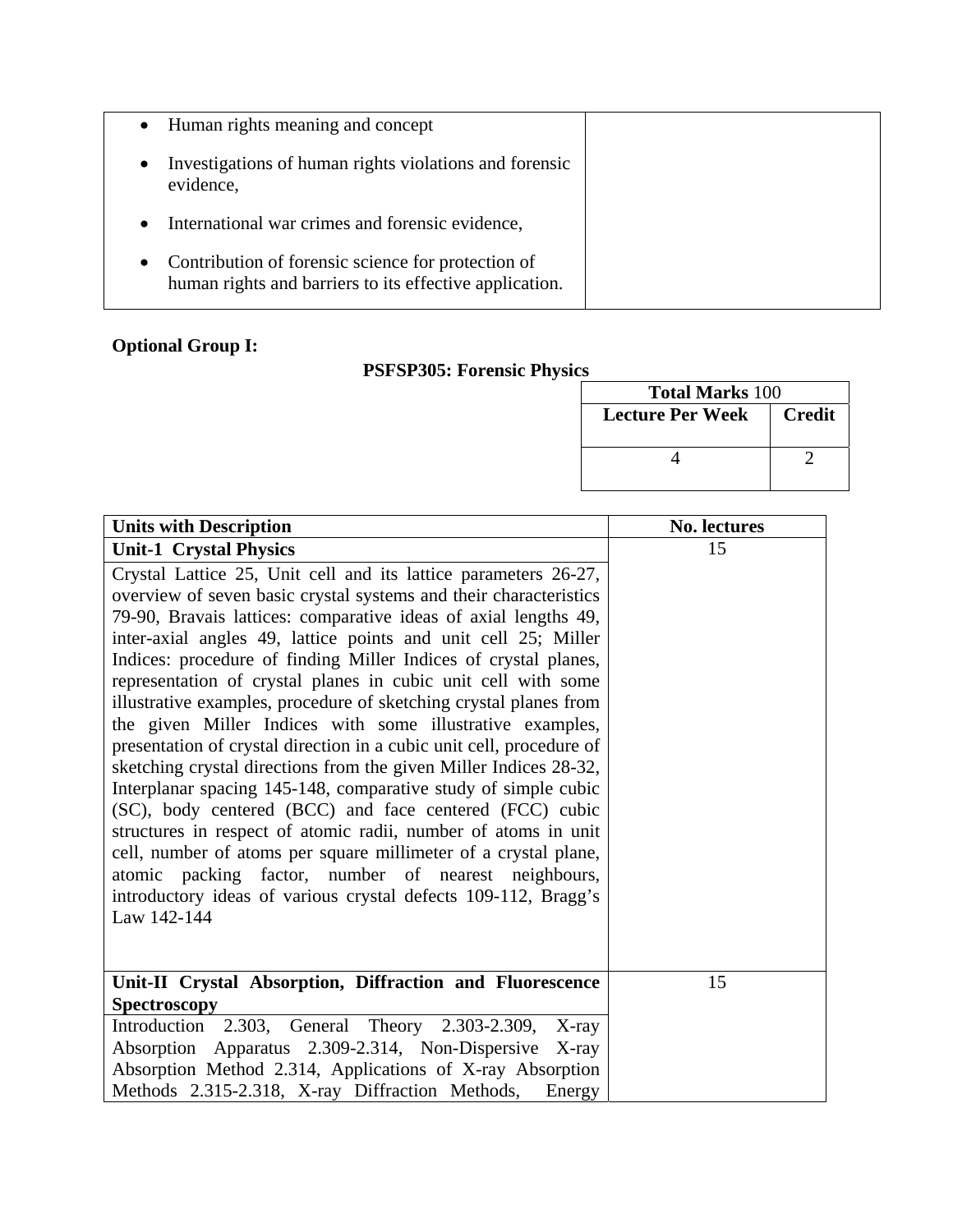| $\bullet$ | Human rights meaning and concept                                                                              |  |
|-----------|---------------------------------------------------------------------------------------------------------------|--|
| $\bullet$ | Investigations of human rights violations and forensic<br>evidence,                                           |  |
| $\bullet$ | International war crimes and forensic evidence,                                                               |  |
| $\bullet$ | Contribution of forensic science for protection of<br>human rights and barriers to its effective application. |  |

## **Optional Group I:**

### **PSFSP305: Forensic Physics**

| <b>Total Marks 100</b> |               |
|------------------------|---------------|
| Lecture Per Week       | <b>Credit</b> |
|                        |               |

| <b>Units with Description</b>                                                                                                                                                                                                                                                                                                                                                                                                                                                                                                                                                                                                                                                                                                                                                                                                                                                                                                                                                                                                                                                                           | <b>No. lectures</b> |
|---------------------------------------------------------------------------------------------------------------------------------------------------------------------------------------------------------------------------------------------------------------------------------------------------------------------------------------------------------------------------------------------------------------------------------------------------------------------------------------------------------------------------------------------------------------------------------------------------------------------------------------------------------------------------------------------------------------------------------------------------------------------------------------------------------------------------------------------------------------------------------------------------------------------------------------------------------------------------------------------------------------------------------------------------------------------------------------------------------|---------------------|
| <b>Unit-1 Crystal Physics</b>                                                                                                                                                                                                                                                                                                                                                                                                                                                                                                                                                                                                                                                                                                                                                                                                                                                                                                                                                                                                                                                                           | 15                  |
| Crystal Lattice 25, Unit cell and its lattice parameters 26-27,<br>overview of seven basic crystal systems and their characteristics<br>79-90, Bravais lattices: comparative ideas of axial lengths 49,<br>inter-axial angles 49, lattice points and unit cell 25; Miller<br>Indices: procedure of finding Miller Indices of crystal planes,<br>representation of crystal planes in cubic unit cell with some<br>illustrative examples, procedure of sketching crystal planes from<br>the given Miller Indices with some illustrative examples,<br>presentation of crystal direction in a cubic unit cell, procedure of<br>sketching crystal directions from the given Miller Indices 28-32,<br>Interplanar spacing 145-148, comparative study of simple cubic<br>(SC), body centered (BCC) and face centered (FCC) cubic<br>structures in respect of atomic radii, number of atoms in unit<br>cell, number of atoms per square millimeter of a crystal plane,<br>atomic packing factor, number of nearest neighbours,<br>introductory ideas of various crystal defects 109-112, Bragg's<br>Law 142-144 |                     |
| Unit-II Crystal Absorption, Diffraction and Fluorescence                                                                                                                                                                                                                                                                                                                                                                                                                                                                                                                                                                                                                                                                                                                                                                                                                                                                                                                                                                                                                                                | 15                  |
| <b>Spectroscopy</b>                                                                                                                                                                                                                                                                                                                                                                                                                                                                                                                                                                                                                                                                                                                                                                                                                                                                                                                                                                                                                                                                                     |                     |
| Introduction 2.303, General Theory 2.303-2.309,<br>$X$ -ray                                                                                                                                                                                                                                                                                                                                                                                                                                                                                                                                                                                                                                                                                                                                                                                                                                                                                                                                                                                                                                             |                     |
| Absorption Apparatus 2.309-2.314, Non-Dispersive<br>$X$ -ray                                                                                                                                                                                                                                                                                                                                                                                                                                                                                                                                                                                                                                                                                                                                                                                                                                                                                                                                                                                                                                            |                     |
| Absorption Method 2.314, Applications of X-ray Absorption                                                                                                                                                                                                                                                                                                                                                                                                                                                                                                                                                                                                                                                                                                                                                                                                                                                                                                                                                                                                                                               |                     |
| Methods 2.315-2.318, X-ray Diffraction Methods,<br>Energy                                                                                                                                                                                                                                                                                                                                                                                                                                                                                                                                                                                                                                                                                                                                                                                                                                                                                                                                                                                                                                               |                     |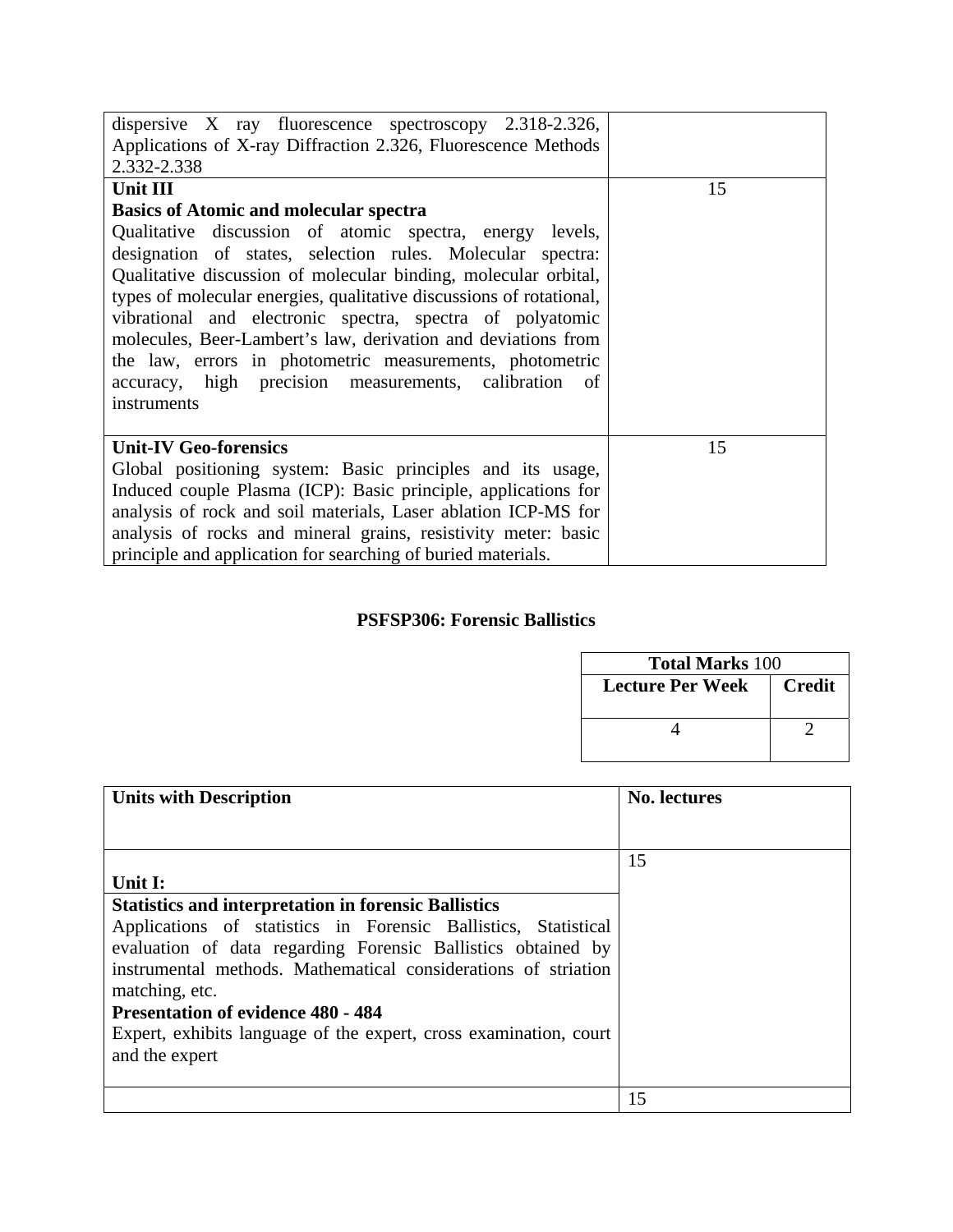| dispersive X ray fluorescence spectroscopy $2.318-2.326$ ,<br>Applications of X-ray Diffraction 2.326, Fluorescence Methods<br>2.332-2.338 |    |
|--------------------------------------------------------------------------------------------------------------------------------------------|----|
| <b>Unit III</b>                                                                                                                            | 15 |
| <b>Basics of Atomic and molecular spectra</b>                                                                                              |    |
| Qualitative discussion of atomic spectra, energy levels,                                                                                   |    |
| designation of states, selection rules. Molecular spectra:                                                                                 |    |
| Qualitative discussion of molecular binding, molecular orbital,                                                                            |    |
| types of molecular energies, qualitative discussions of rotational,                                                                        |    |
| vibrational and electronic spectra, spectra of polyatomic                                                                                  |    |
| molecules, Beer-Lambert's law, derivation and deviations from                                                                              |    |
| the law, errors in photometric measurements, photometric                                                                                   |    |
| accuracy, high precision measurements, calibration of                                                                                      |    |
| instruments                                                                                                                                |    |
|                                                                                                                                            |    |
| <b>Unit-IV Geo-forensics</b>                                                                                                               | 15 |
| Global positioning system: Basic principles and its usage,                                                                                 |    |
| Induced couple Plasma (ICP): Basic principle, applications for                                                                             |    |
| analysis of rock and soil materials, Laser ablation ICP-MS for                                                                             |    |
| analysis of rocks and mineral grains, resistivity meter: basic                                                                             |    |
| principle and application for searching of buried materials.                                                                               |    |

### **PSFSP306: Forensic Ballistics**

| <b>Total Marks 100</b>  |               |
|-------------------------|---------------|
| <b>Lecture Per Week</b> | <b>Credit</b> |
|                         |               |

| <b>Units with Description</b>                                                                                                                                                                                                                                                     | <b>No. lectures</b> |
|-----------------------------------------------------------------------------------------------------------------------------------------------------------------------------------------------------------------------------------------------------------------------------------|---------------------|
|                                                                                                                                                                                                                                                                                   |                     |
| Unit I:                                                                                                                                                                                                                                                                           | 15                  |
| <b>Statistics and interpretation in forensic Ballistics</b><br>Applications of statistics in Forensic Ballistics, Statistical<br>evaluation of data regarding Forensic Ballistics obtained by<br>instrumental methods. Mathematical considerations of striation<br>matching, etc. |                     |
| <b>Presentation of evidence 480 - 484</b><br>Expert, exhibits language of the expert, cross examination, court<br>and the expert                                                                                                                                                  |                     |
|                                                                                                                                                                                                                                                                                   | 15                  |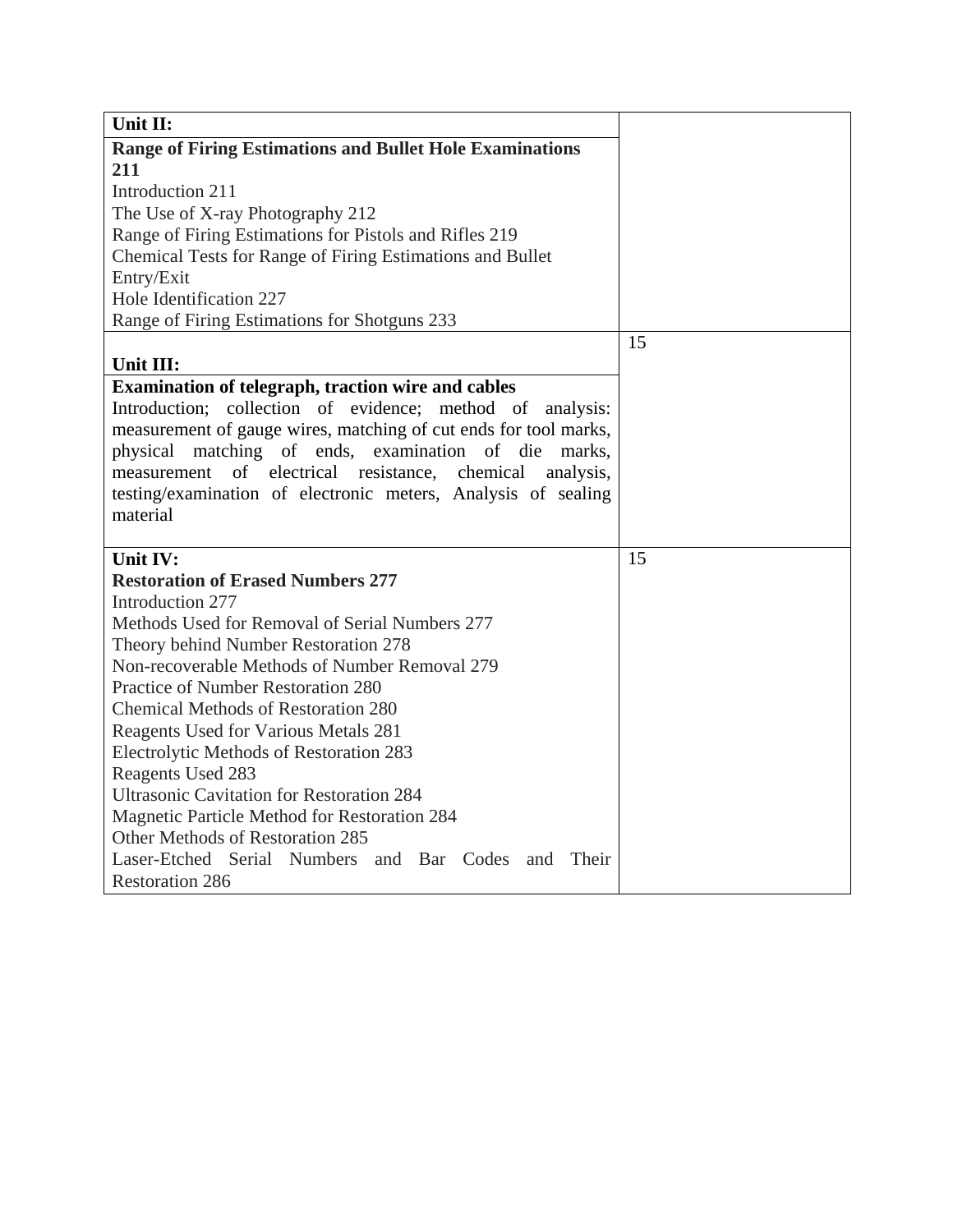| Unit II:                                                                         |    |
|----------------------------------------------------------------------------------|----|
| <b>Range of Firing Estimations and Bullet Hole Examinations</b>                  |    |
| 211                                                                              |    |
| Introduction 211                                                                 |    |
| The Use of X-ray Photography 212                                                 |    |
| Range of Firing Estimations for Pistols and Rifles 219                           |    |
| Chemical Tests for Range of Firing Estimations and Bullet                        |    |
| Entry/Exit                                                                       |    |
| Hole Identification 227                                                          |    |
| Range of Firing Estimations for Shotguns 233                                     |    |
|                                                                                  | 15 |
| Unit III:                                                                        |    |
| Examination of telegraph, traction wire and cables                               |    |
| Introduction; collection of evidence; method of analysis:                        |    |
| measurement of gauge wires, matching of cut ends for tool marks,                 |    |
| matching of ends, examination of die<br>physical<br>marks.                       |    |
| of<br>electrical resistance,<br>chemical<br>measurement<br>analysis,             |    |
| testing/examination of electronic meters, Analysis of sealing                    |    |
| material                                                                         |    |
|                                                                                  |    |
| Unit IV:                                                                         | 15 |
| <b>Restoration of Erased Numbers 277</b>                                         |    |
| Introduction 277                                                                 |    |
| Methods Used for Removal of Serial Numbers 277                                   |    |
| Theory behind Number Restoration 278                                             |    |
| Non-recoverable Methods of Number Removal 279                                    |    |
| Practice of Number Restoration 280                                               |    |
| <b>Chemical Methods of Restoration 280</b>                                       |    |
| Reagents Used for Various Metals 281                                             |    |
| Electrolytic Methods of Restoration 283                                          |    |
| Reagents Used 283                                                                |    |
| <b>Ultrasonic Cavitation for Restoration 284</b>                                 |    |
| Magnetic Particle Method for Restoration 284                                     |    |
| <b>Other Methods of Restoration 285</b>                                          |    |
|                                                                                  |    |
| Laser-Etched Serial Numbers and Bar Codes and<br>Their<br><b>Restoration 286</b> |    |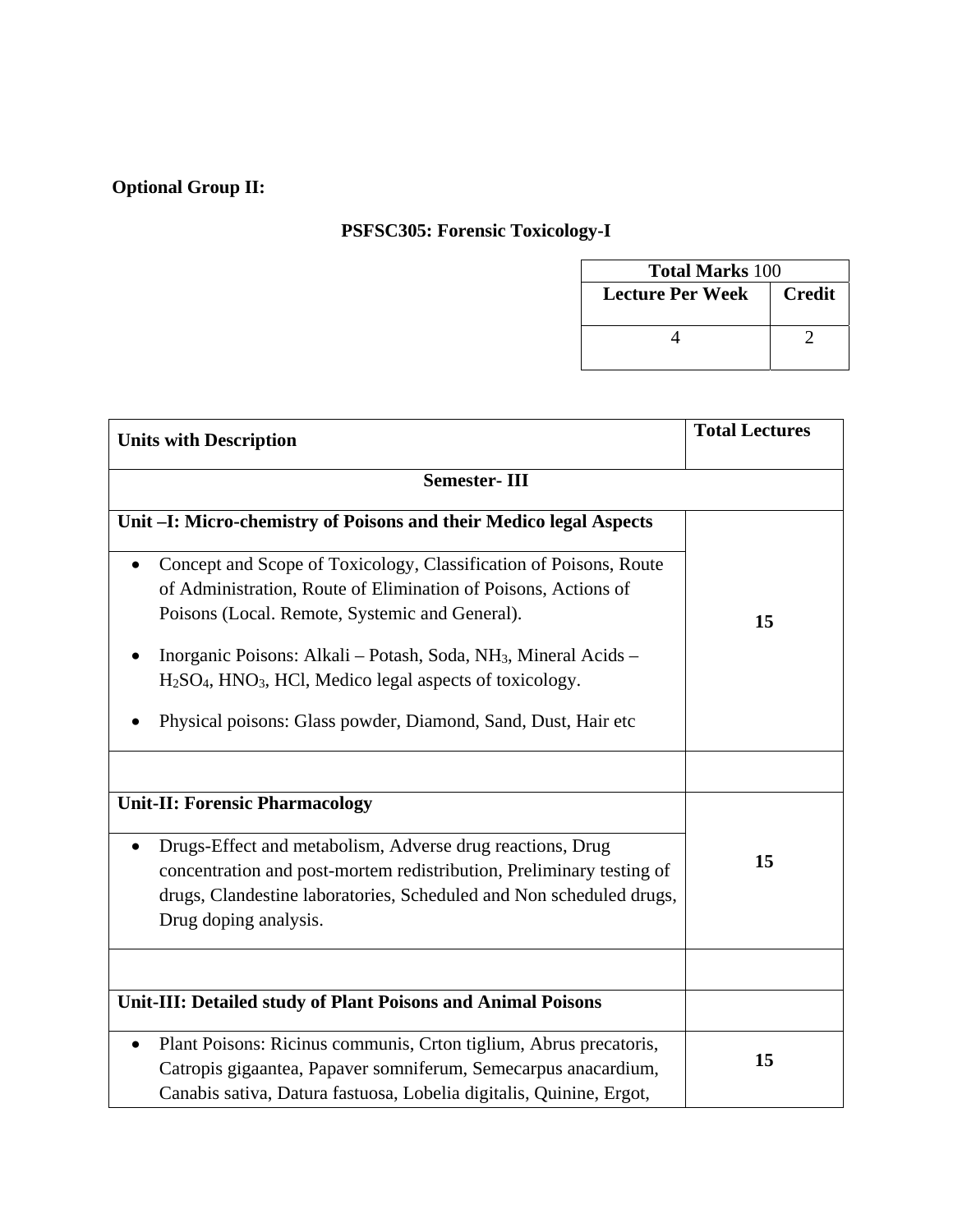### **Optional Group II:**

### **PSFSC305: Forensic Toxicology-I**

| <b>Total Marks 100</b>  |        |
|-------------------------|--------|
| <b>Lecture Per Week</b> | Credit |
|                         |        |

| <b>Units with Description</b>                                                                                                                                                                                                                                                                                                                                        | <b>Total Lectures</b> |
|----------------------------------------------------------------------------------------------------------------------------------------------------------------------------------------------------------------------------------------------------------------------------------------------------------------------------------------------------------------------|-----------------------|
| <b>Semester-III</b>                                                                                                                                                                                                                                                                                                                                                  |                       |
| Unit -I: Micro-chemistry of Poisons and their Medico legal Aspects                                                                                                                                                                                                                                                                                                   |                       |
| Concept and Scope of Toxicology, Classification of Poisons, Route<br>of Administration, Route of Elimination of Poisons, Actions of<br>Poisons (Local. Remote, Systemic and General).<br>Inorganic Poisons: Alkali – Potash, Soda, NH <sub>3</sub> , Mineral Acids –<br>H <sub>2</sub> SO <sub>4</sub> , HNO <sub>3</sub> , HCl, Medico legal aspects of toxicology. | 15                    |
| Physical poisons: Glass powder, Diamond, Sand, Dust, Hair etc                                                                                                                                                                                                                                                                                                        |                       |
|                                                                                                                                                                                                                                                                                                                                                                      |                       |
| <b>Unit-II: Forensic Pharmacology</b>                                                                                                                                                                                                                                                                                                                                |                       |
| Drugs-Effect and metabolism, Adverse drug reactions, Drug<br>$\bullet$<br>concentration and post-mortem redistribution, Preliminary testing of<br>drugs, Clandestine laboratories, Scheduled and Non scheduled drugs,<br>Drug doping analysis.                                                                                                                       | 15                    |
|                                                                                                                                                                                                                                                                                                                                                                      |                       |
| Unit-III: Detailed study of Plant Poisons and Animal Poisons                                                                                                                                                                                                                                                                                                         |                       |
| Plant Poisons: Ricinus communis, Crton tiglium, Abrus precatoris,<br>Catropis gigaantea, Papaver somniferum, Semecarpus anacardium,<br>Canabis sativa, Datura fastuosa, Lobelia digitalis, Quinine, Ergot,                                                                                                                                                           | 15                    |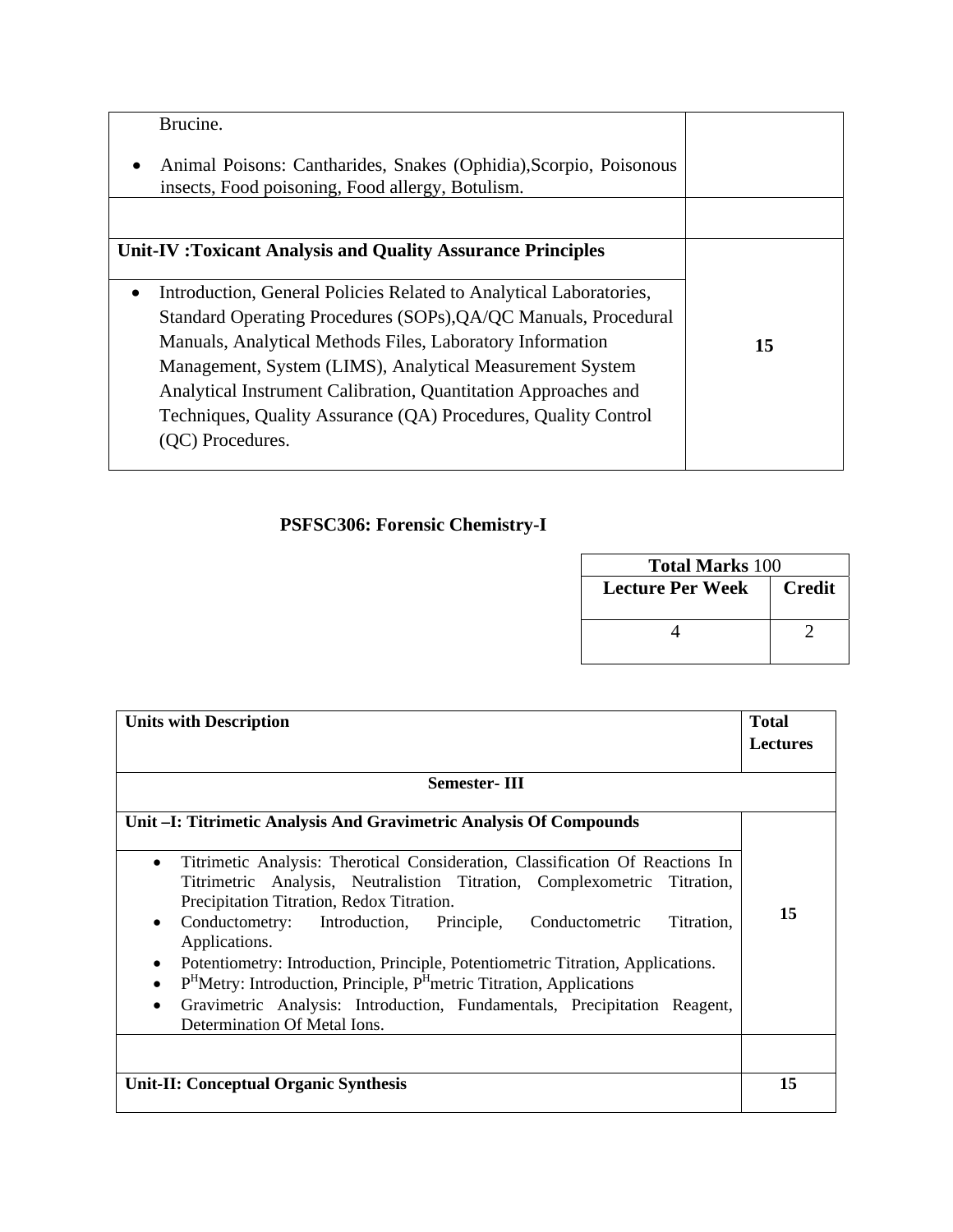| Brucine.                                                                                                              |    |
|-----------------------------------------------------------------------------------------------------------------------|----|
| Animal Poisons: Cantharides, Snakes (Ophidia), Scorpio, Poisonous<br>insects, Food poisoning, Food allergy, Botulism. |    |
|                                                                                                                       |    |
| <b>Unit-IV: Toxicant Analysis and Quality Assurance Principles</b>                                                    |    |
| Introduction, General Policies Related to Analytical Laboratories,                                                    |    |
| Standard Operating Procedures (SOPs), QA/QC Manuals, Procedural                                                       |    |
| Manuals, Analytical Methods Files, Laboratory Information                                                             | 15 |
| Management, System (LIMS), Analytical Measurement System                                                              |    |
| Analytical Instrument Calibration, Quantitation Approaches and                                                        |    |
| Techniques, Quality Assurance (QA) Procedures, Quality Control                                                        |    |
| (QC) Procedures.                                                                                                      |    |
|                                                                                                                       |    |

### **PSFSC306: Forensic Chemistry-I**

| <b>Total Marks 100</b> |        |
|------------------------|--------|
| Lecture Per Week       | Credit |
|                        |        |
|                        |        |
|                        |        |

| <b>Units with Description</b>                                                                                                                                                                                                                                                                                                                                                                                                                                                                                                                                                                                                                                   | <b>Total</b><br><b>Lectures</b> |
|-----------------------------------------------------------------------------------------------------------------------------------------------------------------------------------------------------------------------------------------------------------------------------------------------------------------------------------------------------------------------------------------------------------------------------------------------------------------------------------------------------------------------------------------------------------------------------------------------------------------------------------------------------------------|---------------------------------|
| <b>Semester-III</b>                                                                                                                                                                                                                                                                                                                                                                                                                                                                                                                                                                                                                                             |                                 |
| Unit --I: Titrimetic Analysis And Gravimetric Analysis Of Compounds                                                                                                                                                                                                                                                                                                                                                                                                                                                                                                                                                                                             |                                 |
| Titrimetic Analysis: Therotical Consideration, Classification Of Reactions In<br>$\bullet$<br>Titrimetric Analysis, Neutralistion Titration, Complexometric Titration,<br>Precipitation Titration, Redox Titration.<br>Conductometry: Introduction, Principle, Conductometric<br>Titration,<br>$\bullet$<br>Applications.<br>Potentiometry: Introduction, Principle, Potentiometric Titration, Applications.<br>$\bullet$<br>P <sup>H</sup> Metry: Introduction, Principle, P <sup>H</sup> metric Titration, Applications<br>$\bullet$<br>Gravimetric Analysis: Introduction, Fundamentals, Precipitation Reagent,<br>$\bullet$<br>Determination Of Metal Ions. | 15                              |
|                                                                                                                                                                                                                                                                                                                                                                                                                                                                                                                                                                                                                                                                 |                                 |
| Unit-II: Conceptual Organic Synthesis                                                                                                                                                                                                                                                                                                                                                                                                                                                                                                                                                                                                                           | 15                              |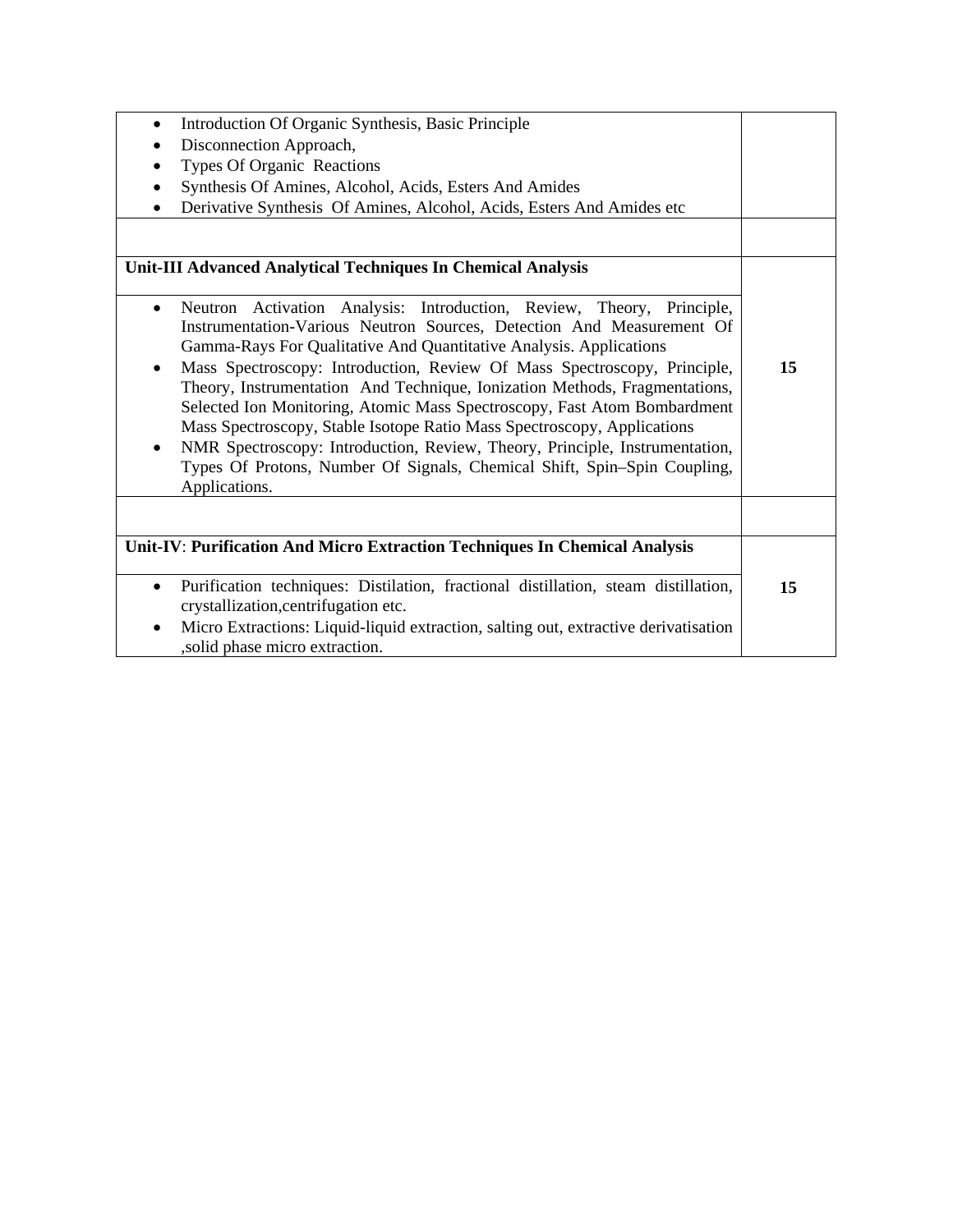| Introduction Of Organic Synthesis, Basic Principle<br>$\bullet$<br>Disconnection Approach,<br><b>Types Of Organic Reactions</b><br>$\bullet$<br>Synthesis Of Amines, Alcohol, Acids, Esters And Amides<br>Derivative Synthesis Of Amines, Alcohol, Acids, Esters And Amides etc                                                                                                                                                                                                                                                                                                                                                                                                                                                                                                                                                 |    |
|---------------------------------------------------------------------------------------------------------------------------------------------------------------------------------------------------------------------------------------------------------------------------------------------------------------------------------------------------------------------------------------------------------------------------------------------------------------------------------------------------------------------------------------------------------------------------------------------------------------------------------------------------------------------------------------------------------------------------------------------------------------------------------------------------------------------------------|----|
| <b>Unit-III Advanced Analytical Techniques In Chemical Analysis</b><br>Neutron Activation Analysis: Introduction, Review, Theory, Principle,<br>$\bullet$<br>Instrumentation-Various Neutron Sources, Detection And Measurement Of<br>Gamma-Rays For Qualitative And Quantitative Analysis. Applications<br>Mass Spectroscopy: Introduction, Review Of Mass Spectroscopy, Principle,<br>$\bullet$<br>Theory, Instrumentation And Technique, Ionization Methods, Fragmentations,<br>Selected Ion Monitoring, Atomic Mass Spectroscopy, Fast Atom Bombardment<br>Mass Spectroscopy, Stable Isotope Ratio Mass Spectroscopy, Applications<br>NMR Spectroscopy: Introduction, Review, Theory, Principle, Instrumentation,<br>$\bullet$<br>Types Of Protons, Number Of Signals, Chemical Shift, Spin-Spin Coupling,<br>Applications. | 15 |
| Unit-IV: Purification And Micro Extraction Techniques In Chemical Analysis                                                                                                                                                                                                                                                                                                                                                                                                                                                                                                                                                                                                                                                                                                                                                      |    |
| Purification techniques: Distilation, fractional distillation, steam distillation,<br>$\bullet$<br>crystallization, centrifugation etc.<br>Micro Extractions: Liquid-liquid extraction, salting out, extractive derivatisation<br>solid phase micro extraction.                                                                                                                                                                                                                                                                                                                                                                                                                                                                                                                                                                 | 15 |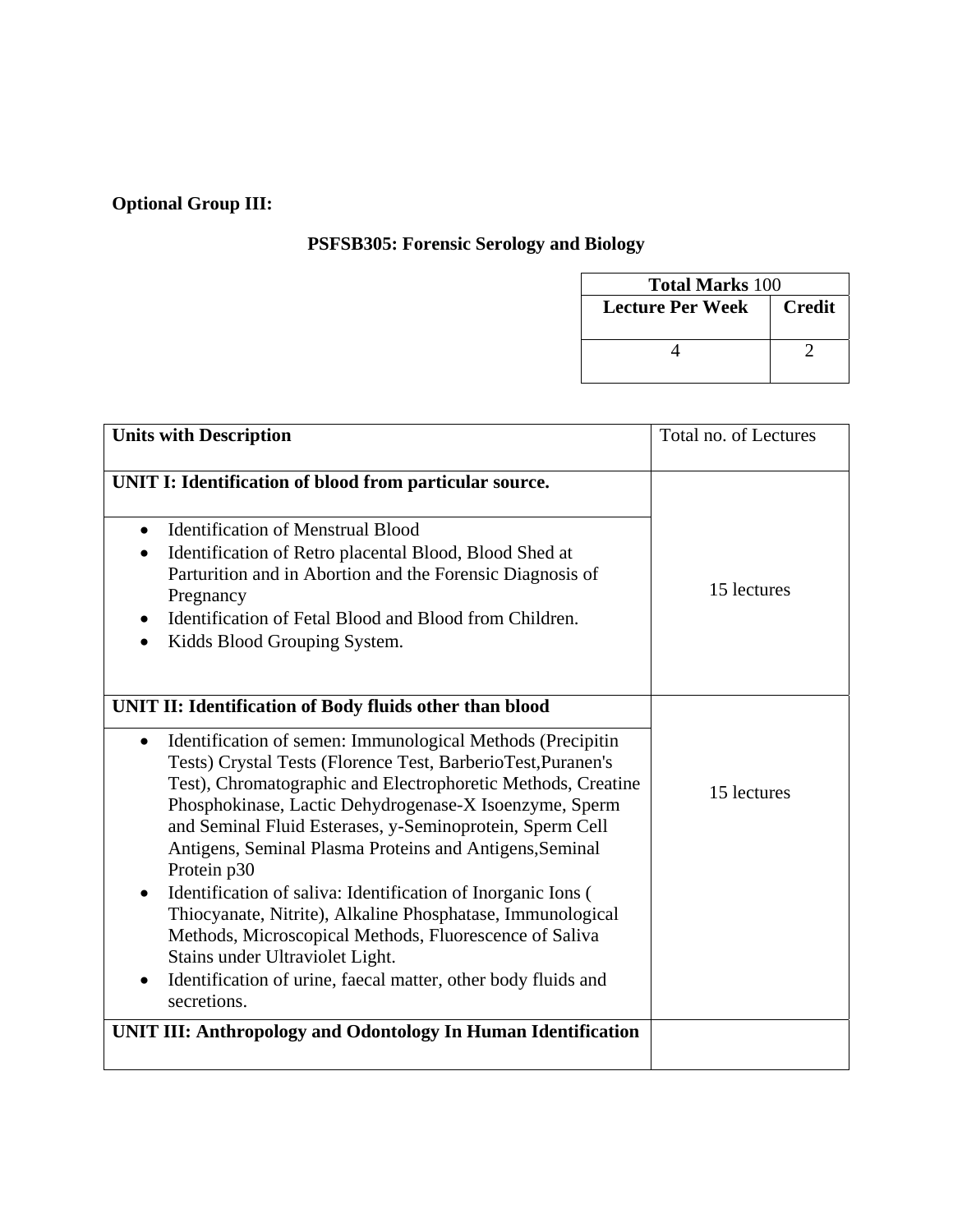### **Optional Group III:**

### **PSFSB305: Forensic Serology and Biology**

| <b>Total Marks 100</b> |               |  |
|------------------------|---------------|--|
| Lecture Per Week       | <b>Credit</b> |  |
|                        |               |  |

| <b>Units with Description</b>                                                                                                                                                                                                                                                                                                                                                                                                                                                                                                                                                                                                                                                                              | Total no. of Lectures |
|------------------------------------------------------------------------------------------------------------------------------------------------------------------------------------------------------------------------------------------------------------------------------------------------------------------------------------------------------------------------------------------------------------------------------------------------------------------------------------------------------------------------------------------------------------------------------------------------------------------------------------------------------------------------------------------------------------|-----------------------|
| UNIT I: Identification of blood from particular source.<br><b>Identification of Menstrual Blood</b><br>$\bullet$<br>Identification of Retro placental Blood, Blood Shed at<br>Parturition and in Abortion and the Forensic Diagnosis of<br>Pregnancy<br>Identification of Fetal Blood and Blood from Children.<br>$\bullet$<br>Kidds Blood Grouping System.<br>$\bullet$                                                                                                                                                                                                                                                                                                                                   | 15 lectures           |
| UNIT II: Identification of Body fluids other than blood<br>Identification of semen: Immunological Methods (Precipitin<br>$\bullet$<br>Tests) Crystal Tests (Florence Test, BarberioTest, Puranen's<br>Test), Chromatographic and Electrophoretic Methods, Creatine<br>Phosphokinase, Lactic Dehydrogenase-X Isoenzyme, Sperm<br>and Seminal Fluid Esterases, y-Seminoprotein, Sperm Cell<br>Antigens, Seminal Plasma Proteins and Antigens, Seminal<br>Protein p30<br>Identification of saliva: Identification of Inorganic Ions (<br>$\bullet$<br>Thiocyanate, Nitrite), Alkaline Phosphatase, Immunological<br>Methods, Microscopical Methods, Fluorescence of Saliva<br>Stains under Ultraviolet Light. | 15 lectures           |
| Identification of urine, faecal matter, other body fluids and<br>$\bullet$<br>secretions.<br><b>UNIT III: Anthropology and Odontology In Human Identification</b>                                                                                                                                                                                                                                                                                                                                                                                                                                                                                                                                          |                       |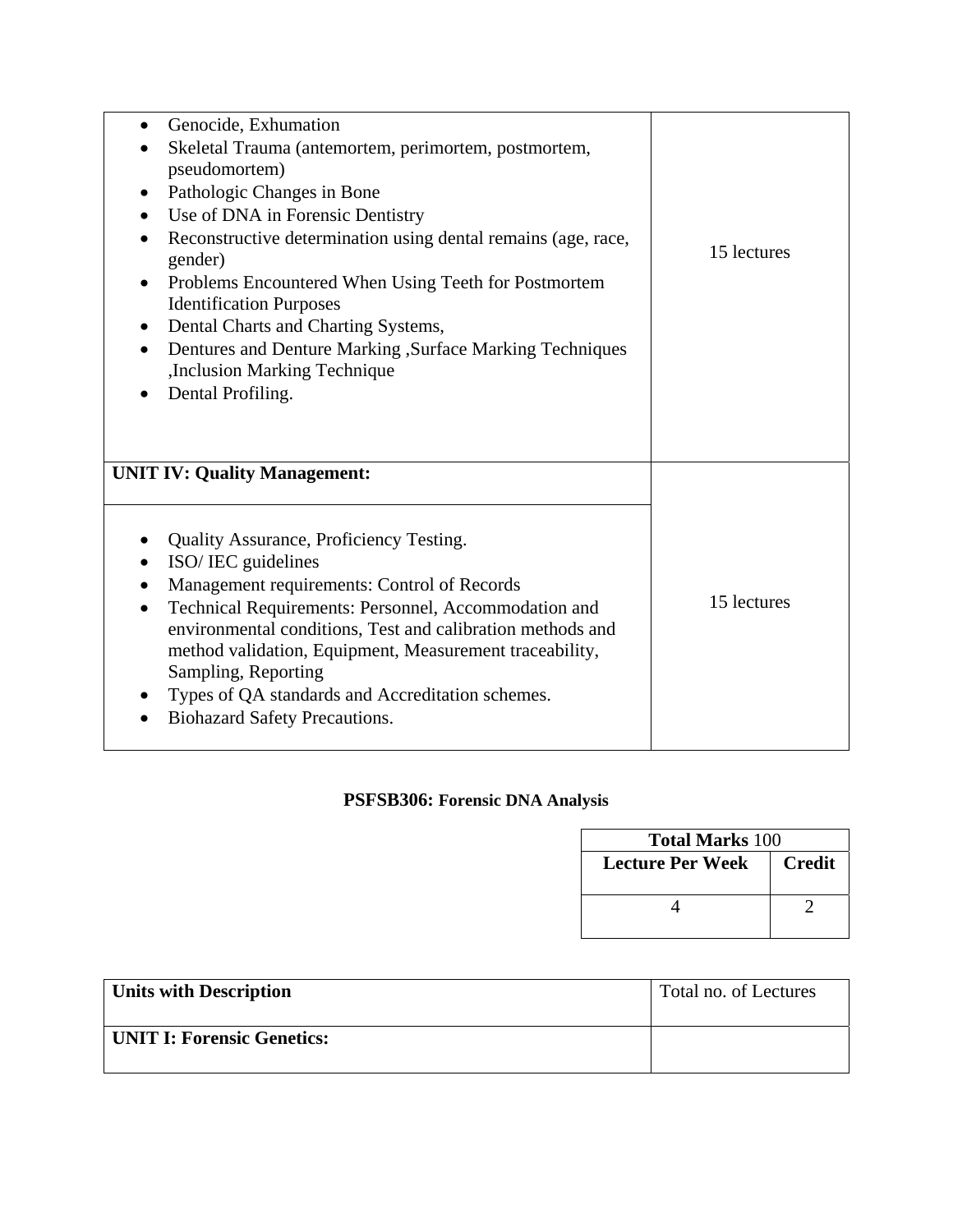| Genocide, Exhumation<br>$\bullet$<br>Skeletal Trauma (antemortem, perimortem, postmortem,<br>pseudomortem)<br>Pathologic Changes in Bone<br>$\bullet$<br>Use of DNA in Forensic Dentistry<br>$\bullet$<br>Reconstructive determination using dental remains (age, race,<br>$\bullet$<br>gender)<br>Problems Encountered When Using Teeth for Postmortem<br>$\bullet$<br><b>Identification Purposes</b><br>Dental Charts and Charting Systems,<br>Dentures and Denture Marking ,Surface Marking Techniques<br>$\bullet$<br>,Inclusion Marking Technique<br>Dental Profiling. | 15 lectures |
|-----------------------------------------------------------------------------------------------------------------------------------------------------------------------------------------------------------------------------------------------------------------------------------------------------------------------------------------------------------------------------------------------------------------------------------------------------------------------------------------------------------------------------------------------------------------------------|-------------|
| <b>UNIT IV: Quality Management:</b><br><b>Quality Assurance, Proficiency Testing.</b><br>ISO/ IEC guidelines<br>$\bullet$<br>Management requirements: Control of Records<br>$\bullet$<br>Technical Requirements: Personnel, Accommodation and<br>$\bullet$<br>environmental conditions, Test and calibration methods and<br>method validation, Equipment, Measurement traceability,<br>Sampling, Reporting<br>Types of QA standards and Accreditation schemes.<br><b>Biohazard Safety Precautions.</b>                                                                      | 15 lectures |

### **PSFSB306: Forensic DNA Analysis**

| <b>Total Marks 100</b> |               |  |
|------------------------|---------------|--|
| Lecture Per Week       | <b>Credit</b> |  |
|                        |               |  |
|                        |               |  |
|                        |               |  |

| <b>Units with Description</b>     | Total no. of Lectures |
|-----------------------------------|-----------------------|
| <b>UNIT I: Forensic Genetics:</b> |                       |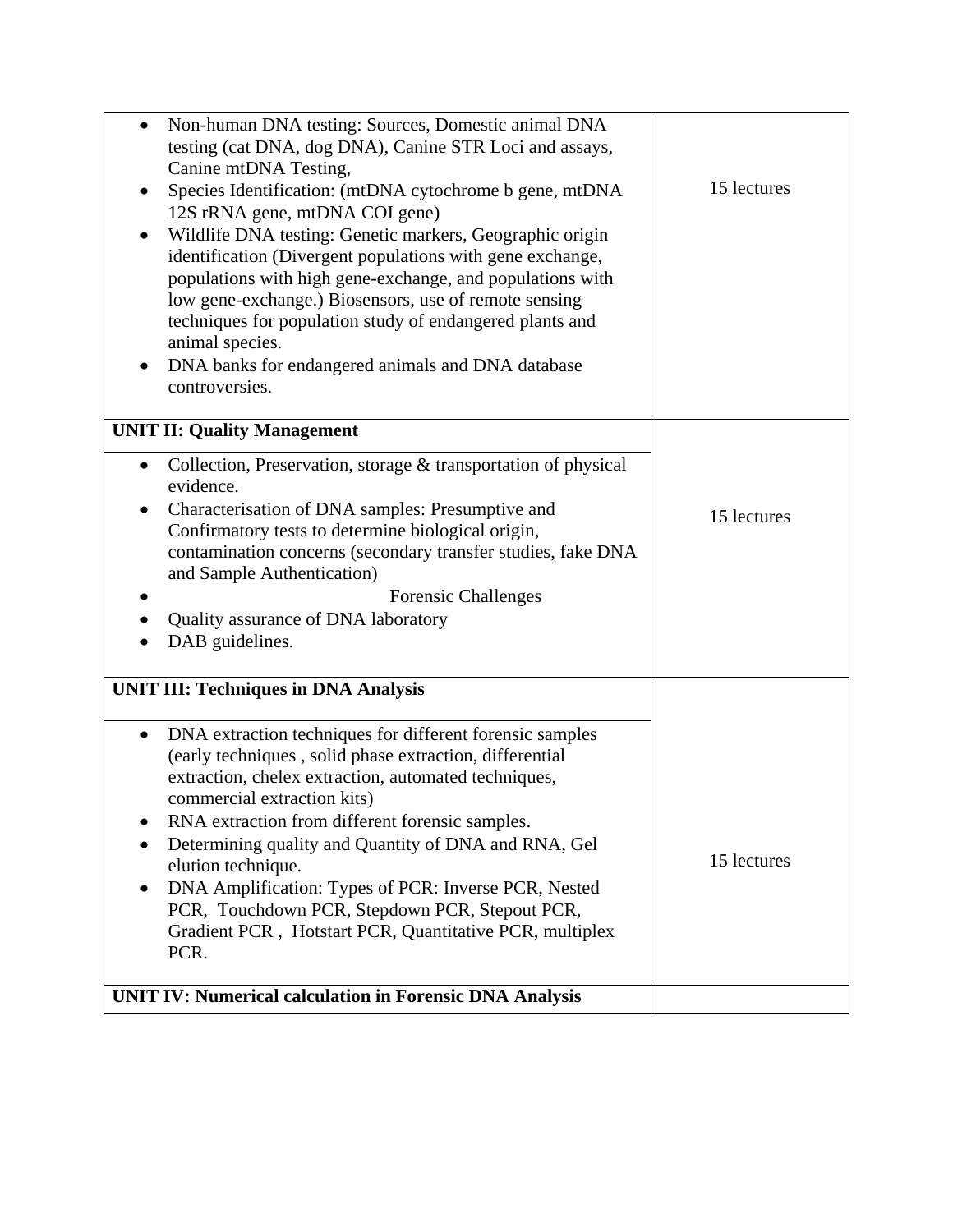| Non-human DNA testing: Sources, Domestic animal DNA<br>$\bullet$<br>testing (cat DNA, dog DNA), Canine STR Loci and assays,<br>Canine mtDNA Testing,<br>Species Identification: (mtDNA cytochrome b gene, mtDNA<br>$\bullet$<br>12S rRNA gene, mtDNA COI gene)<br>Wildlife DNA testing: Genetic markers, Geographic origin<br>$\bullet$<br>identification (Divergent populations with gene exchange,<br>populations with high gene-exchange, and populations with<br>low gene-exchange.) Biosensors, use of remote sensing<br>techniques for population study of endangered plants and<br>animal species.<br>DNA banks for endangered animals and DNA database<br>controversies. | 15 lectures |
|----------------------------------------------------------------------------------------------------------------------------------------------------------------------------------------------------------------------------------------------------------------------------------------------------------------------------------------------------------------------------------------------------------------------------------------------------------------------------------------------------------------------------------------------------------------------------------------------------------------------------------------------------------------------------------|-------------|
| <b>UNIT II: Quality Management</b>                                                                                                                                                                                                                                                                                                                                                                                                                                                                                                                                                                                                                                               |             |
| Collection, Preservation, storage & transportation of physical<br>٠<br>evidence.<br>Characterisation of DNA samples: Presumptive and<br>Confirmatory tests to determine biological origin,<br>contamination concerns (secondary transfer studies, fake DNA<br>and Sample Authentication)<br><b>Forensic Challenges</b><br>Quality assurance of DNA laboratory<br>DAB guidelines.                                                                                                                                                                                                                                                                                                 | 15 lectures |
| <b>UNIT III: Techniques in DNA Analysis</b>                                                                                                                                                                                                                                                                                                                                                                                                                                                                                                                                                                                                                                      |             |
| DNA extraction techniques for different forensic samples<br>$\bullet$<br>(early techniques, solid phase extraction, differential<br>extraction, chelex extraction, automated techniques,<br>commercial extraction kits)<br>RNA extraction from different forensic samples.<br>$\bullet$<br>Determining quality and Quantity of DNA and RNA, Gel<br>elution technique.<br>DNA Amplification: Types of PCR: Inverse PCR, Nested<br>PCR, Touchdown PCR, Stepdown PCR, Stepout PCR,<br>Gradient PCR, Hotstart PCR, Quantitative PCR, multiplex<br>PCR.<br><b>UNIT IV: Numerical calculation in Forensic DNA Analysis</b>                                                             | 15 lectures |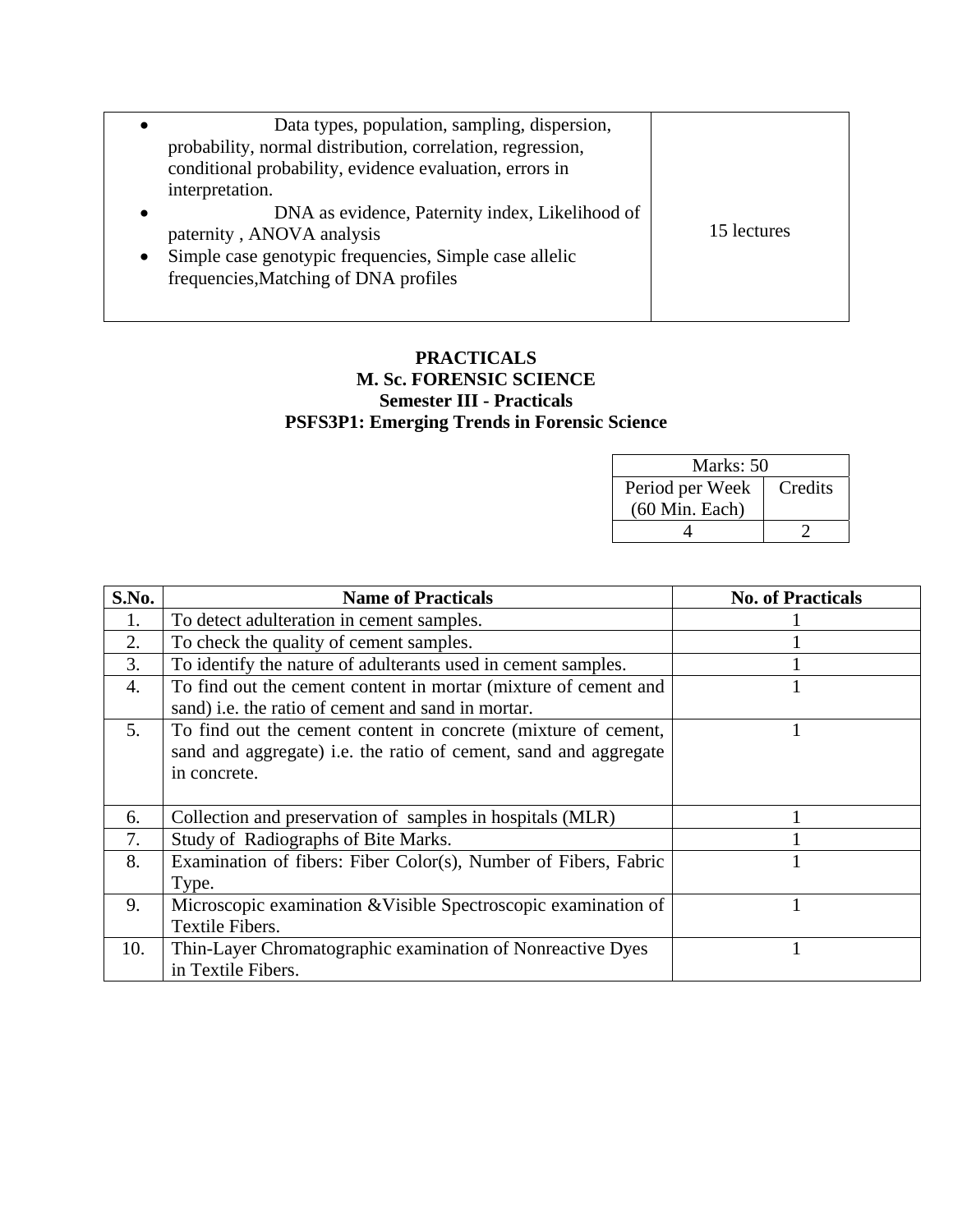|           | Data types, population, sampling, dispersion,              |             |
|-----------|------------------------------------------------------------|-------------|
|           | probability, normal distribution, correlation, regression, |             |
|           | conditional probability, evidence evaluation, errors in    |             |
|           | interpretation.                                            |             |
|           | DNA as evidence, Paternity index, Likelihood of            |             |
|           | paternity, ANOVA analysis                                  | 15 lectures |
| $\bullet$ | Simple case genotypic frequencies, Simple case allelic     |             |
|           | frequencies, Matching of DNA profiles                      |             |
|           |                                                            |             |

#### **PRACTICALS M. Sc. FORENSIC SCIENCE Semester III - Practicals PSFS3P1: Emerging Trends in Forensic Science**

| Marks: 50                |         |
|--------------------------|---------|
| Period per Week          | Credits |
| $(60 \text{ Min.}$ Each) |         |
|                          |         |

| S.No. | <b>Name of Practicals</b>                                                                                                                          | <b>No. of Practicals</b> |
|-------|----------------------------------------------------------------------------------------------------------------------------------------------------|--------------------------|
| 1.    | To detect adulteration in cement samples.                                                                                                          |                          |
| 2.    | To check the quality of cement samples.                                                                                                            |                          |
| 3.    | To identify the nature of adulterants used in cement samples.                                                                                      |                          |
| 4.    | To find out the cement content in mortar (mixture of cement and<br>sand) i.e. the ratio of cement and sand in mortar.                              |                          |
| 5.    | To find out the cement content in concrete (mixture of cement,<br>sand and aggregate) i.e. the ratio of cement, sand and aggregate<br>in concrete. |                          |
| 6.    | Collection and preservation of samples in hospitals (MLR)                                                                                          |                          |
| 7.    | Study of Radiographs of Bite Marks.                                                                                                                |                          |
| 8.    | Examination of fibers: Fiber Color(s), Number of Fibers, Fabric<br>Type.                                                                           |                          |
| 9.    | Microscopic examination & Visible Spectroscopic examination of<br>Textile Fibers.                                                                  |                          |
| 10.   | Thin-Layer Chromatographic examination of Nonreactive Dyes<br>in Textile Fibers.                                                                   |                          |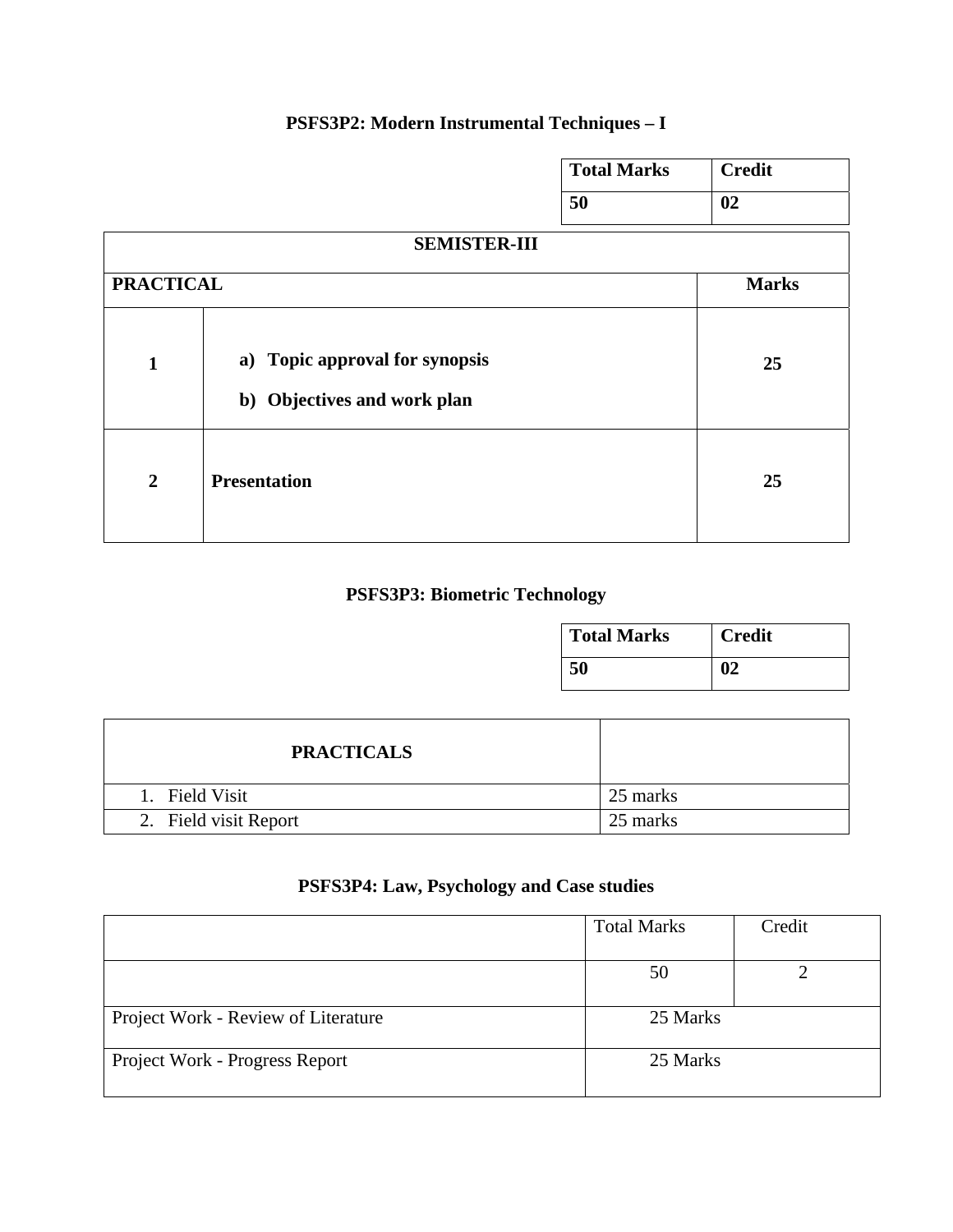### **PSFS3P2: Modern Instrumental Techniques – I**

|                  |                                                               | <b>Total Marks</b> | <b>Credit</b> |
|------------------|---------------------------------------------------------------|--------------------|---------------|
|                  |                                                               | 50                 | 02            |
|                  | <b>SEMISTER-III</b>                                           |                    |               |
| <b>PRACTICAL</b> |                                                               |                    | <b>Marks</b>  |
| 1                | a) Topic approval for synopsis<br>b) Objectives and work plan |                    | 25            |
| $\overline{2}$   | <b>Presentation</b>                                           |                    | 25            |

## **PSFS3P3: Biometric Technology**

| <b>Total Marks</b> | <b>Credit</b> |
|--------------------|---------------|
| 50                 |               |

| <b>PRACTICALS</b>     |          |
|-----------------------|----------|
| 1. Field Visit        | 25 marks |
| 2. Field visit Report | 25 marks |

### **PSFS3P4: Law, Psychology and Case studies**

|                                     | <b>Total Marks</b> | Credit |
|-------------------------------------|--------------------|--------|
|                                     | 50                 |        |
| Project Work - Review of Literature | 25 Marks           |        |
| Project Work - Progress Report      | 25 Marks           |        |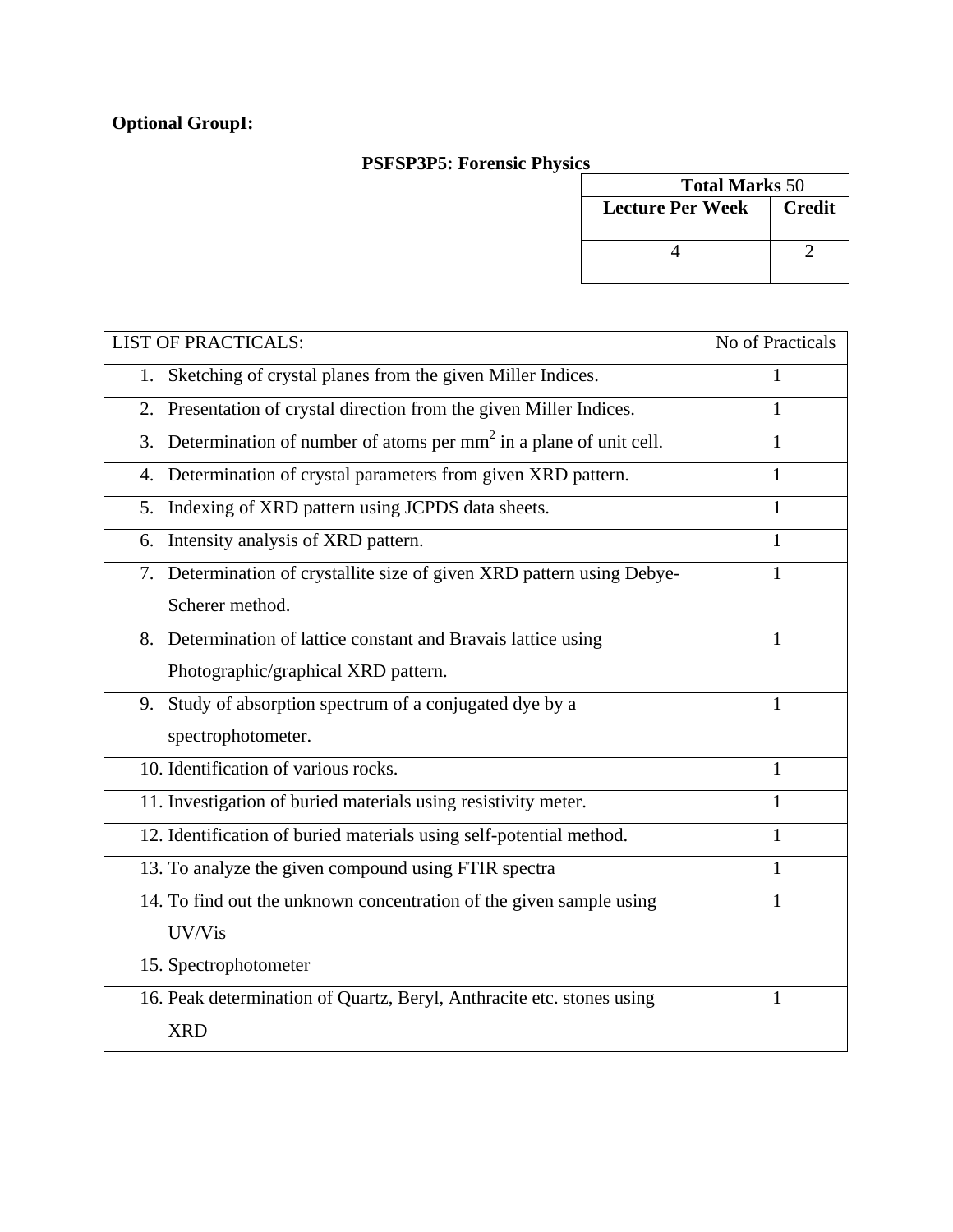## **Optional GroupI:**

### **PSFSP3P5: Forensic Physics**

| <b>Total Marks 50</b> |               |
|-----------------------|---------------|
| Lecture Per Week      | <b>Credit</b> |
|                       |               |
|                       |               |

| <b>LIST OF PRACTICALS:</b>                                                          | No of Practicals |
|-------------------------------------------------------------------------------------|------------------|
| Sketching of crystal planes from the given Miller Indices.<br>1.                    | 1                |
| Presentation of crystal direction from the given Miller Indices.<br>2.              | 1                |
| Determination of number of atoms per mm <sup>2</sup> in a plane of unit cell.<br>3. | 1                |
| Determination of crystal parameters from given XRD pattern.<br>4.                   | 1                |
| Indexing of XRD pattern using JCPDS data sheets.<br>5.                              | 1                |
| Intensity analysis of XRD pattern.<br>6.                                            | 1                |
| 7. Determination of crystallite size of given XRD pattern using Debye-              | 1                |
| Scherer method.                                                                     |                  |
| 8. Determination of lattice constant and Bravais lattice using                      | $\mathbf{1}$     |
| Photographic/graphical XRD pattern.                                                 |                  |
| Study of absorption spectrum of a conjugated dye by a<br>9.                         | $\mathbf{1}$     |
| spectrophotometer.                                                                  |                  |
| 10. Identification of various rocks.                                                | 1                |
| 11. Investigation of buried materials using resistivity meter.                      |                  |
| 12. Identification of buried materials using self-potential method.                 | 1                |
| 13. To analyze the given compound using FTIR spectra                                | 1                |
| 14. To find out the unknown concentration of the given sample using                 | 1                |
| UV/Vis                                                                              |                  |
| 15. Spectrophotometer                                                               |                  |
| 16. Peak determination of Quartz, Beryl, Anthracite etc. stones using               | $\mathbf{1}$     |
| <b>XRD</b>                                                                          |                  |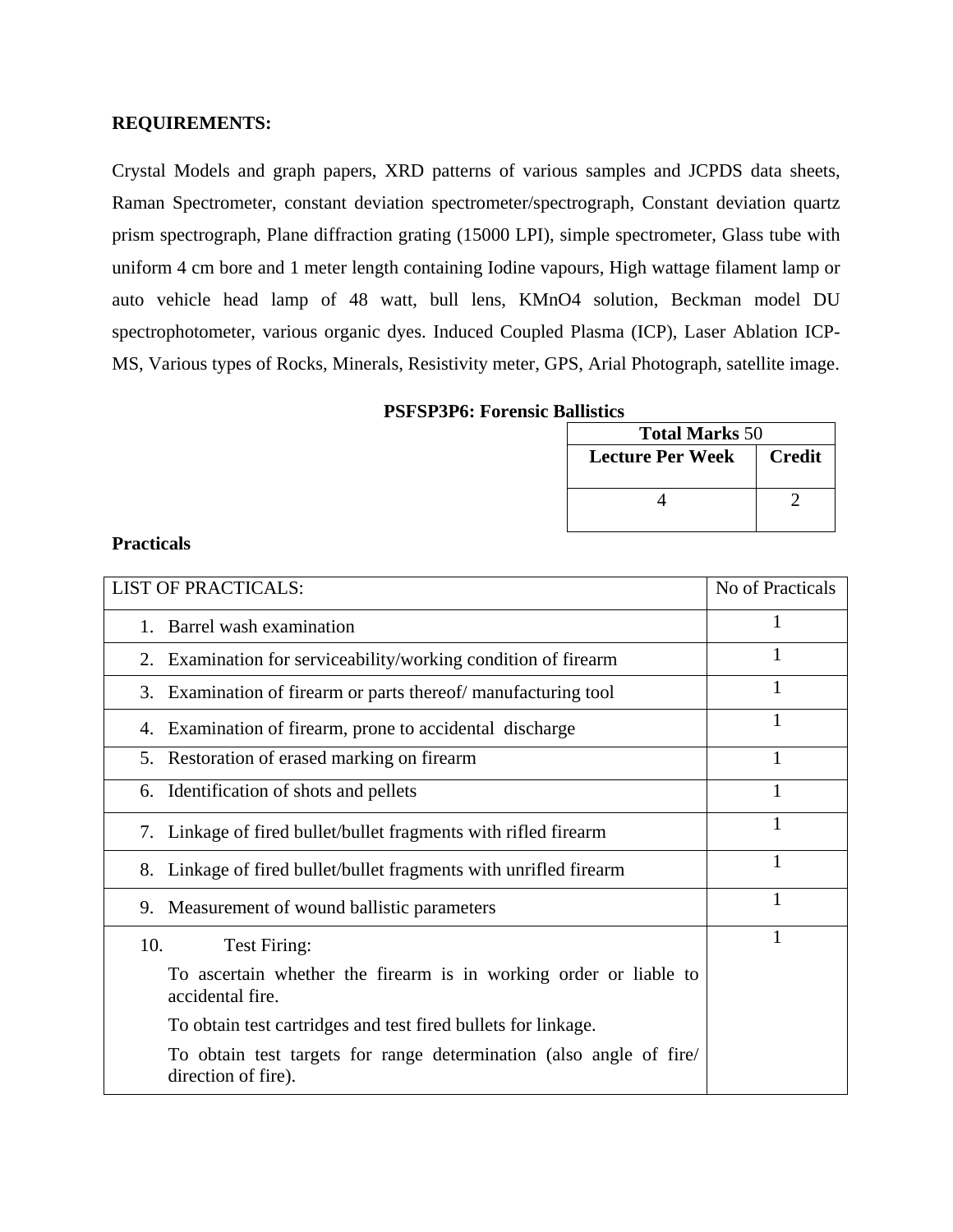#### **REQUIREMENTS:**

Crystal Models and graph papers, XRD patterns of various samples and JCPDS data sheets, Raman Spectrometer, constant deviation spectrometer/spectrograph, Constant deviation quartz prism spectrograph, Plane diffraction grating (15000 LPI), simple spectrometer, Glass tube with uniform 4 cm bore and 1 meter length containing Iodine vapours, High wattage filament lamp or auto vehicle head lamp of 48 watt, bull lens, KMnO4 solution, Beckman model DU spectrophotometer, various organic dyes. Induced Coupled Plasma (ICP), Laser Ablation ICP-MS, Various types of Rocks, Minerals, Resistivity meter, GPS, Arial Photograph, satellite image.

#### **PSFSP3P6: Forensic Ballistics**

| <b>Total Marks 50</b> |               |  |
|-----------------------|---------------|--|
| Lecture Per Week      | <b>Credit</b> |  |
|                       |               |  |
|                       |               |  |
|                       |               |  |

#### **Practicals**

| <b>LIST OF PRACTICALS:</b>                                                                 | No of Practicals |
|--------------------------------------------------------------------------------------------|------------------|
| Barrel wash examination<br>$1_{-}$                                                         |                  |
| Examination for serviceability/working condition of firearm<br>2.                          |                  |
| Examination of firearm or parts thereof/manufacturing tool<br>3.                           |                  |
| Examination of firearm, prone to accidental discharge<br>4.                                | 1                |
| Restoration of erased marking on firearm<br>5.                                             | 1                |
| Identification of shots and pellets<br>6.                                                  |                  |
| 7. Linkage of fired bullet/bullet fragments with rifled firearm                            | 1                |
| 8. Linkage of fired bullet/bullet fragments with unrifled firearm                          | 1                |
| 9. Measurement of wound ballistic parameters                                               | 1                |
| 10.<br><b>Test Firing:</b>                                                                 | 1                |
| To ascertain whether the firearm is in working order or liable to<br>accidental fire.      |                  |
| To obtain test cartridges and test fired bullets for linkage.                              |                  |
| To obtain test targets for range determination (also angle of fire/<br>direction of fire). |                  |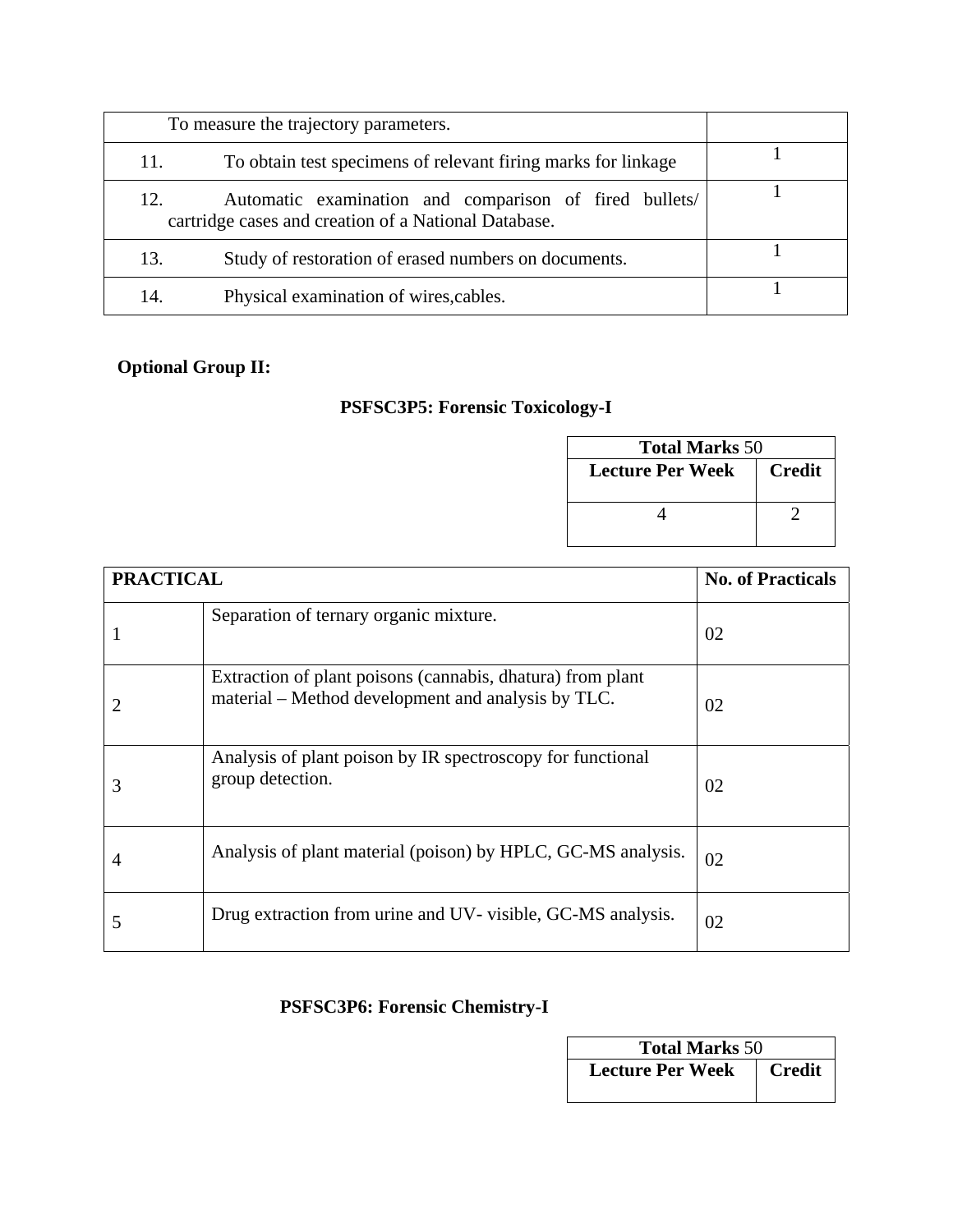|     | To measure the trajectory parameters.                                                                          |  |
|-----|----------------------------------------------------------------------------------------------------------------|--|
| 11. | To obtain test specimens of relevant firing marks for linkage                                                  |  |
| 12. | Automatic examination and comparison of fired bullets/<br>cartridge cases and creation of a National Database. |  |
| 13. | Study of restoration of erased numbers on documents.                                                           |  |
| 14. | Physical examination of wires, cables.                                                                         |  |

### **Optional Group II:**

### **PSFSC3P5: Forensic Toxicology-I**

| <b>Total Marks 50</b> |               |  |
|-----------------------|---------------|--|
| Lecture Per Week      | <b>Credit</b> |  |
|                       |               |  |
|                       |               |  |
|                       |               |  |

| <b>PRACTICAL</b> |                                                                                                                  | <b>No. of Practicals</b> |
|------------------|------------------------------------------------------------------------------------------------------------------|--------------------------|
|                  | Separation of ternary organic mixture.                                                                           | 02                       |
|                  | Extraction of plant poisons (cannabis, dhatura) from plant<br>material – Method development and analysis by TLC. | 02                       |
| 3                | Analysis of plant poison by IR spectroscopy for functional<br>group detection.                                   | 02                       |
| 4                | Analysis of plant material (poison) by HPLC, GC-MS analysis.                                                     | 02                       |
| 5                | Drug extraction from urine and UV- visible, GC-MS analysis.                                                      | 02                       |

### **PSFSC3P6: Forensic Chemistry-I**

| <b>Total Marks 50</b>   |               |  |
|-------------------------|---------------|--|
| <b>Lecture Per Week</b> | <b>Credit</b> |  |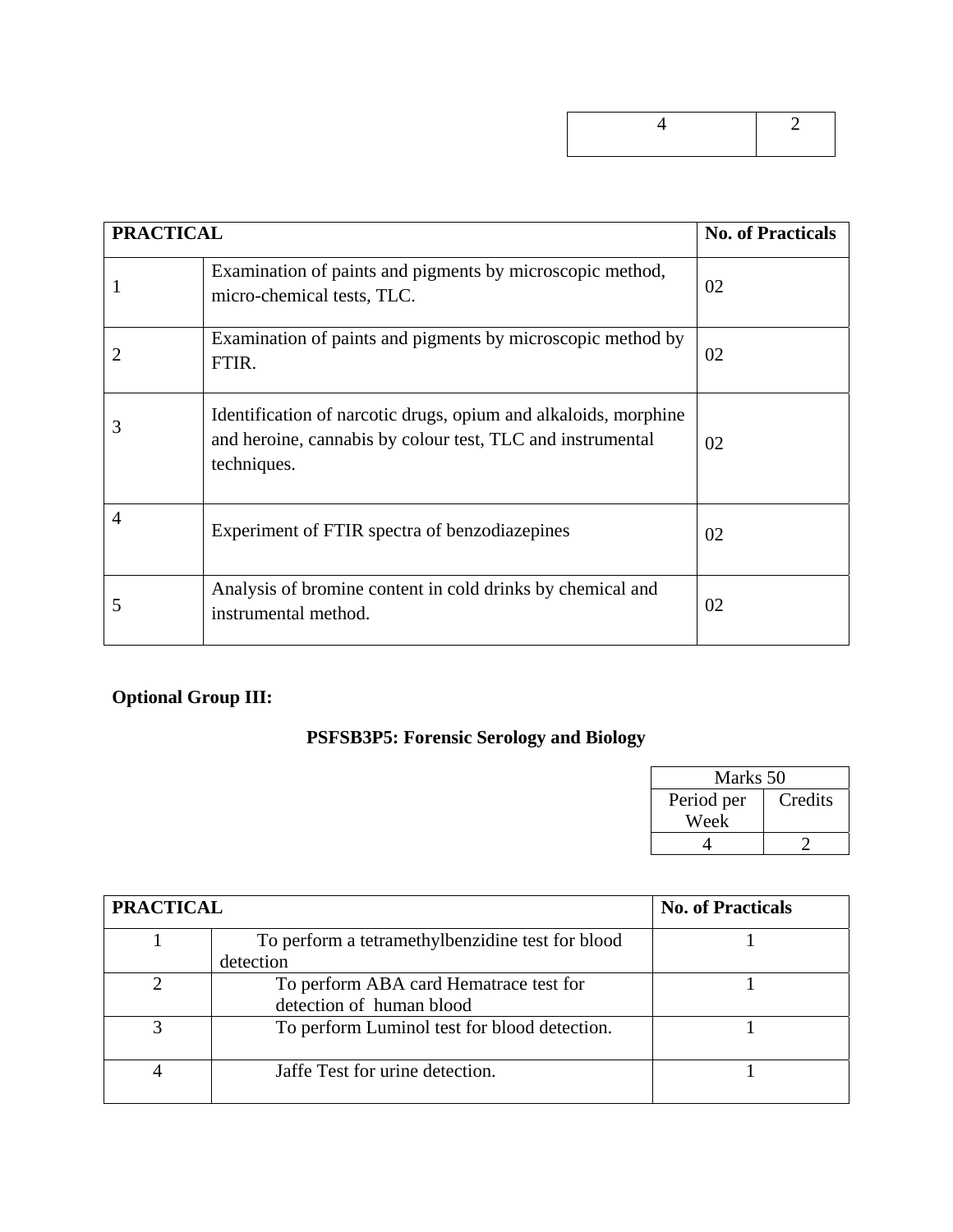$\overline{1}$ 

| <b>PRACTICAL</b> |                                                                                                                                              | <b>No. of Practicals</b> |
|------------------|----------------------------------------------------------------------------------------------------------------------------------------------|--------------------------|
| 1                | Examination of paints and pigments by microscopic method,<br>micro-chemical tests, TLC.                                                      | 02                       |
| 2                | Examination of paints and pigments by microscopic method by<br>FTIR.                                                                         | 02                       |
| 3                | Identification of narcotic drugs, opium and alkaloids, morphine<br>and heroine, cannabis by colour test, TLC and instrumental<br>techniques. | 02                       |
| 4                | Experiment of FTIR spectra of benzodiazepines                                                                                                | 02                       |
| 5                | Analysis of bromine content in cold drinks by chemical and<br>instrumental method.                                                           | 02                       |

## **Optional Group III:**

### **PSFSB3P5: Forensic Serology and Biology**

| Marks 50   |         |  |
|------------|---------|--|
| Period per | Credits |  |
| Week       |         |  |
|            |         |  |

| <b>PRACTICAL</b> |                                                  | <b>No. of Practicals</b> |
|------------------|--------------------------------------------------|--------------------------|
|                  | To perform a tetramethylbenzidine test for blood |                          |
|                  | detection                                        |                          |
|                  | To perform ABA card Hematrace test for           |                          |
|                  | detection of human blood                         |                          |
|                  | To perform Luminol test for blood detection.     |                          |
|                  | Jaffe Test for urine detection.                  |                          |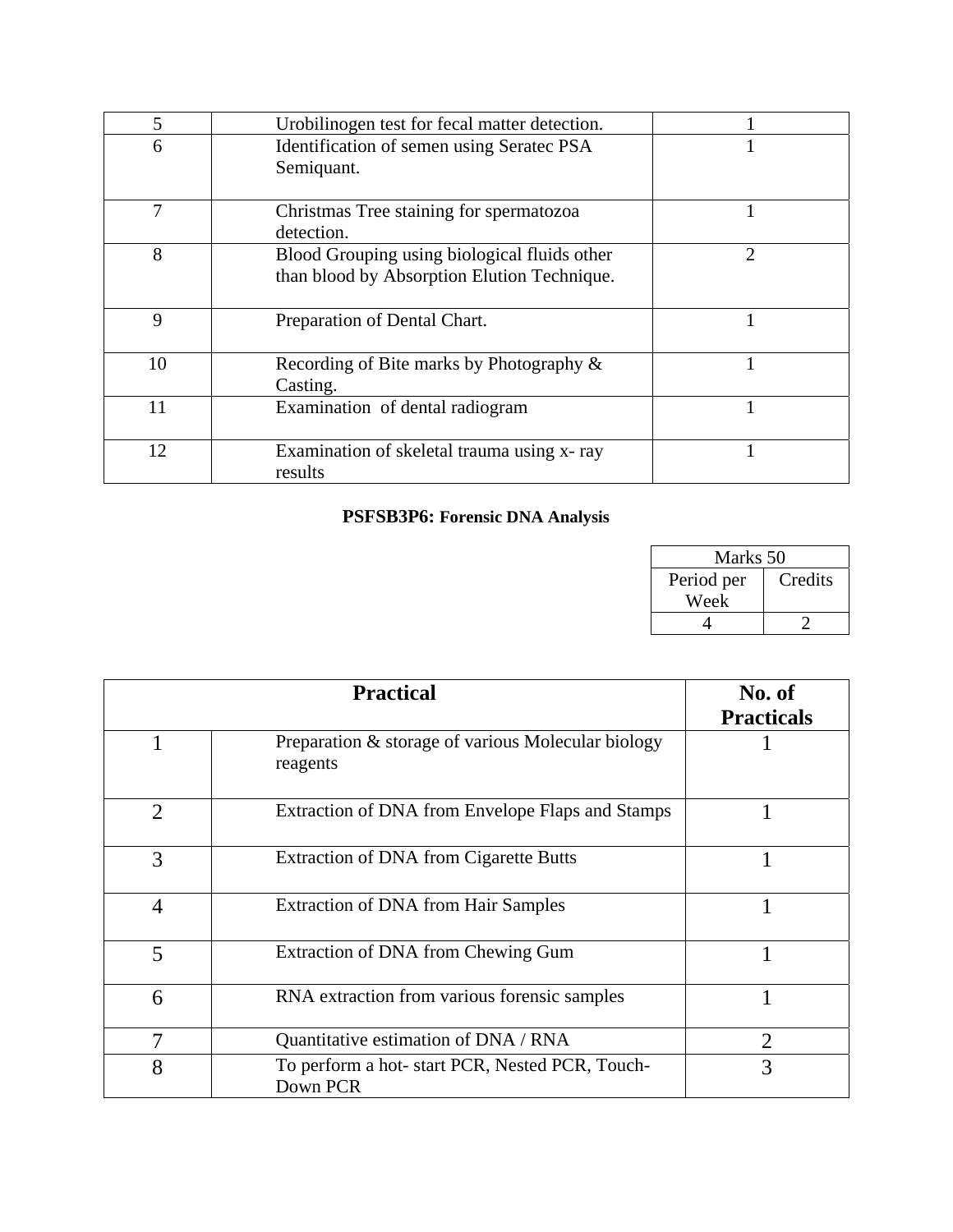| 5  | Urobilinogen test for fecal matter detection.                                               |                       |
|----|---------------------------------------------------------------------------------------------|-----------------------|
| 6  | Identification of semen using Seratec PSA                                                   |                       |
|    | Semiquant.                                                                                  |                       |
| 7  | Christmas Tree staining for spermatozoa<br>detection.                                       |                       |
| 8  | Blood Grouping using biological fluids other<br>than blood by Absorption Elution Technique. | $\mathcal{D}_{\cdot}$ |
| 9  | Preparation of Dental Chart.                                                                |                       |
| 10 | Recording of Bite marks by Photography &<br>Casting.                                        |                       |
| 11 | Examination of dental radiogram                                                             |                       |
| 12 | Examination of skeletal trauma using x-ray<br>results                                       |                       |

### **PSFSB3P6: Forensic DNA Analysis**

| Marks 50   |         |  |
|------------|---------|--|
| Period per | Credits |  |
| Week       |         |  |
|            |         |  |

|                             | <b>Practical</b>                                               | No. of<br><b>Practicals</b> |
|-----------------------------|----------------------------------------------------------------|-----------------------------|
|                             | Preparation & storage of various Molecular biology<br>reagents |                             |
| $\mathcal{D}_{\mathcal{L}}$ | Extraction of DNA from Envelope Flaps and Stamps               |                             |
| 3                           | <b>Extraction of DNA from Cigarette Butts</b>                  |                             |
| 4                           | <b>Extraction of DNA from Hair Samples</b>                     |                             |
| 5                           | Extraction of DNA from Chewing Gum                             |                             |
| 6                           | RNA extraction from various forensic samples                   |                             |
| 7                           | Quantitative estimation of DNA / RNA                           | $\overline{2}$              |
| 8                           | To perform a hot-start PCR, Nested PCR, Touch-<br>Down PCR     | 3                           |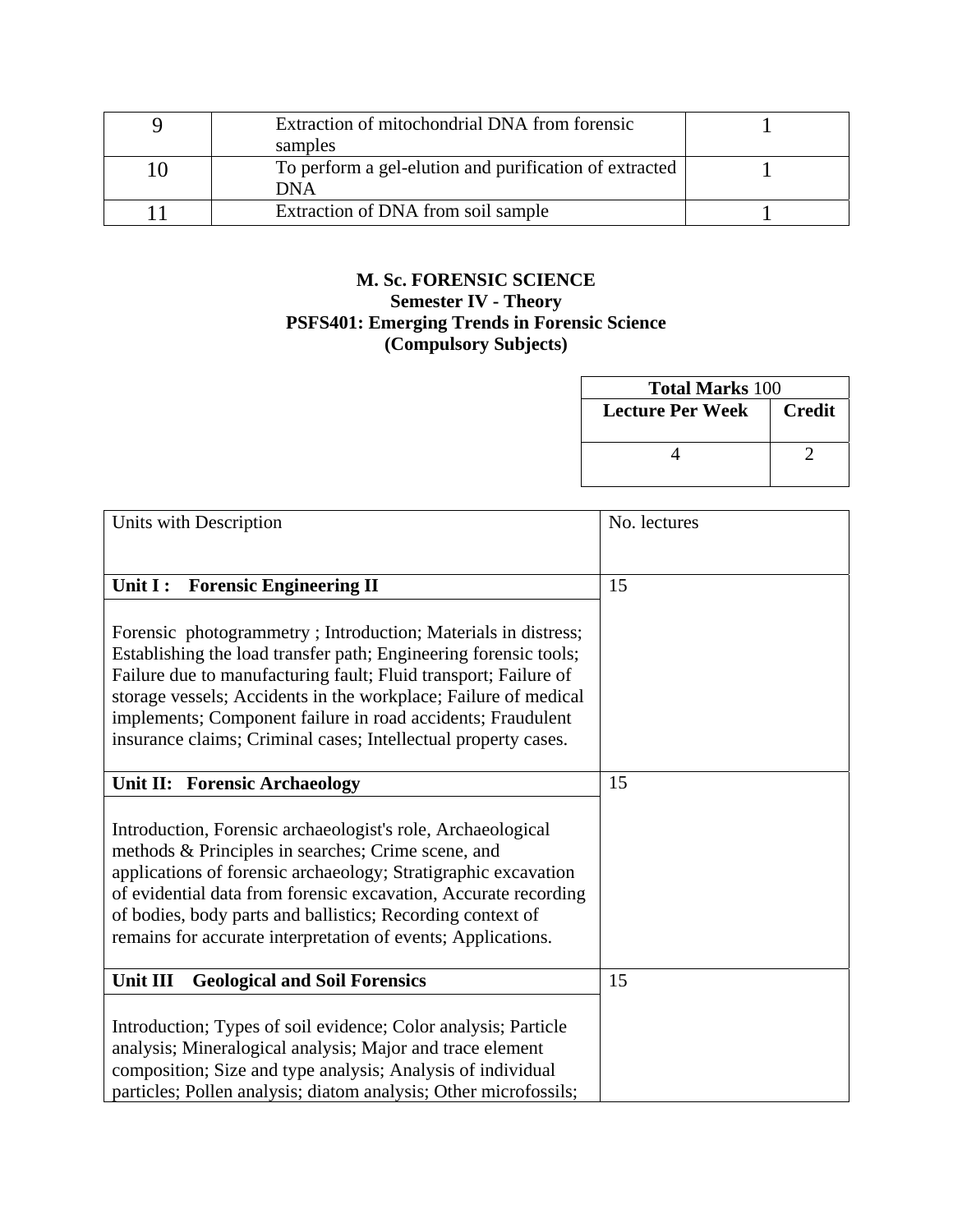| Extraction of mitochondrial DNA from forensic<br>samples      |  |
|---------------------------------------------------------------|--|
| To perform a gel-elution and purification of extracted<br>DNA |  |
| Extraction of DNA from soil sample                            |  |

#### **M. Sc. FORENSIC SCIENCE Semester IV - Theory PSFS401: Emerging Trends in Forensic Science (Compulsory Subjects)**

| <b>Total Marks 100</b>  |               |
|-------------------------|---------------|
| <b>Lecture Per Week</b> | <b>Credit</b> |
|                         |               |
|                         |               |
|                         |               |
|                         |               |

| Units with Description                                                                                                                                                                                                                                                                                                                                                                                   | No. lectures |
|----------------------------------------------------------------------------------------------------------------------------------------------------------------------------------------------------------------------------------------------------------------------------------------------------------------------------------------------------------------------------------------------------------|--------------|
| Unit I:<br><b>Forensic Engineering II</b>                                                                                                                                                                                                                                                                                                                                                                | 15           |
| Forensic photogrammetry; Introduction; Materials in distress;<br>Establishing the load transfer path; Engineering forensic tools;<br>Failure due to manufacturing fault; Fluid transport; Failure of<br>storage vessels; Accidents in the workplace; Failure of medical<br>implements; Component failure in road accidents; Fraudulent<br>insurance claims; Criminal cases; Intellectual property cases. |              |
| Unit II: Forensic Archaeology                                                                                                                                                                                                                                                                                                                                                                            | 15           |
| Introduction, Forensic archaeologist's role, Archaeological<br>methods & Principles in searches; Crime scene, and<br>applications of forensic archaeology; Stratigraphic excavation<br>of evidential data from forensic excavation, Accurate recording<br>of bodies, body parts and ballistics; Recording context of<br>remains for accurate interpretation of events; Applications.                     |              |
| Unit III<br><b>Geological and Soil Forensics</b>                                                                                                                                                                                                                                                                                                                                                         | 15           |
| Introduction; Types of soil evidence; Color analysis; Particle<br>analysis; Mineralogical analysis; Major and trace element<br>composition; Size and type analysis; Analysis of individual<br>particles; Pollen analysis; diatom analysis; Other microfossils;                                                                                                                                           |              |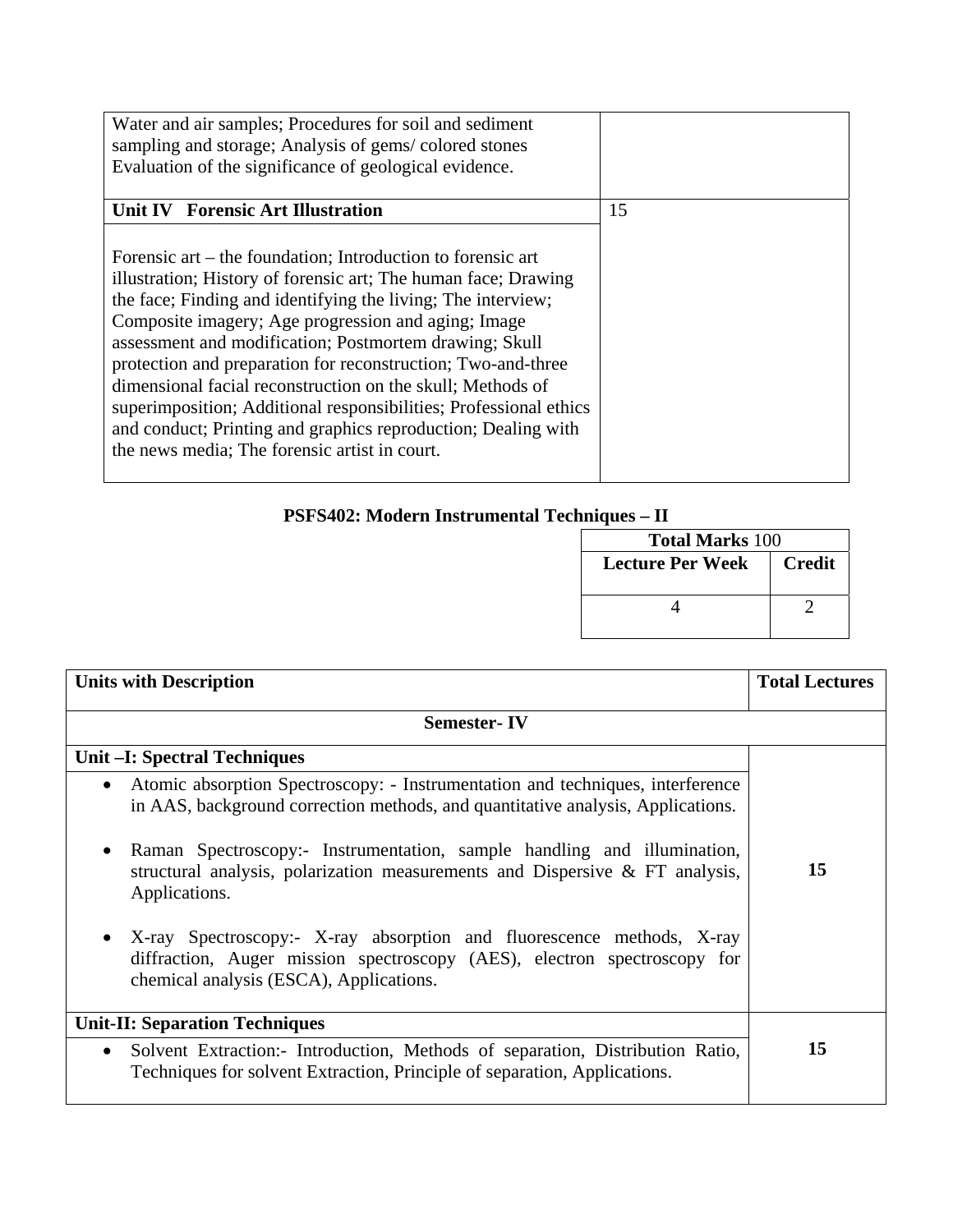| Water and air samples; Procedures for soil and sediment<br>sampling and storage; Analysis of gems/colored stones<br>Evaluation of the significance of geological evidence.                                                                                                                                                                                                                                                                                                                                                                                                                                                          |    |
|-------------------------------------------------------------------------------------------------------------------------------------------------------------------------------------------------------------------------------------------------------------------------------------------------------------------------------------------------------------------------------------------------------------------------------------------------------------------------------------------------------------------------------------------------------------------------------------------------------------------------------------|----|
| <b>Unit IV Forensic Art Illustration</b>                                                                                                                                                                                                                                                                                                                                                                                                                                                                                                                                                                                            | 15 |
| Forensic art – the foundation; Introduction to forensic art<br>illustration; History of forensic art; The human face; Drawing<br>the face; Finding and identifying the living; The interview;<br>Composite imagery; Age progression and aging; Image<br>assessment and modification; Postmortem drawing; Skull<br>protection and preparation for reconstruction; Two-and-three<br>dimensional facial reconstruction on the skull; Methods of<br>superimposition; Additional responsibilities; Professional ethics<br>and conduct; Printing and graphics reproduction; Dealing with<br>the news media; The forensic artist in court. |    |

### **PSFS402: Modern Instrumental Techniques – II**

| <b>Total Marks</b> 100 |               |  |
|------------------------|---------------|--|
| Lecture Per Week       | <b>Credit</b> |  |
|                        |               |  |
|                        |               |  |
|                        |               |  |

| <b>Units with Description</b>                                                                                                                                                                | <b>Total Lectures</b> |
|----------------------------------------------------------------------------------------------------------------------------------------------------------------------------------------------|-----------------------|
| <b>Semester-IV</b>                                                                                                                                                                           |                       |
| Unit -I: Spectral Techniques                                                                                                                                                                 |                       |
| Atomic absorption Spectroscopy: - Instrumentation and techniques, interference<br>$\bullet$<br>in AAS, background correction methods, and quantitative analysis, Applications.               |                       |
| Raman Spectroscopy:- Instrumentation, sample handling and illumination,<br>structural analysis, polarization measurements and Dispersive $\&$ FT analysis,<br>Applications.                  | 15                    |
| X-ray Spectroscopy:- X-ray absorption and fluorescence methods, X-ray<br>diffraction, Auger mission spectroscopy (AES), electron spectroscopy for<br>chemical analysis (ESCA), Applications. |                       |
| <b>Unit-II: Separation Techniques</b>                                                                                                                                                        |                       |
| Solvent Extraction:- Introduction, Methods of separation, Distribution Ratio,<br>$\bullet$<br>Techniques for solvent Extraction, Principle of separation, Applications.                      | 15                    |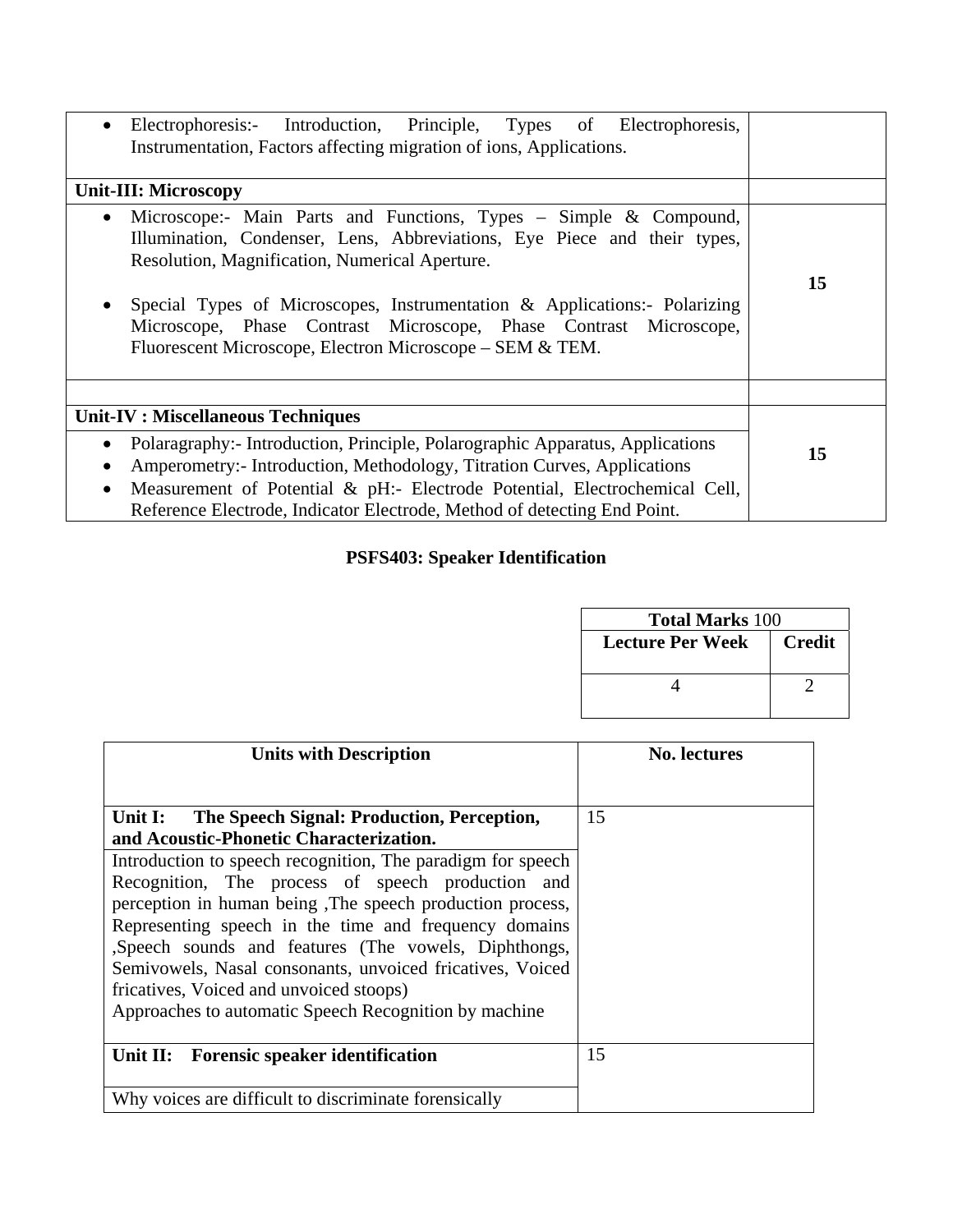| Electrophoresis:- Introduction, Principle, Types of Electrophoresis,<br>$\bullet$<br>Instrumentation, Factors affecting migration of ions, Applications.                                                                                                                                                                                                                                                                                |    |
|-----------------------------------------------------------------------------------------------------------------------------------------------------------------------------------------------------------------------------------------------------------------------------------------------------------------------------------------------------------------------------------------------------------------------------------------|----|
| <b>Unit-III: Microscopy</b>                                                                                                                                                                                                                                                                                                                                                                                                             |    |
| Microscope:- Main Parts and Functions, Types – Simple & Compound,<br>$\bullet$<br>Illumination, Condenser, Lens, Abbreviations, Eye Piece and their types,<br>Resolution, Magnification, Numerical Aperture.<br>Special Types of Microscopes, Instrumentation & Applications:- Polarizing<br>$\bullet$<br>Microscope, Phase Contrast Microscope, Phase Contrast Microscope,<br>Fluorescent Microscope, Electron Microscope – SEM & TEM. | 15 |
|                                                                                                                                                                                                                                                                                                                                                                                                                                         |    |
| Unit-IV : Miscellaneous Techniques                                                                                                                                                                                                                                                                                                                                                                                                      |    |
| Polaragraphy:- Introduction, Principle, Polarographic Apparatus, Applications<br>$\bullet$<br>Amperometry:- Introduction, Methodology, Titration Curves, Applications<br>$\bullet$<br>Measurement of Potential & pH:- Electrode Potential, Electrochemical Cell,<br>$\bullet$<br>Reference Electrode, Indicator Electrode, Method of detecting End Point.                                                                               | 15 |

### **PSFS403: Speaker Identification**

| <b>Total Marks</b> 100  |               |
|-------------------------|---------------|
| <b>Lecture Per Week</b> | <b>Credit</b> |
|                         |               |

| <b>Units with Description</b>                                | <b>No. lectures</b> |
|--------------------------------------------------------------|---------------------|
|                                                              |                     |
| The Speech Signal: Production, Perception,<br><b>Unit I:</b> | 15                  |
| and Acoustic-Phonetic Characterization.                      |                     |
| Introduction to speech recognition, The paradigm for speech  |                     |
| Recognition, The process of speech production and            |                     |
| perception in human being. The speech production process,    |                     |
| Representing speech in the time and frequency domains        |                     |
| ,Speech sounds and features (The vowels, Diphthongs,         |                     |
| Semivowels, Nasal consonants, unvoiced fricatives, Voiced    |                     |
| fricatives, Voiced and unvoiced stoops)                      |                     |
| Approaches to automatic Speech Recognition by machine        |                     |
|                                                              |                     |
| Unit II: Forensic speaker identification                     | 15                  |
|                                                              |                     |
| Why voices are difficult to discriminate forensically        |                     |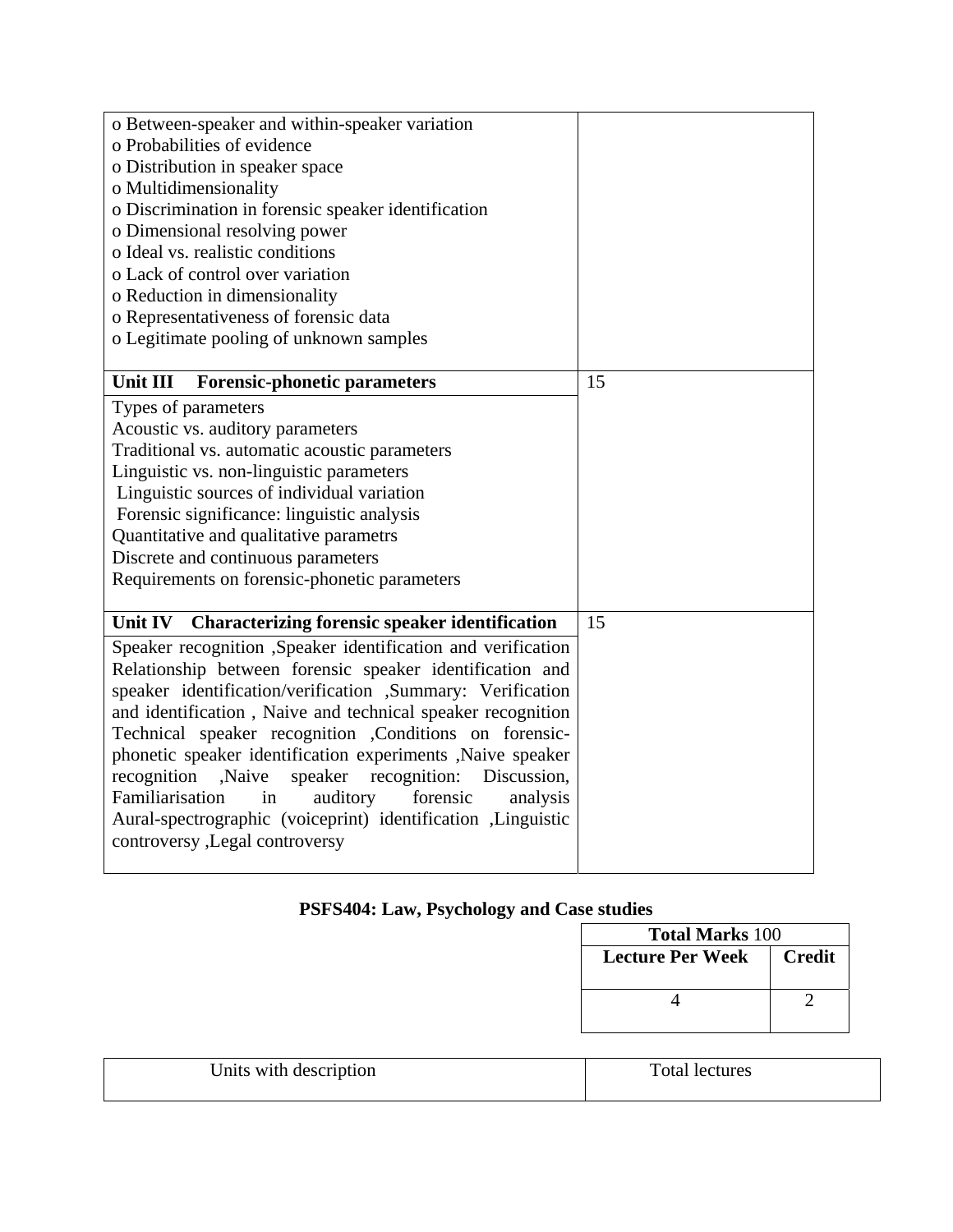| o Between-speaker and within-speaker variation<br>o Probabilities of evidence<br>o Distribution in speaker space<br>o Multidimensionality<br>o Discrimination in forensic speaker identification<br>o Dimensional resolving power<br>o Ideal vs. realistic conditions                                                                                                                                                                                                                                                                                                                                             |    |
|-------------------------------------------------------------------------------------------------------------------------------------------------------------------------------------------------------------------------------------------------------------------------------------------------------------------------------------------------------------------------------------------------------------------------------------------------------------------------------------------------------------------------------------------------------------------------------------------------------------------|----|
| o Lack of control over variation<br>o Reduction in dimensionality                                                                                                                                                                                                                                                                                                                                                                                                                                                                                                                                                 |    |
| o Representativeness of forensic data<br>o Legitimate pooling of unknown samples                                                                                                                                                                                                                                                                                                                                                                                                                                                                                                                                  |    |
| <b>Unit III</b><br><b>Forensic-phonetic parameters</b>                                                                                                                                                                                                                                                                                                                                                                                                                                                                                                                                                            | 15 |
| Types of parameters<br>Acoustic vs. auditory parameters<br>Traditional vs. automatic acoustic parameters<br>Linguistic vs. non-linguistic parameters<br>Linguistic sources of individual variation<br>Forensic significance: linguistic analysis<br>Quantitative and qualitative parametrs<br>Discrete and continuous parameters<br>Requirements on forensic-phonetic parameters                                                                                                                                                                                                                                  |    |
| Unit IV<br><b>Characterizing forensic speaker identification</b>                                                                                                                                                                                                                                                                                                                                                                                                                                                                                                                                                  | 15 |
| Speaker recognition ,Speaker identification and verification<br>Relationship between forensic speaker identification and<br>speaker identification/verification ,Summary: Verification<br>and identification, Naive and technical speaker recognition<br>Technical speaker recognition , Conditions on forensic-<br>phonetic speaker identification experiments ,Naive speaker<br>recognition<br>,Naive<br>speaker<br>recognition:<br>Discussion,<br>Familiarisation<br>forensic<br>auditory<br>in<br>analysis<br>Aural-spectrographic (voiceprint) identification , Linguistic<br>controversy, Legal controversy |    |

### **PSFS404: Law, Psychology and Case studies**

| <b>Total Marks</b> 100 |               |
|------------------------|---------------|
| Lecture Per Week       | <b>Credit</b> |
|                        |               |
|                        |               |
|                        |               |

| Units with description<br>. | Total lectures |
|-----------------------------|----------------|
|                             |                |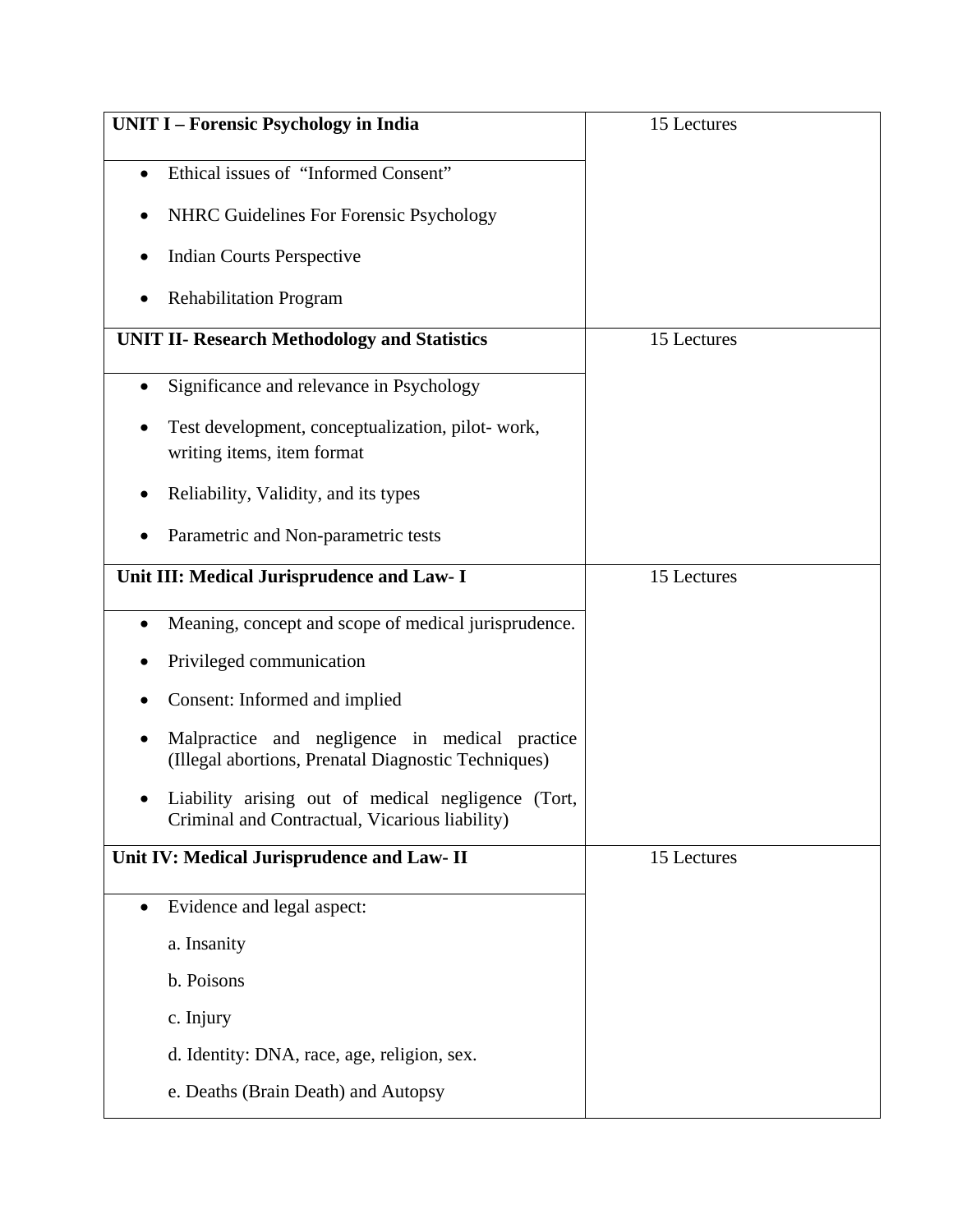| <b>UNIT I - Forensic Psychology in India</b>                                                          | 15 Lectures |
|-------------------------------------------------------------------------------------------------------|-------------|
| Ethical issues of "Informed Consent"<br>$\bullet$                                                     |             |
| <b>NHRC Guidelines For Forensic Psychology</b>                                                        |             |
| <b>Indian Courts Perspective</b>                                                                      |             |
| <b>Rehabilitation Program</b>                                                                         |             |
| <b>UNIT II- Research Methodology and Statistics</b>                                                   | 15 Lectures |
| Significance and relevance in Psychology<br>$\bullet$                                                 |             |
| Test development, conceptualization, pilot-work,<br>writing items, item format                        |             |
| Reliability, Validity, and its types                                                                  |             |
| Parametric and Non-parametric tests                                                                   |             |
| Unit III: Medical Jurisprudence and Law- I                                                            | 15 Lectures |
| Meaning, concept and scope of medical jurisprudence.<br>$\bullet$                                     |             |
| Privileged communication                                                                              |             |
| Consent: Informed and implied                                                                         |             |
| Malpractice and negligence in medical practice<br>(Illegal abortions, Prenatal Diagnostic Techniques) |             |
| Liability arising out of medical negligence (Tort,<br>Criminal and Contractual, Vicarious liability)  |             |
| Unit IV: Medical Jurisprudence and Law- II                                                            | 15 Lectures |
| Evidence and legal aspect:<br>$\bullet$                                                               |             |
| a. Insanity                                                                                           |             |
| b. Poisons                                                                                            |             |
| c. Injury                                                                                             |             |
| d. Identity: DNA, race, age, religion, sex.                                                           |             |
| e. Deaths (Brain Death) and Autopsy                                                                   |             |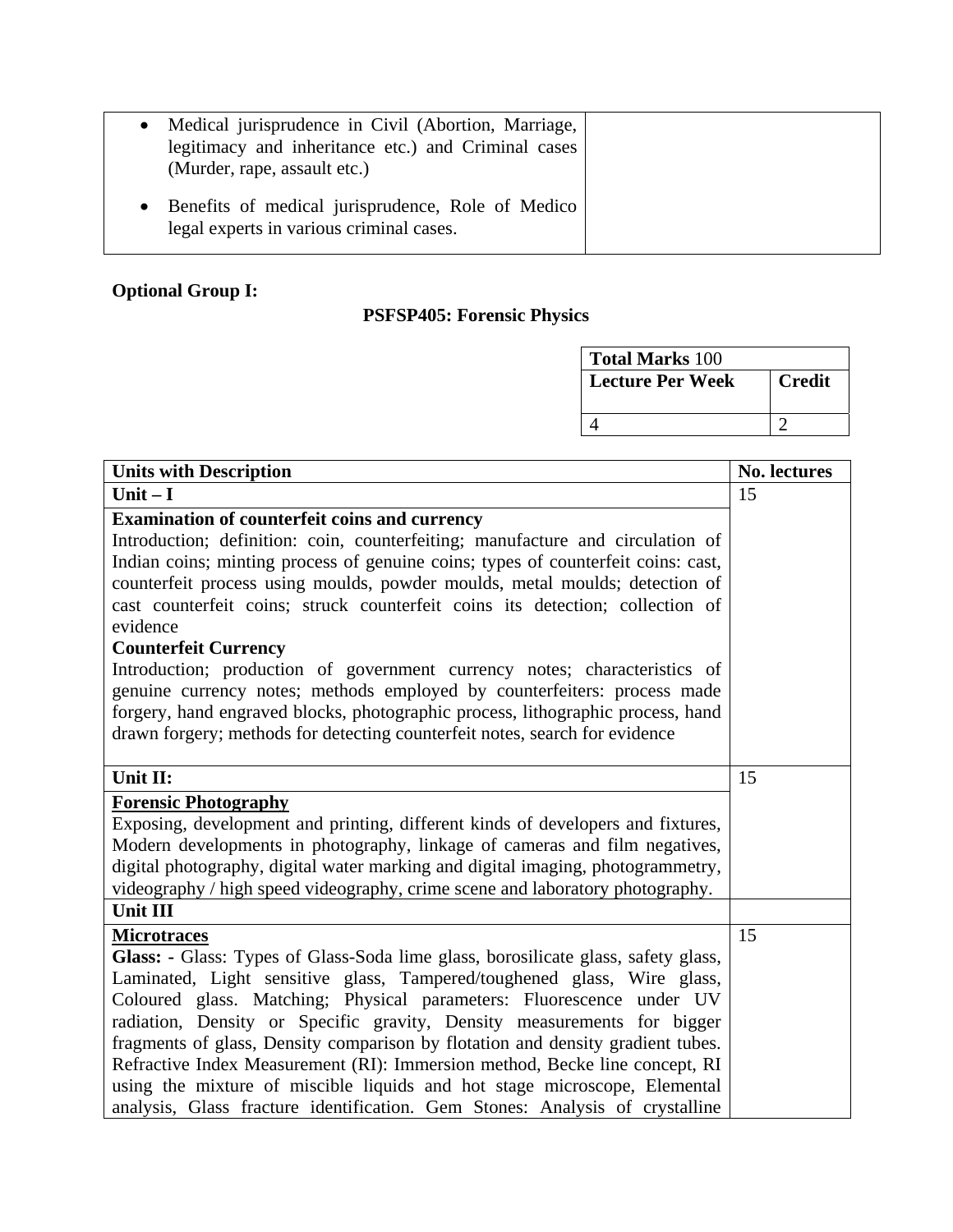| Medical jurisprudence in Civil (Abortion, Marriage,<br>legitimacy and inheritance etc.) and Criminal cases<br>(Murder, rape, assault etc.) |  |
|--------------------------------------------------------------------------------------------------------------------------------------------|--|
| Benefits of medical jurisprudence, Role of Medico<br>legal experts in various criminal cases.                                              |  |

### **Optional Group I:**

### **PSFSP405: Forensic Physics**

| <b>Total Marks 100</b>  |               |
|-------------------------|---------------|
| <b>Lecture Per Week</b> | <b>Credit</b> |
|                         |               |
|                         |               |

| <b>Units with Description</b>                                                     | No. lectures |
|-----------------------------------------------------------------------------------|--------------|
| Unit $-I$                                                                         | 15           |
| <b>Examination of counterfeit coins and currency</b>                              |              |
| Introduction; definition: coin, counterfeiting; manufacture and circulation of    |              |
| Indian coins; minting process of genuine coins; types of counterfeit coins: cast, |              |
| counterfeit process using moulds, powder moulds, metal moulds; detection of       |              |
| cast counterfeit coins; struck counterfeit coins its detection; collection of     |              |
| evidence                                                                          |              |
| <b>Counterfeit Currency</b>                                                       |              |
| Introduction; production of government currency notes; characteristics of         |              |
| genuine currency notes; methods employed by counterfeiters: process made          |              |
| forgery, hand engraved blocks, photographic process, lithographic process, hand   |              |
| drawn forgery; methods for detecting counterfeit notes, search for evidence       |              |
| Unit II:                                                                          | 15           |
| <b>Forensic Photography</b>                                                       |              |
| Exposing, development and printing, different kinds of developers and fixtures,   |              |
| Modern developments in photography, linkage of cameras and film negatives,        |              |
| digital photography, digital water marking and digital imaging, photogrammetry,   |              |
| videography / high speed videography, crime scene and laboratory photography.     |              |
| <b>Unit III</b>                                                                   |              |
| <b>Microtraces</b>                                                                | 15           |
| Glass: - Glass: Types of Glass-Soda lime glass, borosilicate glass, safety glass, |              |
| Laminated, Light sensitive glass, Tampered/toughened glass, Wire glass,           |              |
| Coloured glass. Matching; Physical parameters: Fluorescence under UV              |              |
| radiation, Density or Specific gravity, Density measurements for bigger           |              |
| fragments of glass, Density comparison by flotation and density gradient tubes.   |              |
| Refractive Index Measurement (RI): Immersion method, Becke line concept, RI       |              |
| using the mixture of miscible liquids and hot stage microscope, Elemental         |              |
| analysis, Glass fracture identification. Gem Stones: Analysis of crystalline      |              |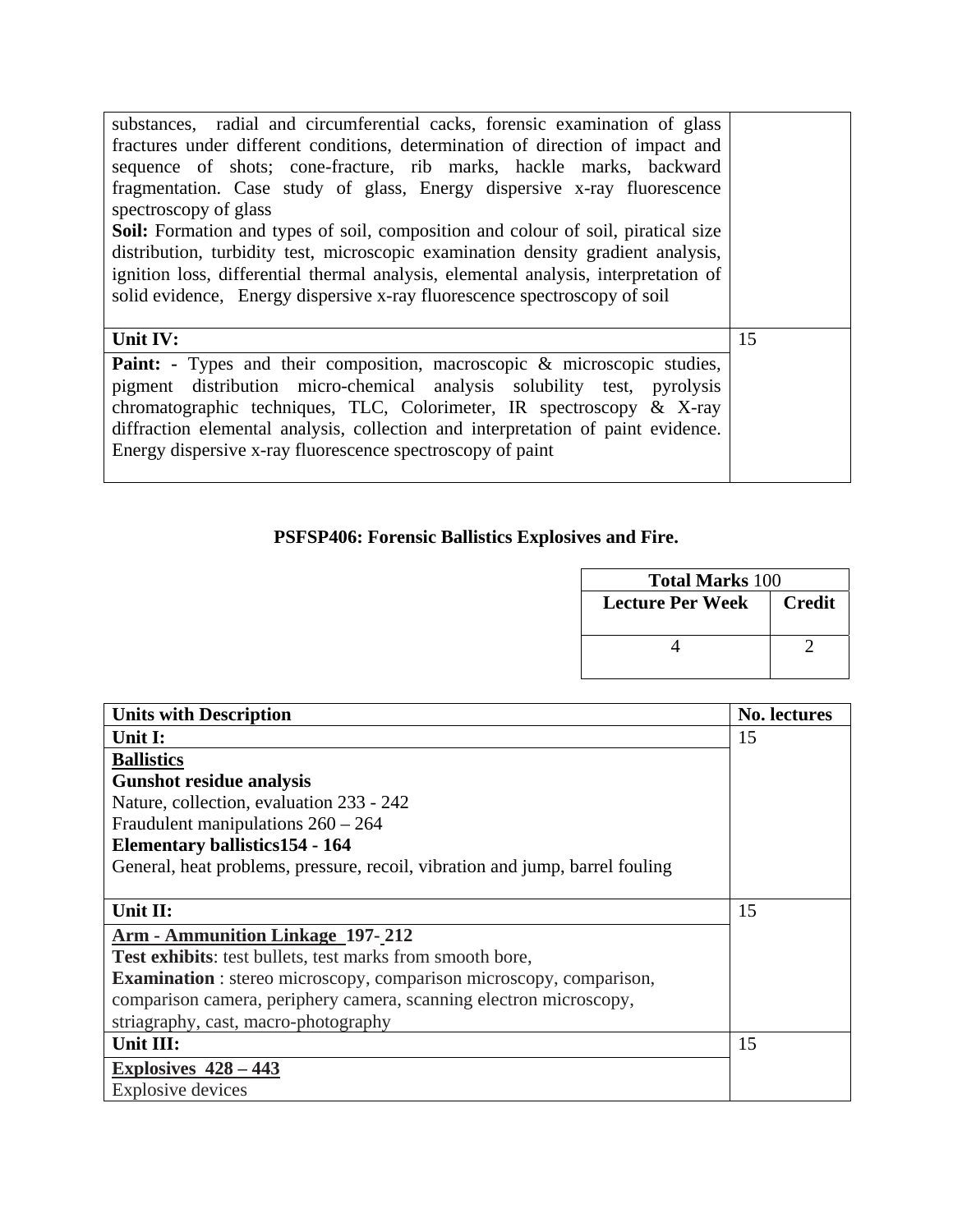| substances, radial and circumferential cacks, forensic examination of glass<br>fractures under different conditions, determination of direction of impact and<br>sequence of shots; cone-fracture, rib marks, hackle marks, backward<br>fragmentation. Case study of glass, Energy dispersive x-ray fluorescence<br>spectroscopy of glass<br><b>Soil:</b> Formation and types of soil, composition and colour of soil, piratical size<br>distribution, turbidity test, microscopic examination density gradient analysis,<br>ignition loss, differential thermal analysis, elemental analysis, interpretation of<br>solid evidence, Energy dispersive x-ray fluorescence spectroscopy of soil |    |
|-----------------------------------------------------------------------------------------------------------------------------------------------------------------------------------------------------------------------------------------------------------------------------------------------------------------------------------------------------------------------------------------------------------------------------------------------------------------------------------------------------------------------------------------------------------------------------------------------------------------------------------------------------------------------------------------------|----|
| Unit IV:<br>Paint: - Types and their composition, macroscopic & microscopic studies,<br>pigment distribution micro-chemical analysis solubility test, pyrolysis<br>chromatographic techniques, TLC, Colorimeter, IR spectroscopy $\&$ X-ray<br>diffraction elemental analysis, collection and interpretation of paint evidence.<br>Energy dispersive x-ray fluorescence spectroscopy of paint                                                                                                                                                                                                                                                                                                 | 15 |

## **PSFSP406: Forensic Ballistics Explosives and Fire.**

| <b>Total Marks 100</b>  |               |
|-------------------------|---------------|
| <b>Lecture Per Week</b> | <b>Credit</b> |
|                         |               |
|                         |               |
|                         |               |

| <b>Units with Description</b>                                                | <b>No. lectures</b> |
|------------------------------------------------------------------------------|---------------------|
| Unit I:                                                                      | 15                  |
| <b>Ballistics</b>                                                            |                     |
| <b>Gunshot residue analysis</b>                                              |                     |
| Nature, collection, evaluation 233 - 242                                     |                     |
| Fraudulent manipulations $260 - 264$                                         |                     |
| <b>Elementary ballistics154 - 164</b>                                        |                     |
| General, heat problems, pressure, recoil, vibration and jump, barrel fouling |                     |
|                                                                              |                     |
| Unit II:                                                                     | 15                  |
| <b>Arm - Ammunition Linkage 197-212</b>                                      |                     |
| Test exhibits: test bullets, test marks from smooth bore,                    |                     |
| <b>Examination</b> : stereo microscopy, comparison microscopy, comparison,   |                     |
| comparison camera, periphery camera, scanning electron microscopy,           |                     |
| striagraphy, cast, macro-photography                                         |                     |
| Unit III:                                                                    | 15                  |
| Explosives $428 - 443$                                                       |                     |
| Explosive devices                                                            |                     |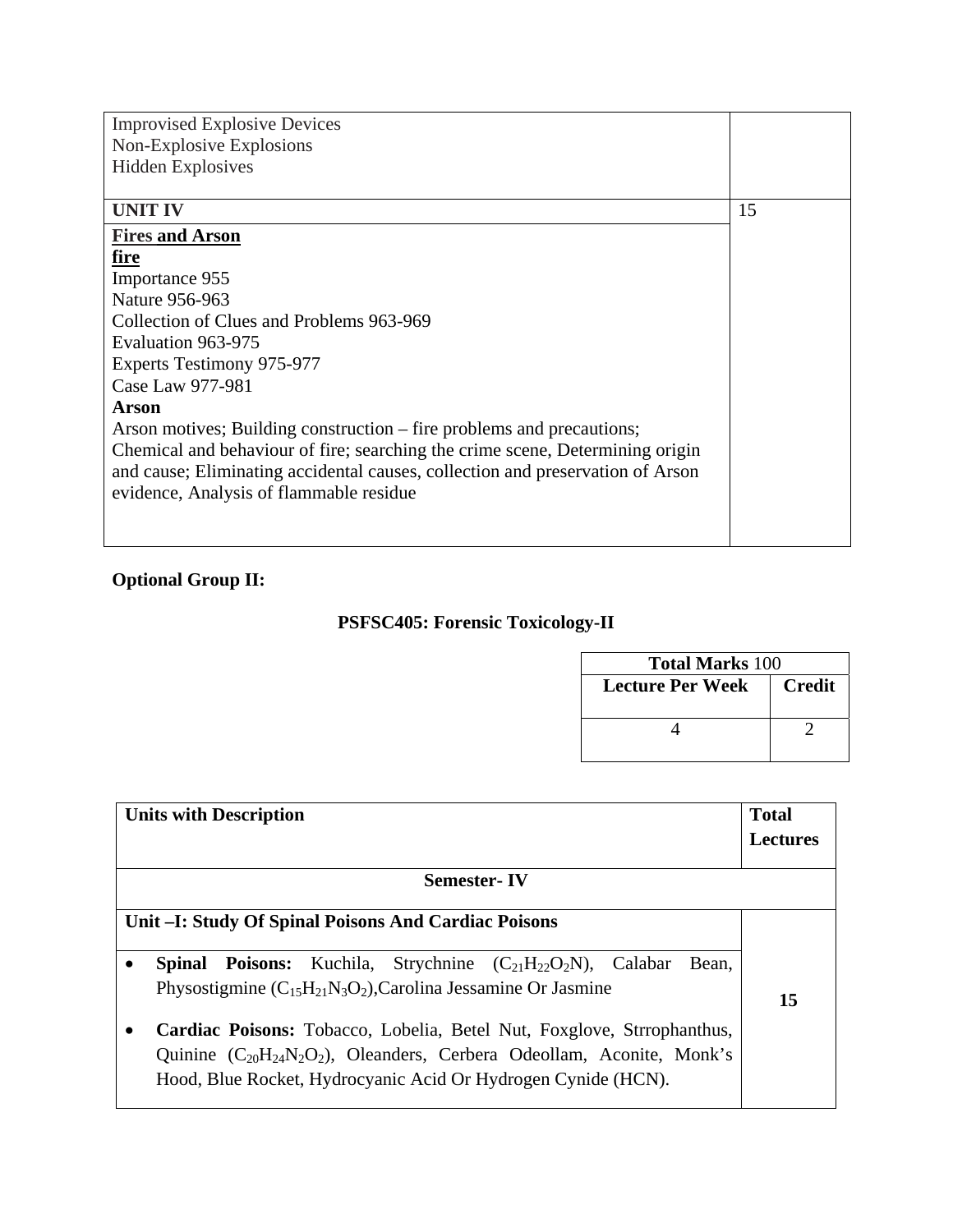| <b>Improvised Explosive Devices</b>                                            |    |
|--------------------------------------------------------------------------------|----|
| Non-Explosive Explosions                                                       |    |
| <b>Hidden Explosives</b>                                                       |    |
|                                                                                |    |
| <b>UNIT IV</b>                                                                 | 15 |
| <b>Fires and Arson</b>                                                         |    |
| <u>fire</u>                                                                    |    |
| Importance 955                                                                 |    |
| Nature 956-963                                                                 |    |
| Collection of Clues and Problems 963-969                                       |    |
| Evaluation 963-975                                                             |    |
| <b>Experts Testimony 975-977</b>                                               |    |
| Case Law 977-981                                                               |    |
| Arson                                                                          |    |
| Arson motives; Building construction – fire problems and precautions;          |    |
| Chemical and behaviour of fire; searching the crime scene, Determining origin  |    |
| and cause; Eliminating accidental causes, collection and preservation of Arson |    |
| evidence, Analysis of flammable residue                                        |    |
|                                                                                |    |
|                                                                                |    |

### **Optional Group II:**

### **PSFSC405: Forensic Toxicology-II**

| <b>Total Marks 100</b> |               |
|------------------------|---------------|
| Lecture Per Week       | <b>Credit</b> |
|                        |               |

| <b>Units with Description</b>                                                                                                                                                                                                 | <b>Total</b> |
|-------------------------------------------------------------------------------------------------------------------------------------------------------------------------------------------------------------------------------|--------------|
|                                                                                                                                                                                                                               | Lectures     |
| <b>Semester-IV</b>                                                                                                                                                                                                            |              |
| Unit -I: Study Of Spinal Poisons And Cardiac Poisons<br><b>Poisons:</b> Kuchila, Strychnine $(C_{21}H_{22}O_2N)$ , Calabar<br>Bean,<br><b>Spinal</b><br>$\bullet$                                                             |              |
| Physostigmine $(C_{15}H_{21}N_3O_2)$ , Carolina Jessamine Or Jasmine                                                                                                                                                          | 15           |
| Cardiac Poisons: Tobacco, Lobelia, Betel Nut, Foxglove, Strrophanthus,<br>٠<br>Quinine $(C_{20}H_{24}N_2O_2)$ , Oleanders, Cerbera Odeollam, Aconite, Monk's<br>Hood, Blue Rocket, Hydrocyanic Acid Or Hydrogen Cynide (HCN). |              |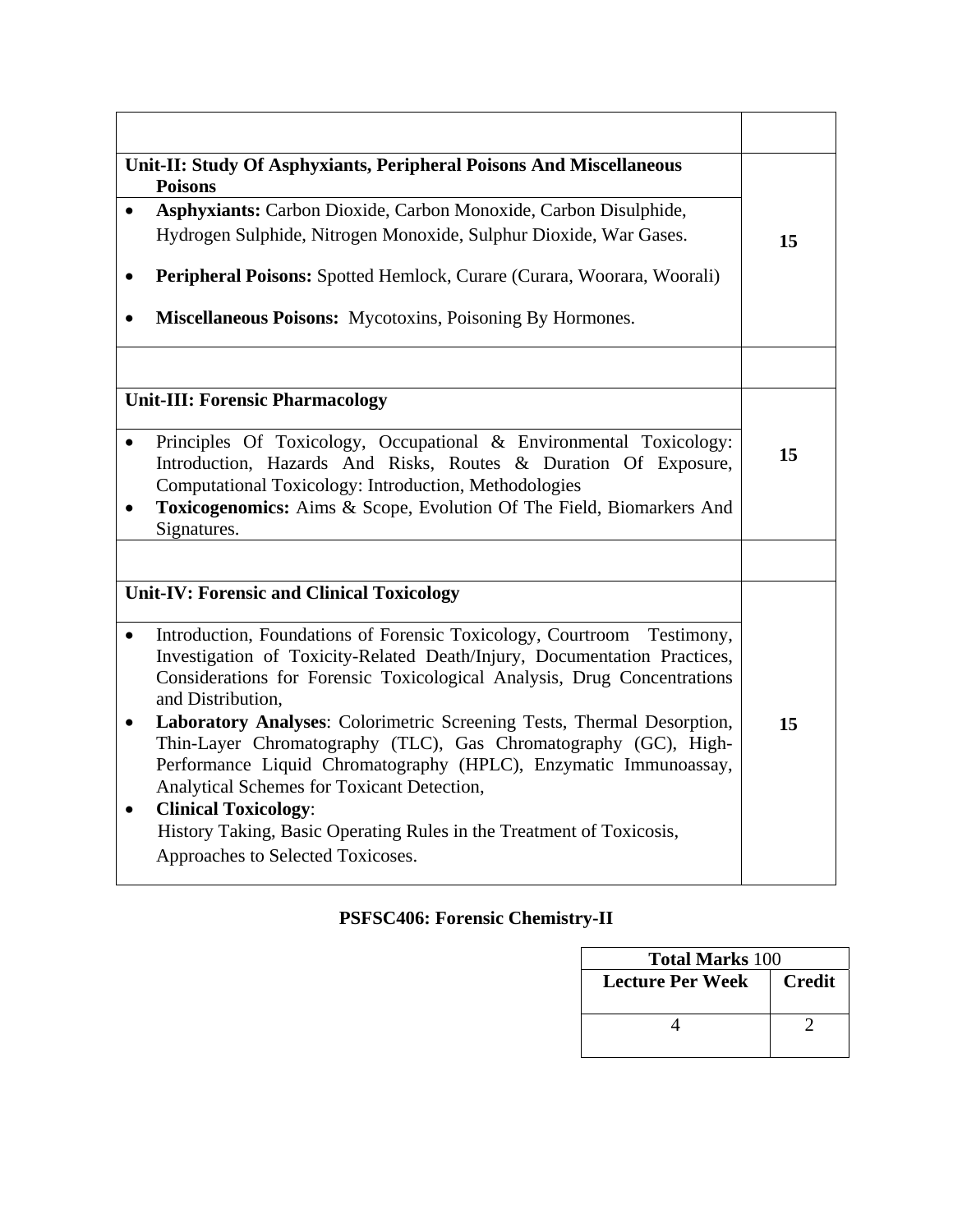| Unit-II: Study Of Asphyxiants, Peripheral Poisons And Miscellaneous<br><b>Poisons</b><br>Asphyxiants: Carbon Dioxide, Carbon Monoxide, Carbon Disulphide,<br>Hydrogen Sulphide, Nitrogen Monoxide, Sulphur Dioxide, War Gases.<br>Peripheral Poisons: Spotted Hemlock, Curare (Curara, Woorara, Woorali)<br><b>Miscellaneous Poisons:</b> Mycotoxins, Poisoning By Hormones.                                                                                                                                                                                                                                                                                                                                                                | 15 |
|---------------------------------------------------------------------------------------------------------------------------------------------------------------------------------------------------------------------------------------------------------------------------------------------------------------------------------------------------------------------------------------------------------------------------------------------------------------------------------------------------------------------------------------------------------------------------------------------------------------------------------------------------------------------------------------------------------------------------------------------|----|
|                                                                                                                                                                                                                                                                                                                                                                                                                                                                                                                                                                                                                                                                                                                                             |    |
| <b>Unit-III: Forensic Pharmacology</b><br>Principles Of Toxicology, Occupational & Environmental Toxicology:<br>$\bullet$<br>Introduction, Hazards And Risks, Routes & Duration Of Exposure,<br>Computational Toxicology: Introduction, Methodologies<br>Toxicogenomics: Aims & Scope, Evolution Of The Field, Biomarkers And<br>Signatures.                                                                                                                                                                                                                                                                                                                                                                                                | 15 |
|                                                                                                                                                                                                                                                                                                                                                                                                                                                                                                                                                                                                                                                                                                                                             |    |
| <b>Unit-IV: Forensic and Clinical Toxicology</b><br>Introduction, Foundations of Forensic Toxicology, Courtroom Testimony,<br>$\bullet$<br>Investigation of Toxicity-Related Death/Injury, Documentation Practices,<br>Considerations for Forensic Toxicological Analysis, Drug Concentrations<br>and Distribution,<br>Laboratory Analyses: Colorimetric Screening Tests, Thermal Desorption,<br>$\bullet$<br>Thin-Layer Chromatography (TLC), Gas Chromatography (GC), High-<br>Performance Liquid Chromatography (HPLC), Enzymatic Immunoassay,<br>Analytical Schemes for Toxicant Detection,<br><b>Clinical Toxicology:</b><br>History Taking, Basic Operating Rules in the Treatment of Toxicosis,<br>Approaches to Selected Toxicoses. | 15 |

### **PSFSC406: Forensic Chemistry-II**

| <b>Total Marks 100</b> |               |
|------------------------|---------------|
| Lecture Per Week       | <b>Credit</b> |
|                        |               |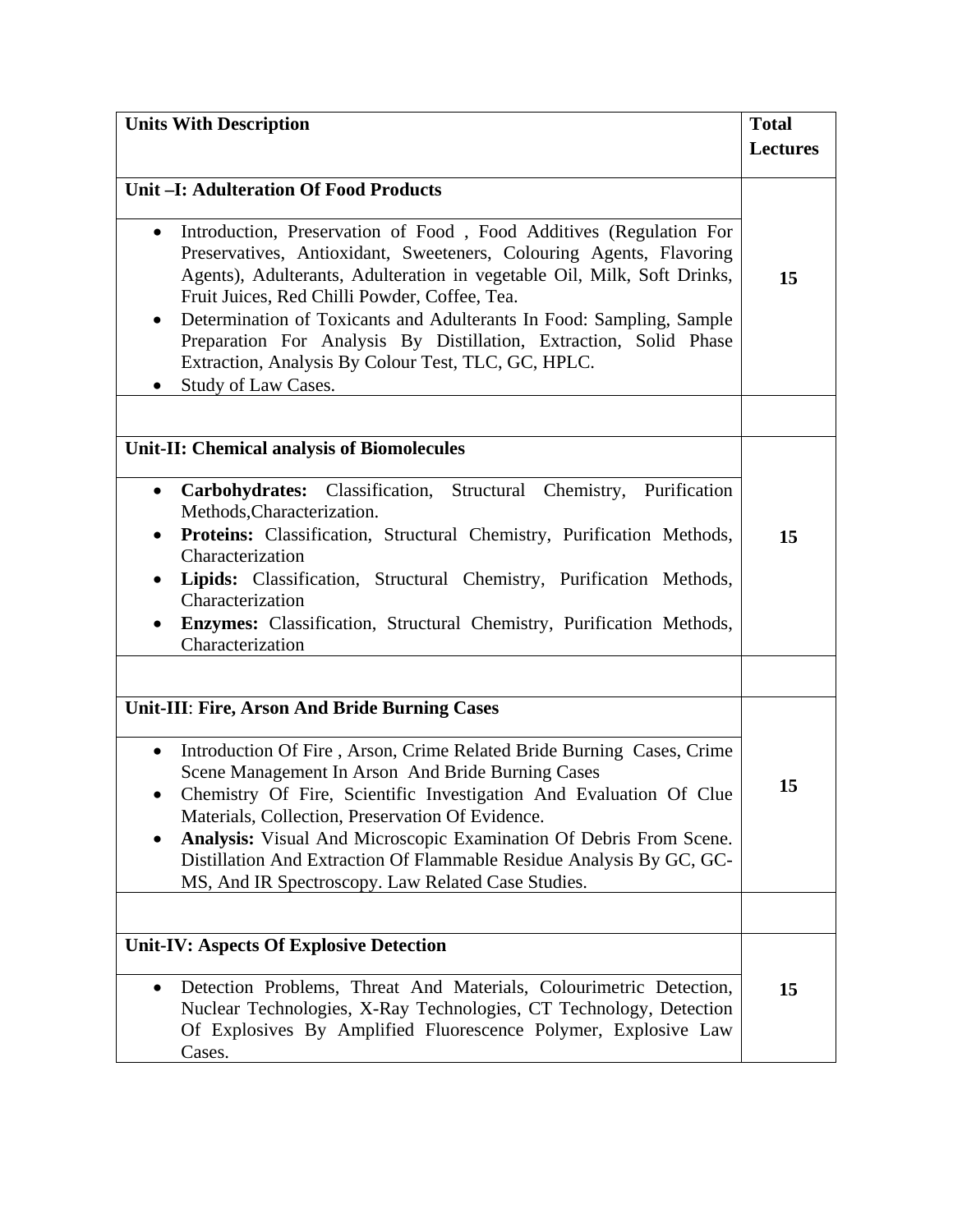| <b>Units With Description</b>                                                                                                                                                                                                                                                                                                                                                                                                                                                                                                              | <b>Total</b>    |
|--------------------------------------------------------------------------------------------------------------------------------------------------------------------------------------------------------------------------------------------------------------------------------------------------------------------------------------------------------------------------------------------------------------------------------------------------------------------------------------------------------------------------------------------|-----------------|
|                                                                                                                                                                                                                                                                                                                                                                                                                                                                                                                                            | <b>Lectures</b> |
| <b>Unit-I: Adulteration Of Food Products</b>                                                                                                                                                                                                                                                                                                                                                                                                                                                                                               |                 |
| Introduction, Preservation of Food, Food Additives (Regulation For<br>$\bullet$<br>Preservatives, Antioxidant, Sweeteners, Colouring Agents, Flavoring<br>Agents), Adulterants, Adulteration in vegetable Oil, Milk, Soft Drinks,<br>Fruit Juices, Red Chilli Powder, Coffee, Tea.<br>Determination of Toxicants and Adulterants In Food: Sampling, Sample<br>$\bullet$<br>Preparation For Analysis By Distillation, Extraction, Solid Phase<br>Extraction, Analysis By Colour Test, TLC, GC, HPLC.<br>Study of Law Cases.                 | 15              |
|                                                                                                                                                                                                                                                                                                                                                                                                                                                                                                                                            |                 |
| Unit-II: Chemical analysis of Biomolecules<br>Carbohydrates: Classification, Structural Chemistry, Purification<br>$\bullet$<br>Methods, Characterization.<br>Proteins: Classification, Structural Chemistry, Purification Methods,<br>$\bullet$<br>Characterization<br>Lipids: Classification, Structural Chemistry, Purification Methods,<br>$\bullet$<br>Characterization<br>Enzymes: Classification, Structural Chemistry, Purification Methods,<br>$\bullet$<br>Characterization                                                      | 15              |
|                                                                                                                                                                                                                                                                                                                                                                                                                                                                                                                                            |                 |
| <b>Unit-III: Fire, Arson And Bride Burning Cases</b><br>Introduction Of Fire, Arson, Crime Related Bride Burning Cases, Crime<br>$\bullet$<br>Scene Management In Arson And Bride Burning Cases<br>Chemistry Of Fire, Scientific Investigation And Evaluation Of Clue<br>$\bullet$<br>Materials, Collection, Preservation Of Evidence.<br>Analysis: Visual And Microscopic Examination Of Debris From Scene.<br>Distillation And Extraction Of Flammable Residue Analysis By GC, GC-<br>MS, And IR Spectroscopy. Law Related Case Studies. | 15              |
|                                                                                                                                                                                                                                                                                                                                                                                                                                                                                                                                            |                 |
| <b>Unit-IV: Aspects Of Explosive Detection</b><br>Detection Problems, Threat And Materials, Colourimetric Detection,<br>$\bullet$<br>Nuclear Technologies, X-Ray Technologies, CT Technology, Detection<br>Of Explosives By Amplified Fluorescence Polymer, Explosive Law<br>Cases.                                                                                                                                                                                                                                                        | 15              |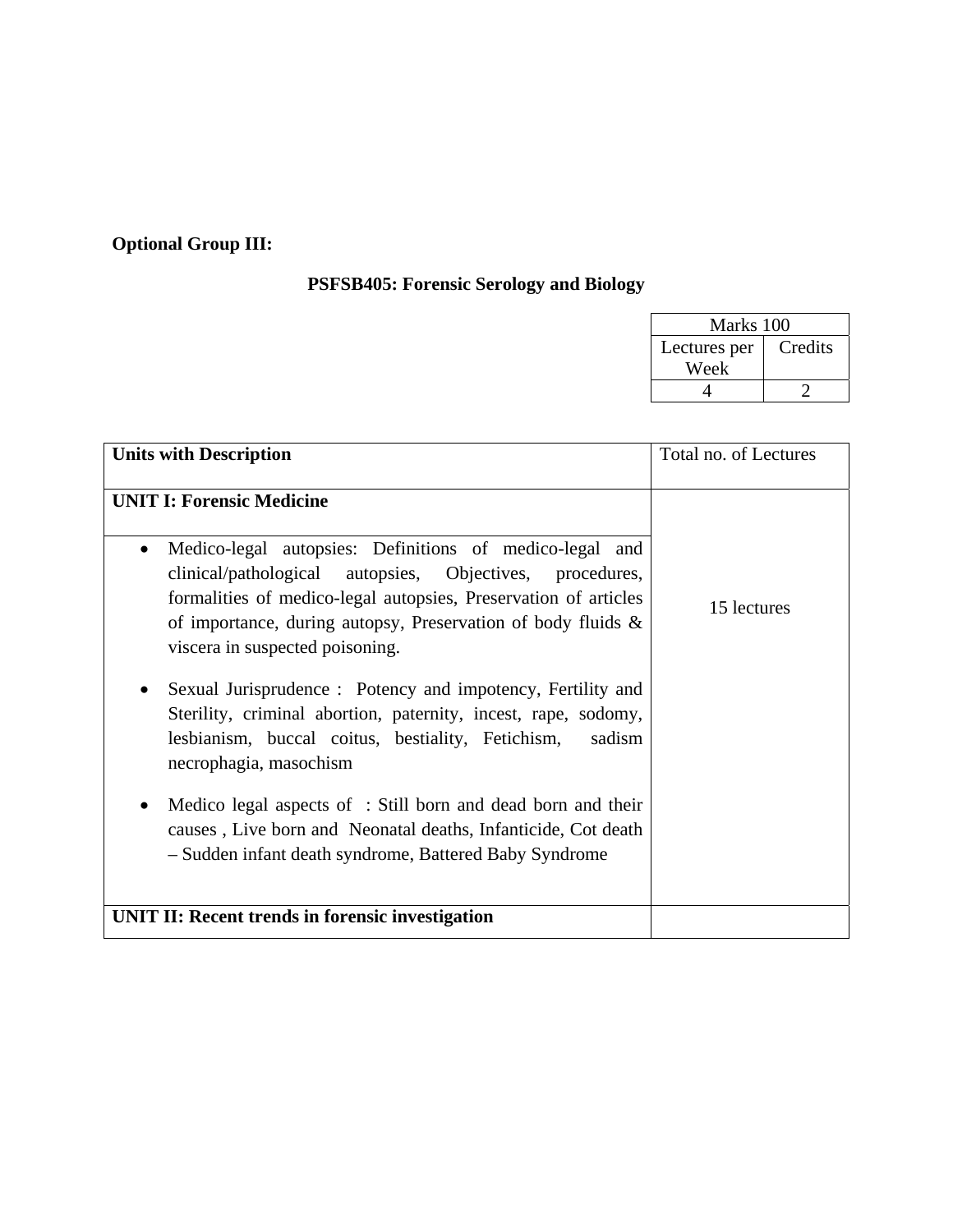### **Optional Group III:**

### **PSFSB405: Forensic Serology and Biology**

| Marks 100    |         |
|--------------|---------|
| Lectures per | Credits |
| Week         |         |
|              |         |

| <b>Units with Description</b>                                                                                                                                                                                                                                                                             | Total no. of Lectures |
|-----------------------------------------------------------------------------------------------------------------------------------------------------------------------------------------------------------------------------------------------------------------------------------------------------------|-----------------------|
| <b>UNIT I: Forensic Medicine</b>                                                                                                                                                                                                                                                                          |                       |
| Medico-legal autopsies: Definitions of medico-legal and<br>$\bullet$<br>clinical/pathological autopsies, Objectives, procedures,<br>formalities of medico-legal autopsies, Preservation of articles<br>of importance, during autopsy, Preservation of body fluids $\&$<br>viscera in suspected poisoning. | 15 lectures           |
| Sexual Jurisprudence: Potency and impotency, Fertility and<br>Sterility, criminal abortion, paternity, incest, rape, sodomy,<br>lesbianism, buccal coitus, bestiality, Fetichism,<br>sadism<br>necrophagia, masochism                                                                                     |                       |
| Medico legal aspects of : Still born and dead born and their<br>causes, Live born and Neonatal deaths, Infanticide, Cot death<br>- Sudden infant death syndrome, Battered Baby Syndrome                                                                                                                   |                       |
| UNIT II: Recent trends in forensic investigation                                                                                                                                                                                                                                                          |                       |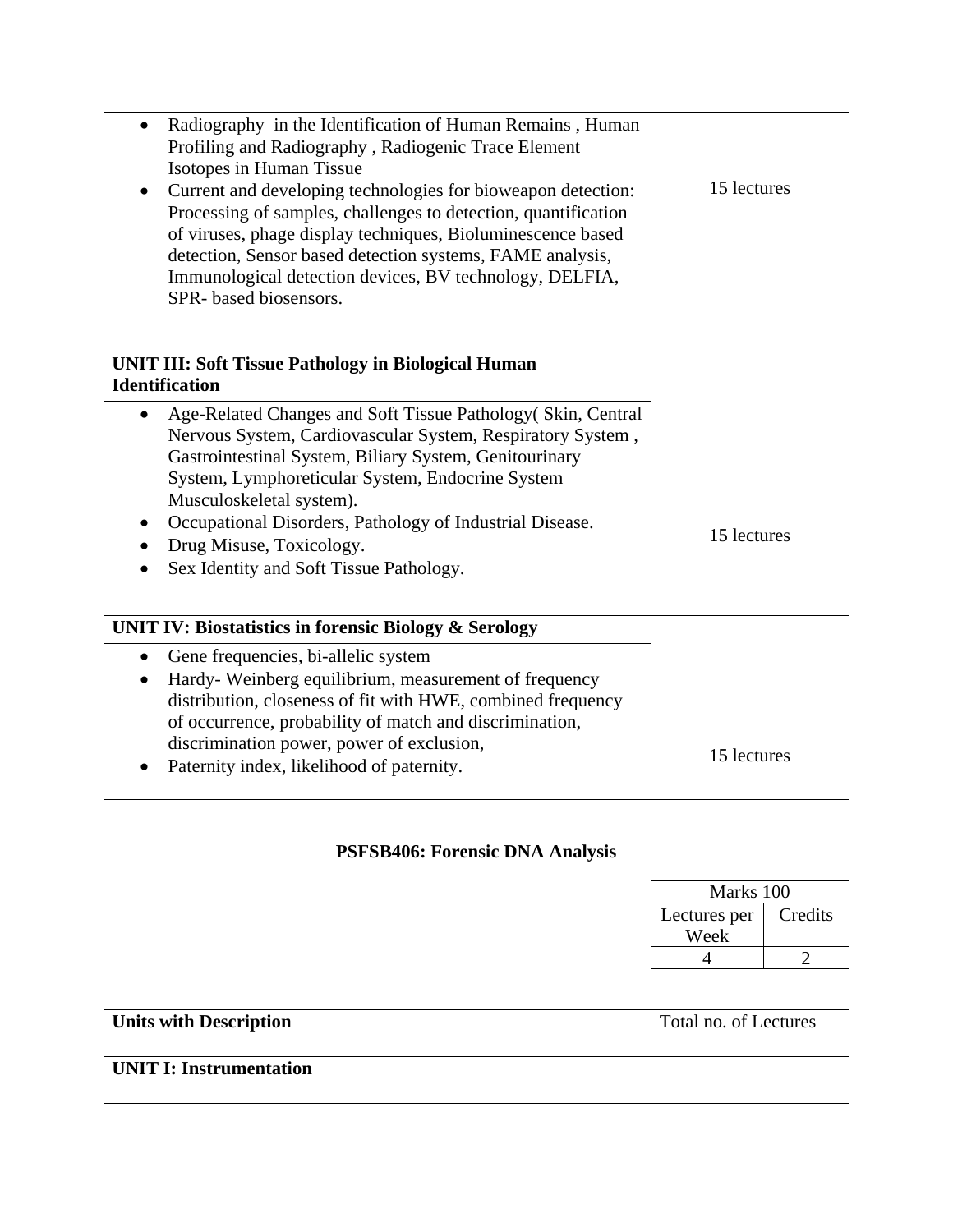| Radiography in the Identification of Human Remains, Human<br>$\bullet$<br>Profiling and Radiography, Radiogenic Trace Element<br>Isotopes in Human Tissue<br>Current and developing technologies for bioweapon detection:<br>$\bullet$<br>Processing of samples, challenges to detection, quantification<br>of viruses, phage display techniques, Bioluminescence based<br>detection, Sensor based detection systems, FAME analysis,<br>Immunological detection devices, BV technology, DELFIA,<br>SPR- based biosensors. | 15 lectures |
|---------------------------------------------------------------------------------------------------------------------------------------------------------------------------------------------------------------------------------------------------------------------------------------------------------------------------------------------------------------------------------------------------------------------------------------------------------------------------------------------------------------------------|-------------|
| <b>UNIT III: Soft Tissue Pathology in Biological Human</b><br><b>Identification</b>                                                                                                                                                                                                                                                                                                                                                                                                                                       |             |
| Age-Related Changes and Soft Tissue Pathology (Skin, Central<br>Nervous System, Cardiovascular System, Respiratory System,<br>Gastrointestinal System, Biliary System, Genitourinary<br>System, Lymphoreticular System, Endocrine System<br>Musculoskeletal system).<br>Occupational Disorders, Pathology of Industrial Disease.<br>$\bullet$<br>Drug Misuse, Toxicology.<br>$\bullet$<br>Sex Identity and Soft Tissue Pathology.                                                                                         | 15 lectures |
| <b>UNIT IV: Biostatistics in forensic Biology &amp; Serology</b>                                                                                                                                                                                                                                                                                                                                                                                                                                                          |             |
| Gene frequencies, bi-allelic system<br>$\bullet$<br>Hardy-Weinberg equilibrium, measurement of frequency<br>distribution, closeness of fit with HWE, combined frequency<br>of occurrence, probability of match and discrimination,<br>discrimination power, power of exclusion,<br>Paternity index, likelihood of paternity.                                                                                                                                                                                              | 15 lectures |

## **PSFSB406: Forensic DNA Analysis**

| Marks 100    |         |
|--------------|---------|
| Lectures per | Credits |
| Week         |         |
|              |         |

| <b>Units with Description</b> | Total no. of Lectures |
|-------------------------------|-----------------------|
| UNIT I: Instrumentation       |                       |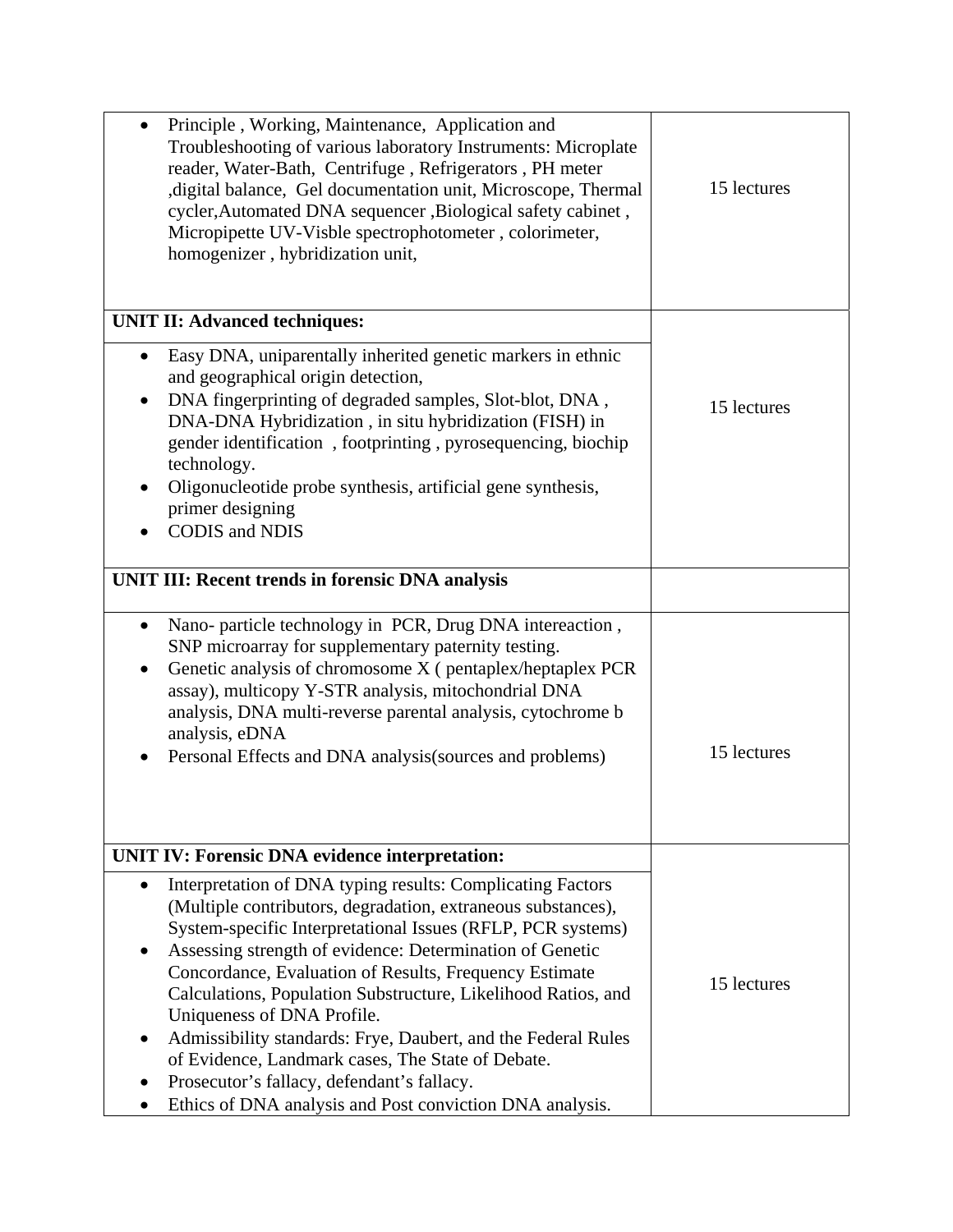|                                     | Principle, Working, Maintenance, Application and<br>Troubleshooting of various laboratory Instruments: Microplate<br>reader, Water-Bath, Centrifuge, Refrigerators, PH meter<br>digital balance, Gel documentation unit, Microscope, Thermal<br>cycler, Automated DNA sequencer, Biological safety cabinet,<br>Micropipette UV-Visble spectrophotometer, colorimeter,<br>homogenizer, hybridization unit,                                                                                                                                                                                                                                      | 15 lectures |
|-------------------------------------|------------------------------------------------------------------------------------------------------------------------------------------------------------------------------------------------------------------------------------------------------------------------------------------------------------------------------------------------------------------------------------------------------------------------------------------------------------------------------------------------------------------------------------------------------------------------------------------------------------------------------------------------|-------------|
|                                     | <b>UNIT II: Advanced techniques:</b>                                                                                                                                                                                                                                                                                                                                                                                                                                                                                                                                                                                                           |             |
| $\bullet$<br>$\bullet$              | Easy DNA, uniparentally inherited genetic markers in ethnic<br>and geographical origin detection,<br>DNA fingerprinting of degraded samples, Slot-blot, DNA,<br>DNA-DNA Hybridization, in situ hybridization (FISH) in<br>gender identification, footprinting, pyrosequencing, biochip<br>technology.<br>Oligonucleotide probe synthesis, artificial gene synthesis,<br>primer designing<br><b>CODIS</b> and NDIS                                                                                                                                                                                                                              | 15 lectures |
|                                     | <b>UNIT III: Recent trends in forensic DNA analysis</b>                                                                                                                                                                                                                                                                                                                                                                                                                                                                                                                                                                                        |             |
| $\bullet$                           | Nano- particle technology in PCR, Drug DNA intereaction,<br>SNP microarray for supplementary paternity testing.<br>Genetic analysis of chromosome X (pentaplex/heptaplex PCR<br>assay), multicopy Y-STR analysis, mitochondrial DNA<br>analysis, DNA multi-reverse parental analysis, cytochrome b<br>analysis, eDNA<br>Personal Effects and DNA analysis (sources and problems)                                                                                                                                                                                                                                                               | 15 lectures |
|                                     | <b>UNIT IV: Forensic DNA evidence interpretation:</b>                                                                                                                                                                                                                                                                                                                                                                                                                                                                                                                                                                                          |             |
| $\bullet$<br>$\bullet$<br>$\bullet$ | Interpretation of DNA typing results: Complicating Factors<br>(Multiple contributors, degradation, extraneous substances),<br>System-specific Interpretational Issues (RFLP, PCR systems)<br>Assessing strength of evidence: Determination of Genetic<br>Concordance, Evaluation of Results, Frequency Estimate<br>Calculations, Population Substructure, Likelihood Ratios, and<br>Uniqueness of DNA Profile.<br>Admissibility standards: Frye, Daubert, and the Federal Rules<br>of Evidence, Landmark cases, The State of Debate.<br>Prosecutor's fallacy, defendant's fallacy.<br>Ethics of DNA analysis and Post conviction DNA analysis. | 15 lectures |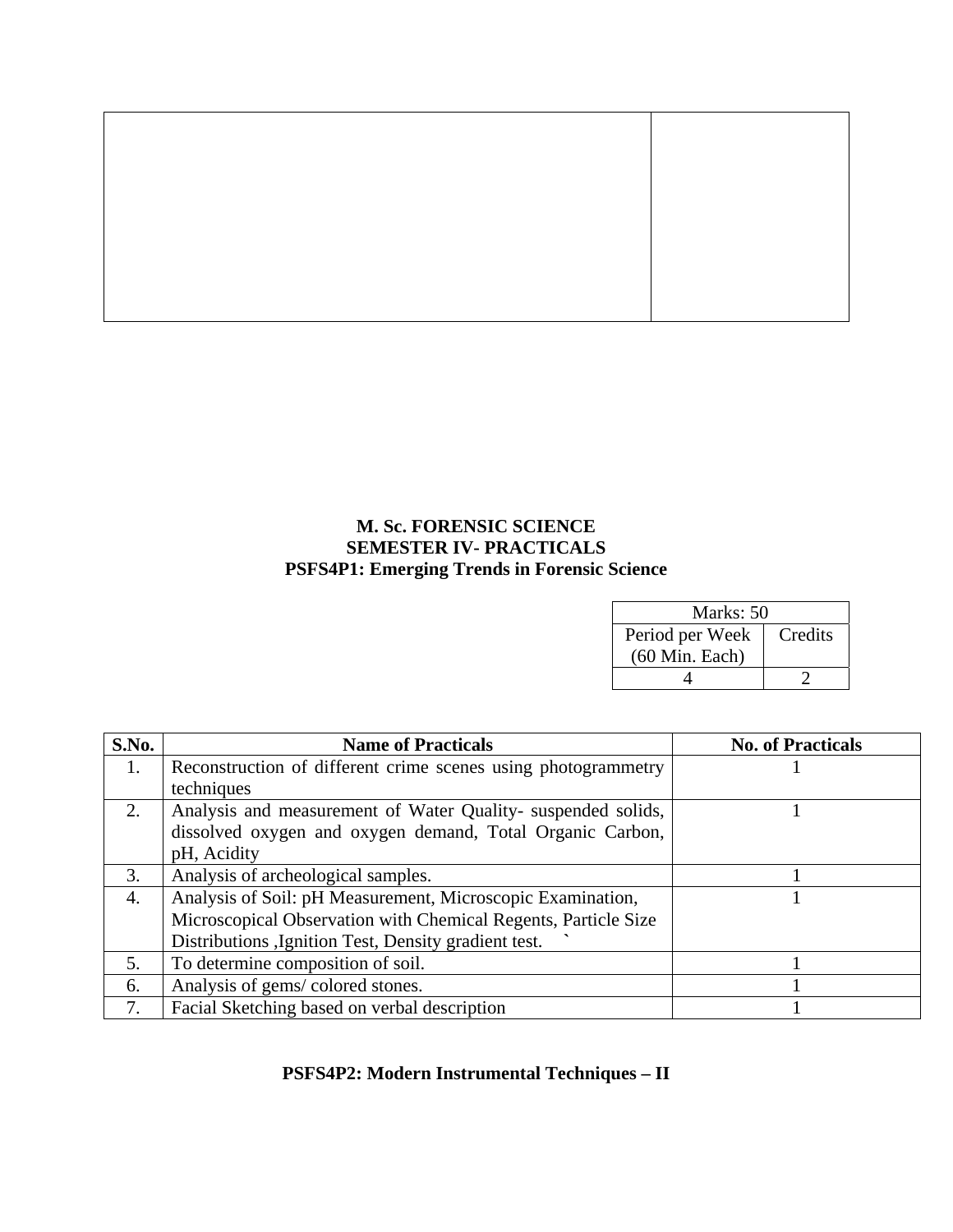#### **M. Sc. FORENSIC SCIENCE SEMESTER IV- PRACTICALS PSFS4P1: Emerging Trends in Forensic Science**

| Marks: 50        |         |  |
|------------------|---------|--|
| Period per Week  | Credits |  |
| $(60$ Min. Each) |         |  |
|                  |         |  |

| S.No. | <b>Name of Practicals</b>                                      | <b>No. of Practicals</b> |
|-------|----------------------------------------------------------------|--------------------------|
| 1.    | Reconstruction of different crime scenes using photogrammetry  |                          |
|       | techniques                                                     |                          |
| 2.    | Analysis and measurement of Water Quality-suspended solids,    |                          |
|       | dissolved oxygen and oxygen demand, Total Organic Carbon,      |                          |
|       | pH, Acidity                                                    |                          |
| 3.    | Analysis of archeological samples.                             |                          |
| 4.    | Analysis of Soil: pH Measurement, Microscopic Examination,     |                          |
|       | Microscopical Observation with Chemical Regents, Particle Size |                          |
|       | Distributions , Ignition Test, Density gradient test.          |                          |
| 5.    | To determine composition of soil.                              |                          |
| 6.    | Analysis of gems/colored stones.                               |                          |
| 7.    | Facial Sketching based on verbal description                   |                          |

### **PSFS4P2: Modern Instrumental Techniques – II**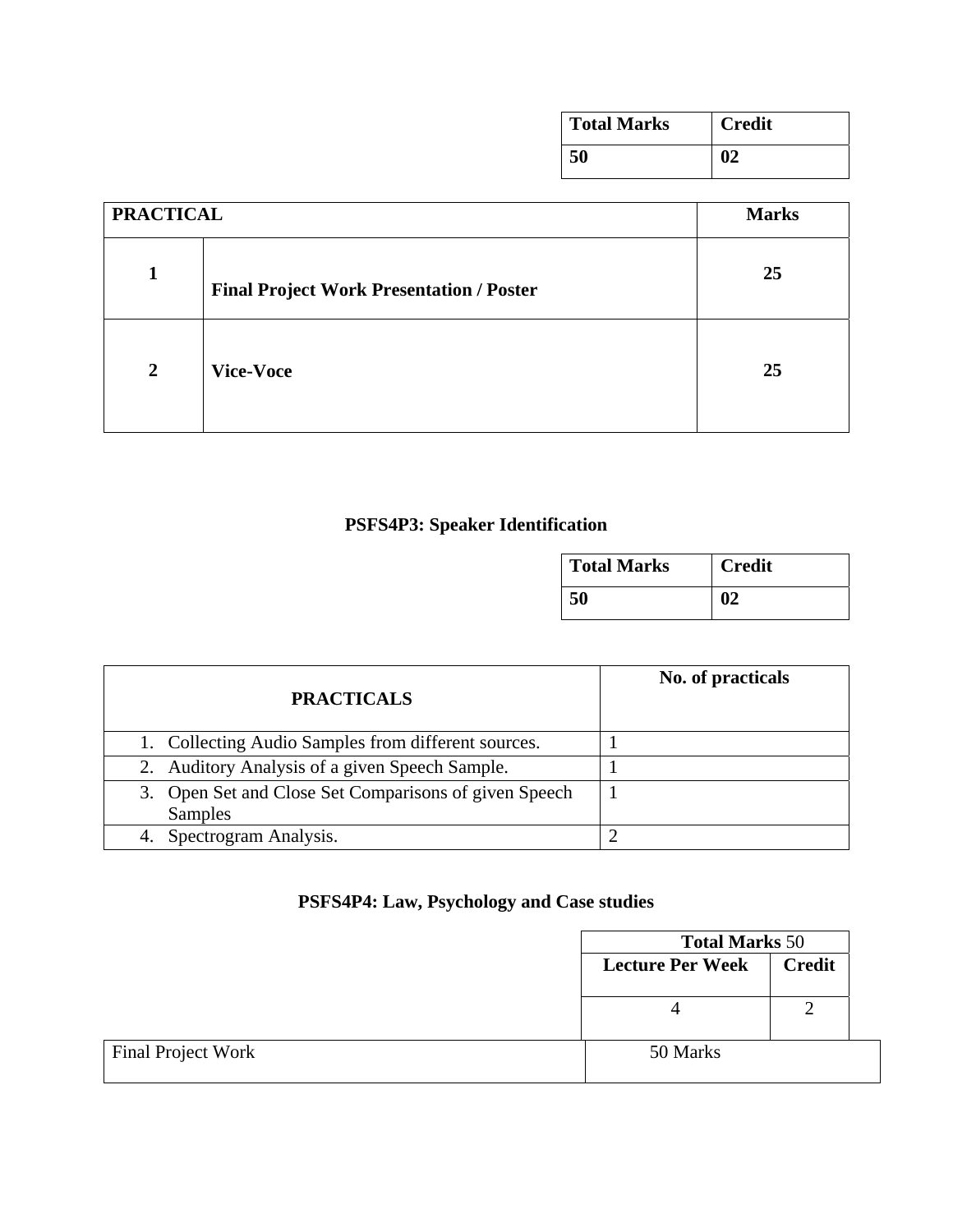| <b>Total Marks</b> | <b>Credit</b> |
|--------------------|---------------|
| 50                 |               |

| <b>PRACTICAL</b> |                                                 | <b>Marks</b> |
|------------------|-------------------------------------------------|--------------|
| 1                | <b>Final Project Work Presentation / Poster</b> | 25           |
| $\overline{2}$   | <b>Vice-Voce</b>                                | 25           |

### **PSFS4P3: Speaker Identification**

| <b>Total Marks</b> | <b>Credit</b> |
|--------------------|---------------|
| 50                 | 02            |

| <b>PRACTICALS</b>                                                | No. of practicals |
|------------------------------------------------------------------|-------------------|
| 1. Collecting Audio Samples from different sources.              |                   |
| 2. Auditory Analysis of a given Speech Sample.                   |                   |
| 3. Open Set and Close Set Comparisons of given Speech<br>Samples |                   |
| Spectrogram Analysis.                                            |                   |

### **PSFS4P4: Law, Psychology and Case studies**

|                    |                         | <b>Total Marks 50</b> |  |
|--------------------|-------------------------|-----------------------|--|
|                    | <b>Lecture Per Week</b> | <b>Credit</b>         |  |
|                    |                         |                       |  |
| Final Project Work | 50 Marks                |                       |  |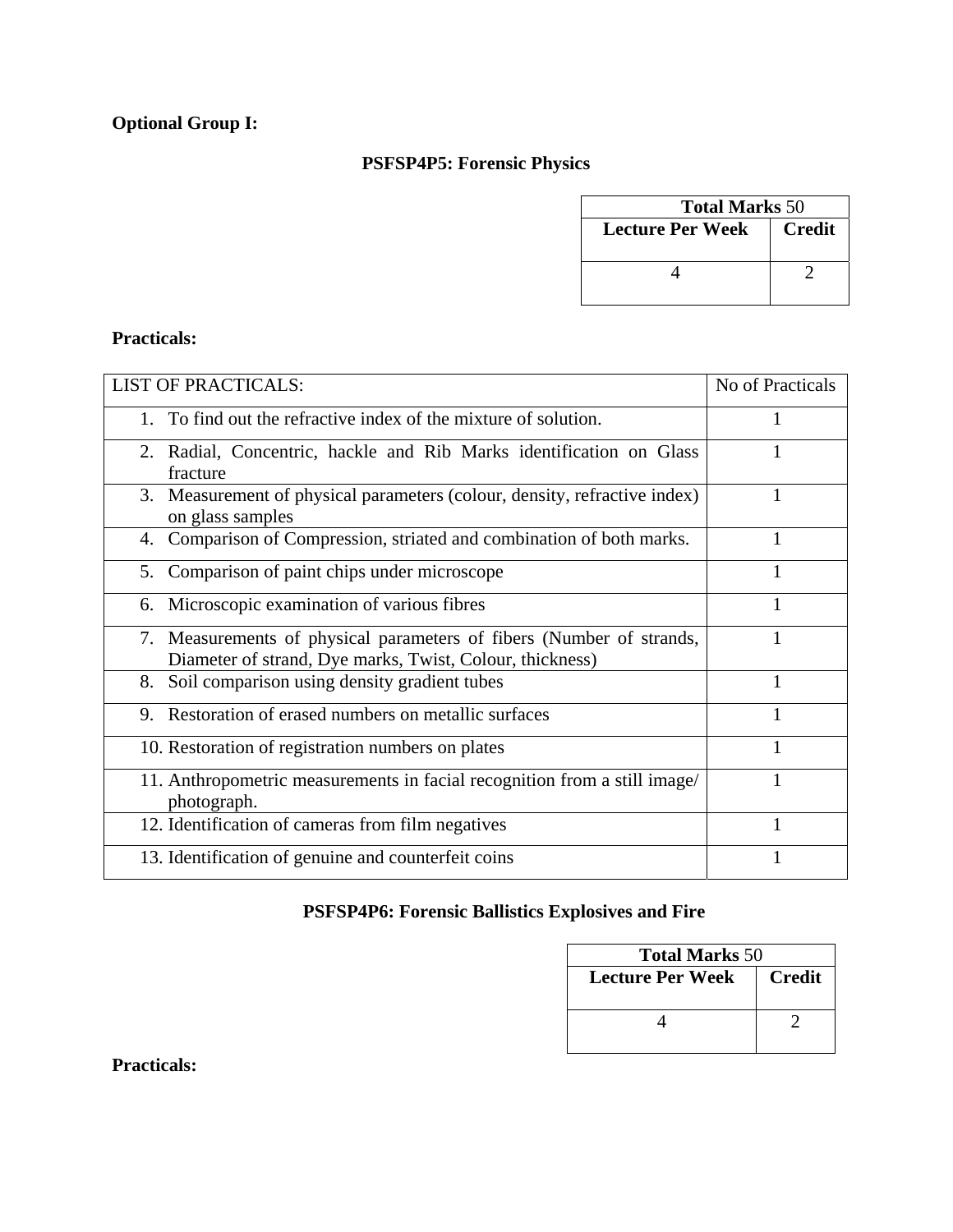#### **PSFSP4P5: Forensic Physics**

| <b>Total Marks</b> 50 |               |  |
|-----------------------|---------------|--|
| Lecture Per Week      | <b>Credit</b> |  |
|                       |               |  |

### **Practicals:**

| <b>LIST OF PRACTICALS:</b>                                                                                                       | No of Practicals |
|----------------------------------------------------------------------------------------------------------------------------------|------------------|
| To find out the refractive index of the mixture of solution.                                                                     |                  |
| Radial, Concentric, hackle and Rib Marks identification on Glass<br>2.<br>fracture                                               |                  |
| 3. Measurement of physical parameters (colour, density, refractive index)<br>on glass samples                                    | 1                |
| Comparison of Compression, striated and combination of both marks.<br>4.                                                         | 1                |
| Comparison of paint chips under microscope<br>5.                                                                                 |                  |
| Microscopic examination of various fibres<br>6.                                                                                  |                  |
| 7. Measurements of physical parameters of fibers (Number of strands,<br>Diameter of strand, Dye marks, Twist, Colour, thickness) |                  |
| 8. Soil comparison using density gradient tubes                                                                                  | 1                |
| Restoration of erased numbers on metallic surfaces<br>9.                                                                         |                  |
| 10. Restoration of registration numbers on plates                                                                                |                  |
| 11. Anthropometric measurements in facial recognition from a still image/<br>photograph.                                         |                  |
| 12. Identification of cameras from film negatives                                                                                |                  |
| 13. Identification of genuine and counterfeit coins                                                                              |                  |

### **PSFSP4P6: Forensic Ballistics Explosives and Fire**

| <b>Total Marks</b> 50 |               |
|-----------------------|---------------|
| Lecture Per Week      | <b>Credit</b> |
|                       |               |
|                       |               |

**Practicals:**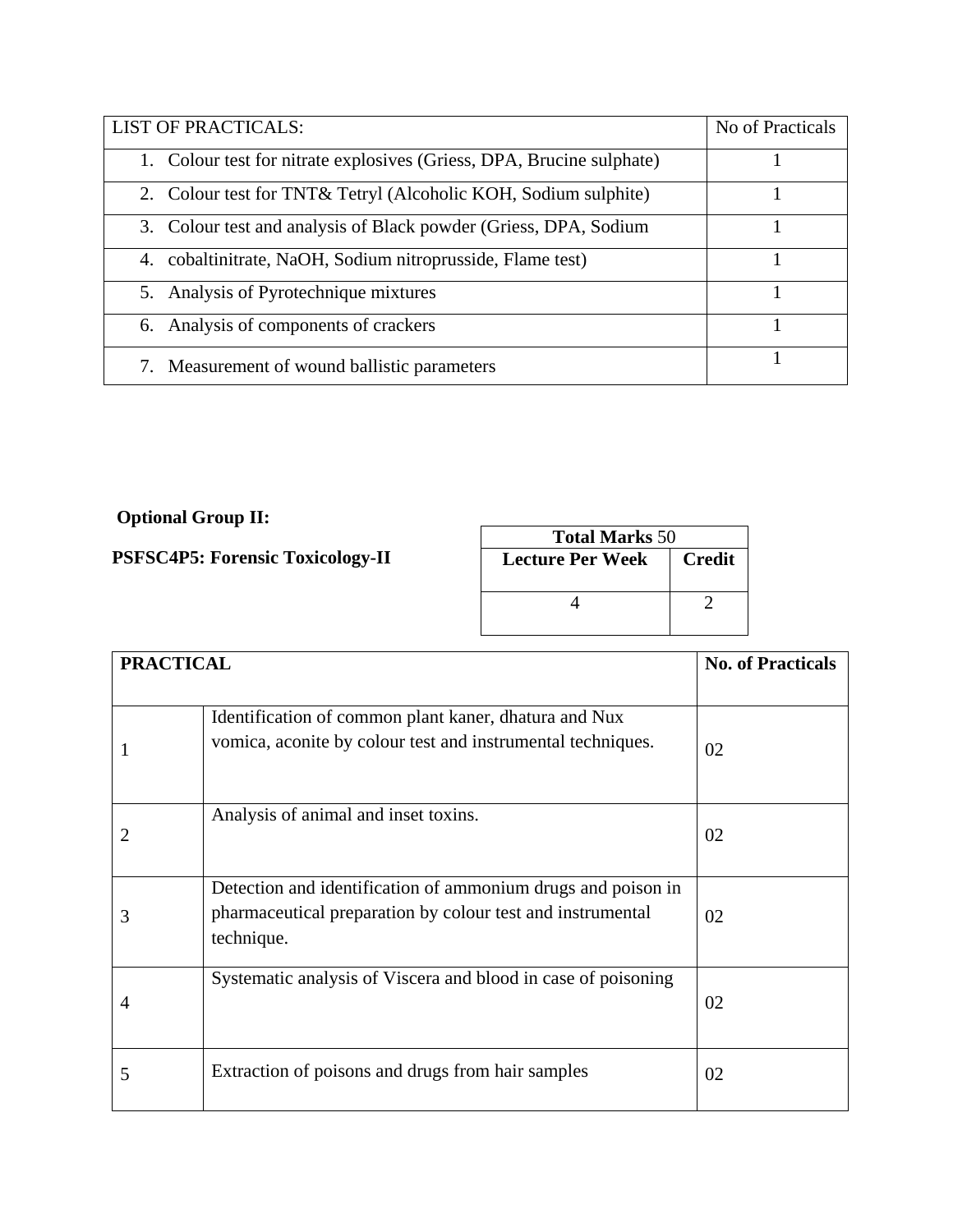| <b>LIST OF PRACTICALS:</b>                                            | No of Practicals |
|-----------------------------------------------------------------------|------------------|
| 1. Colour test for nitrate explosives (Griess, DPA, Brucine sulphate) |                  |
| 2. Colour test for TNT& Tetryl (Alcoholic KOH, Sodium sulphite)       |                  |
| 3. Colour test and analysis of Black powder (Griess, DPA, Sodium      |                  |
| 4. cobaltinitrate, NaOH, Sodium nitroprusside, Flame test)            |                  |
| 5. Analysis of Pyrotechnique mixtures                                 |                  |
| 6. Analysis of components of crackers                                 |                  |
| 7. Measurement of wound ballistic parameters                          |                  |

### **Optional Group II:**

| <b>PSFSC4P5: Forensic Toxicology-II</b> |  |  |
|-----------------------------------------|--|--|
|                                         |  |  |

| <b>Total Marks</b> 50 |               |  |
|-----------------------|---------------|--|
| Lecture Per Week      | <b>Credit</b> |  |
|                       |               |  |

| <b>PRACTICAL</b> |                                                                                                                                          | <b>No. of Practicals</b> |
|------------------|------------------------------------------------------------------------------------------------------------------------------------------|--------------------------|
|                  | Identification of common plant kaner, dhatura and Nux<br>vomica, aconite by colour test and instrumental techniques.                     | 02                       |
| 2                | Analysis of animal and inset toxins.                                                                                                     | 02                       |
| 3                | Detection and identification of ammonium drugs and poison in<br>pharmaceutical preparation by colour test and instrumental<br>technique. | 02                       |
| 4                | Systematic analysis of Viscera and blood in case of poisoning                                                                            | 02                       |
| 5                | Extraction of poisons and drugs from hair samples                                                                                        | 02                       |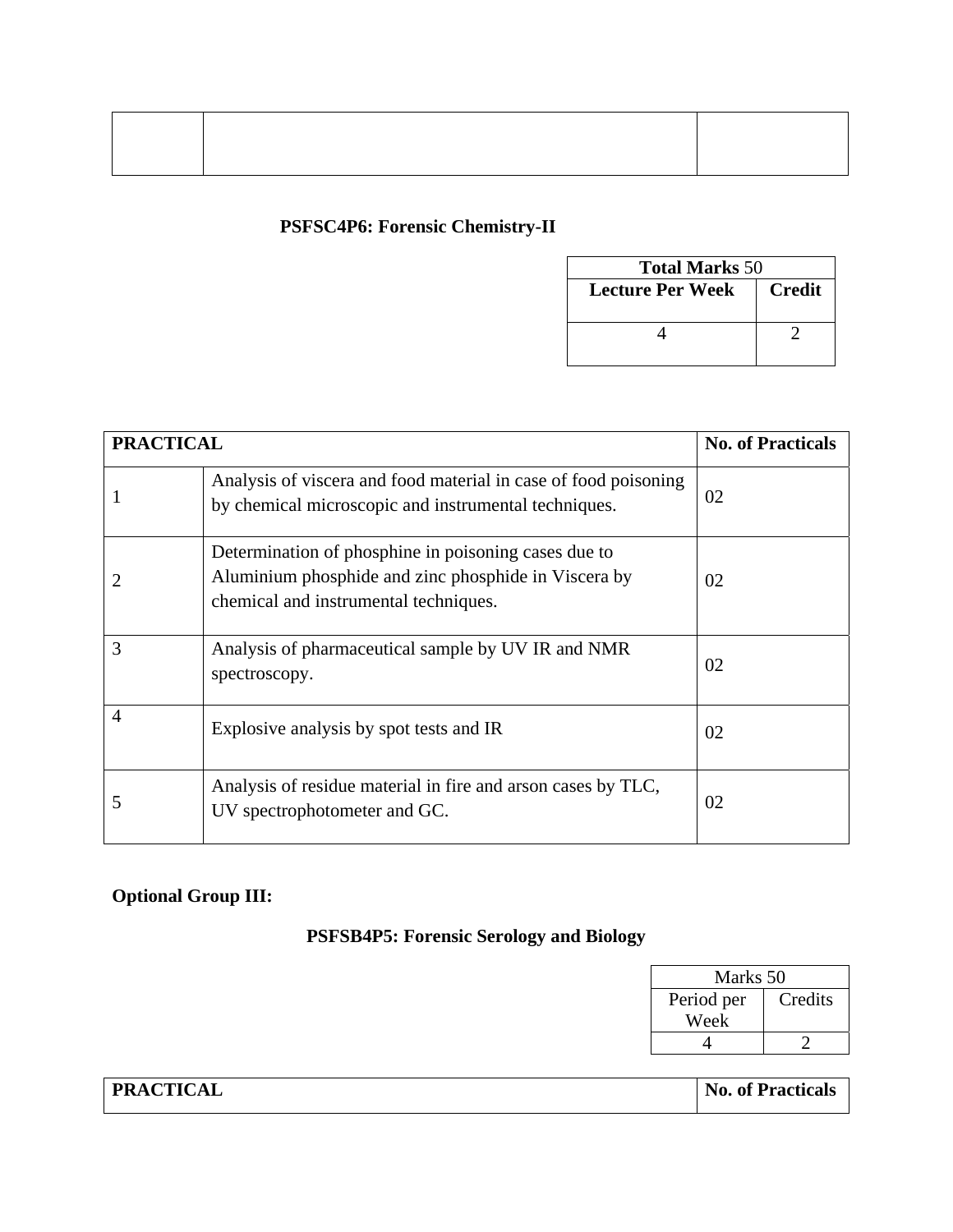### **PSFSC4P6: Forensic Chemistry-II**

| <b>Total Marks 50</b> |               |  |
|-----------------------|---------------|--|
| Lecture Per Week      | <b>Credit</b> |  |
|                       |               |  |

| <b>PRACTICAL</b> |                                                                                                                                                       | <b>No. of Practicals</b> |
|------------------|-------------------------------------------------------------------------------------------------------------------------------------------------------|--------------------------|
| л                | Analysis of viscera and food material in case of food poisoning<br>by chemical microscopic and instrumental techniques.                               | 02                       |
|                  | Determination of phosphine in poisoning cases due to<br>Aluminium phosphide and zinc phosphide in Viscera by<br>chemical and instrumental techniques. | 02                       |
| 3                | Analysis of pharmaceutical sample by UV IR and NMR<br>spectroscopy.                                                                                   | 02                       |
| $\overline{4}$   | Explosive analysis by spot tests and IR                                                                                                               | 02                       |
| 5                | Analysis of residue material in fire and arson cases by TLC,<br>UV spectrophotometer and GC.                                                          | 02                       |

### **Optional Group III:**

### **PSFSB4P5: Forensic Serology and Biology**

| Marks 50   |         |  |
|------------|---------|--|
| Period per | Credits |  |
| Week       |         |  |
|            |         |  |

| <b>PRACTICAL</b> | No.<br>of Practicals |
|------------------|----------------------|
|                  |                      |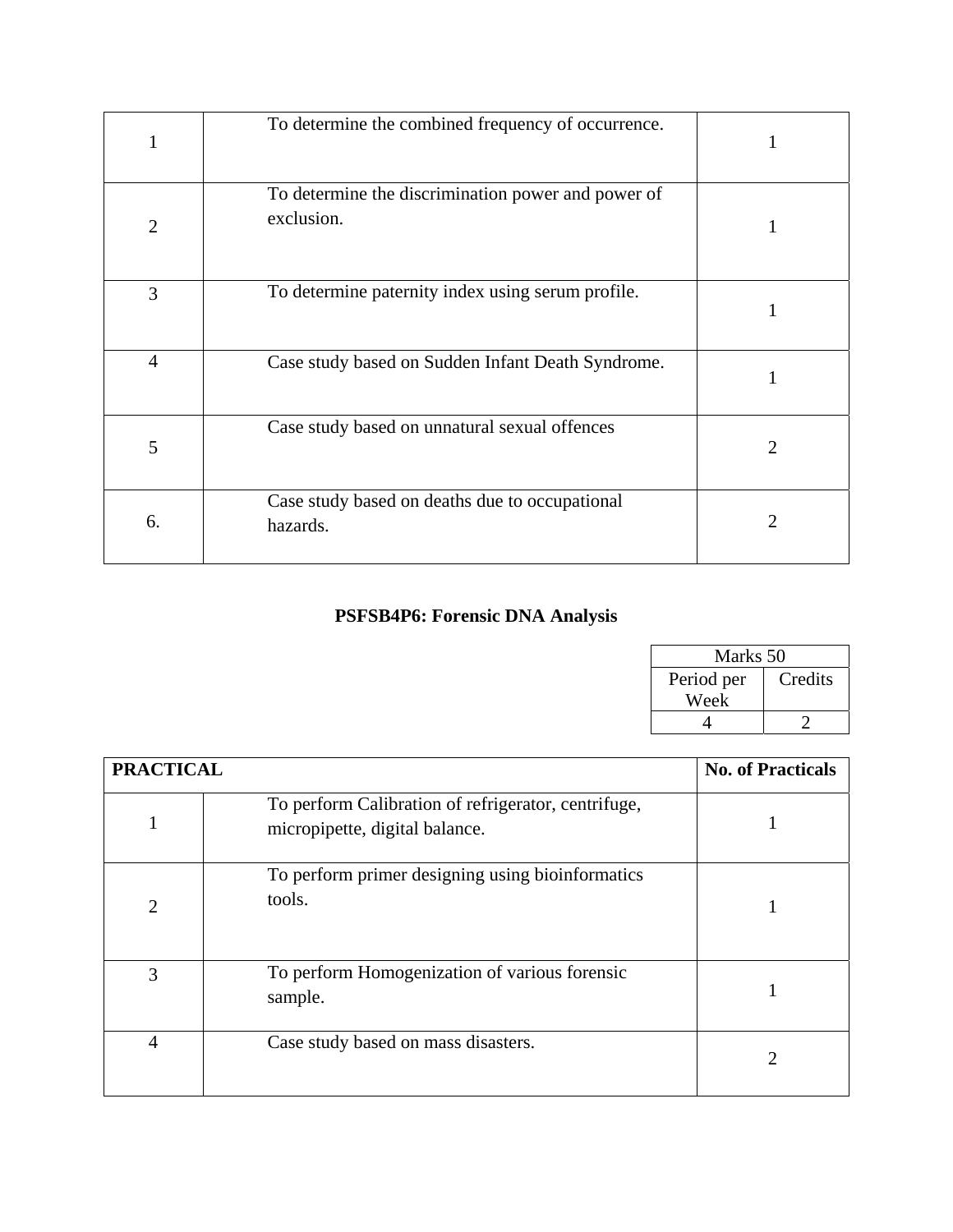|                | To determine the combined frequency of occurrence.               |   |
|----------------|------------------------------------------------------------------|---|
| $\overline{2}$ | To determine the discrimination power and power of<br>exclusion. |   |
| 3              | To determine paternity index using serum profile.                |   |
| $\overline{4}$ | Case study based on Sudden Infant Death Syndrome.                | 1 |
| 5              | Case study based on unnatural sexual offences                    | 2 |
| 6.             | Case study based on deaths due to occupational<br>hazards.       | 2 |

### **PSFSB4P6: Forensic DNA Analysis**

| Marks 50   |         |  |
|------------|---------|--|
| Period per | Credits |  |
| Week       |         |  |
|            |         |  |

| <b>PRACTICAL</b>            |                                                                                       | <b>No. of Practicals</b> |
|-----------------------------|---------------------------------------------------------------------------------------|--------------------------|
|                             | To perform Calibration of refrigerator, centrifuge,<br>micropipette, digital balance. |                          |
| $\mathcal{D}_{\mathcal{A}}$ | To perform primer designing using bioinformatics<br>tools.                            |                          |
| 3                           | To perform Homogenization of various forensic<br>sample.                              |                          |
| 4                           | Case study based on mass disasters.                                                   |                          |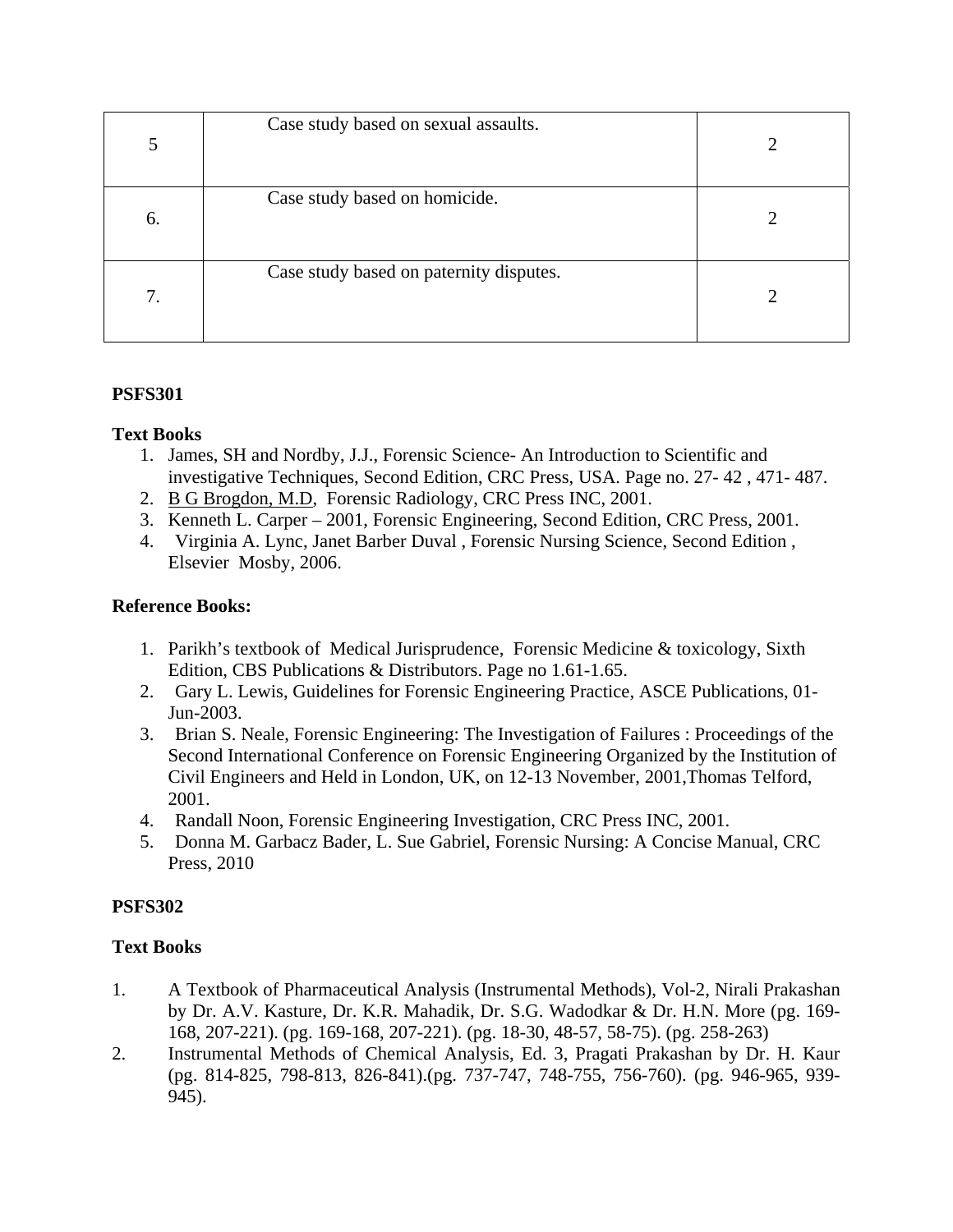|    | Case study based on sexual assaults.    |  |
|----|-----------------------------------------|--|
| 6. | Case study based on homicide.           |  |
| 7. | Case study based on paternity disputes. |  |

#### **PSFS301**

#### **Text Books**

- 1. James, SH and Nordby, J.J., Forensic Science- An Introduction to Scientific and investigative Techniques, Second Edition, CRC Press, USA. Page no. 27- 42 , 471- 487.
- 2. B G Brogdon, M.D, Forensic Radiology, CRC Press INC, 2001.
- 3. Kenneth L. Carper 2001, Forensic Engineering, Second Edition, CRC Press, 2001.
- 4. Virginia A. Lync, Janet Barber Duval , Forensic Nursing Science, Second Edition , Elsevier Mosby, 2006.

#### **Reference Books:**

- 1. Parikh's textbook of Medical Jurisprudence, Forensic Medicine & toxicology, Sixth Edition, CBS Publications & Distributors. Page no 1.61-1.65.
- 2. Gary L. Lewis, Guidelines for Forensic Engineering Practice, ASCE Publications, 01- Jun-2003.
- 3. Brian S. Neale, Forensic Engineering: The Investigation of Failures : Proceedings of the Second International Conference on Forensic Engineering Organized by the Institution of Civil Engineers and Held in London, UK, on 12-13 November, 2001,Thomas Telford, 2001.
- 4. Randall Noon, Forensic Engineering Investigation, CRC Press INC, 2001.
- 5. Donna M. Garbacz Bader, L. Sue Gabriel, Forensic Nursing: A Concise Manual, CRC Press, 2010

#### **PSFS302**

#### **Text Books**

- 1. A Textbook of Pharmaceutical Analysis (Instrumental Methods), Vol-2, Nirali Prakashan by Dr. A.V. Kasture, Dr. K.R. Mahadik, Dr. S.G. Wadodkar & Dr. H.N. More (pg. 169- 168, 207-221). (pg. 169-168, 207-221). (pg. 18-30, 48-57, 58-75). (pg. 258-263)
- 2. Instrumental Methods of Chemical Analysis, Ed. 3, Pragati Prakashan by Dr. H. Kaur (pg. 814-825, 798-813, 826-841).(pg. 737-747, 748-755, 756-760). (pg. 946-965, 939- 945).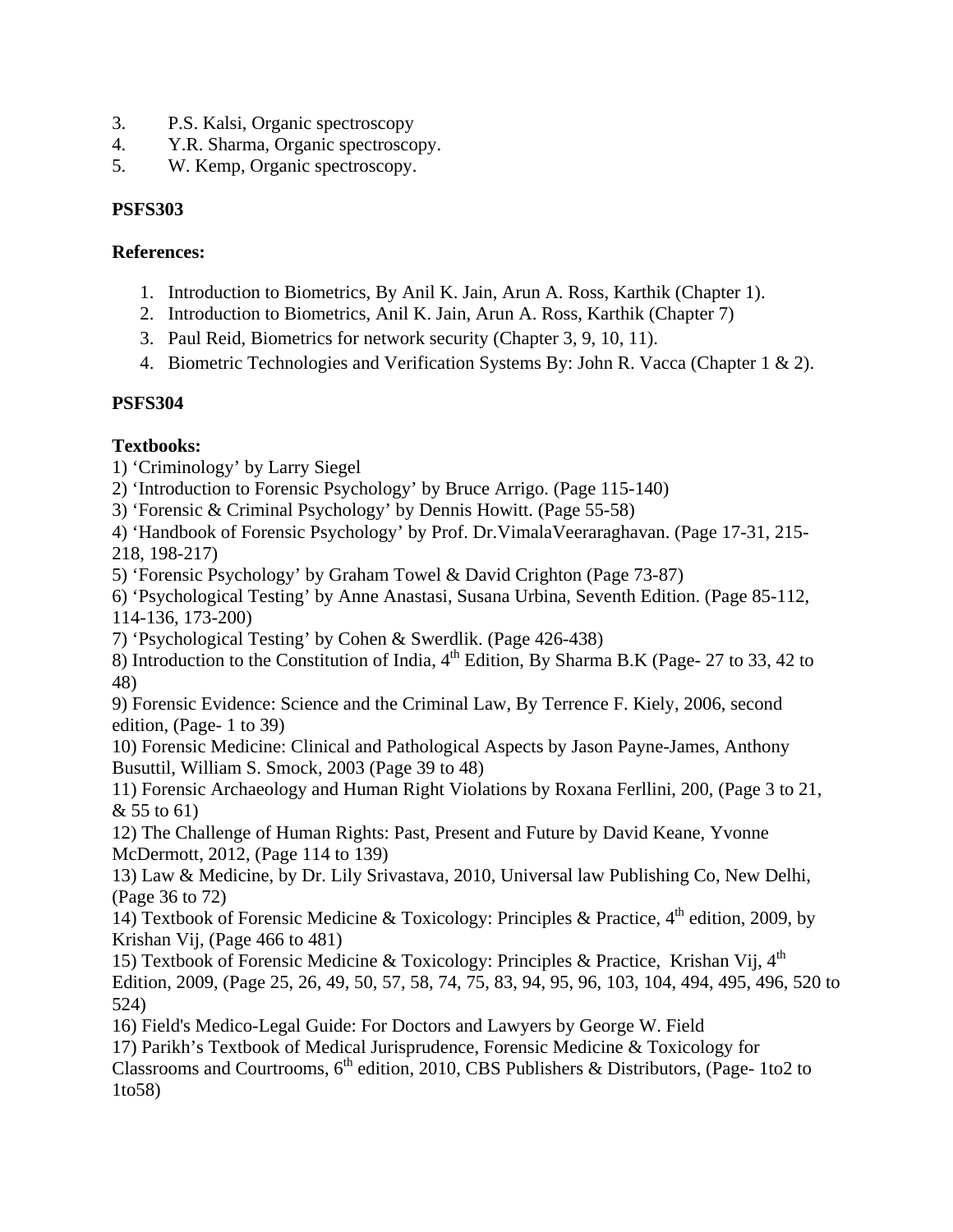- 3. P.S. Kalsi, Organic spectroscopy
- 4. Y.R. Sharma, Organic spectroscopy.
- 5. W. Kemp, Organic spectroscopy.

#### **PSFS303**

#### **References:**

- 1. Introduction to Biometrics, By Anil K. Jain, Arun A. Ross, Karthik (Chapter 1).
- 2. Introduction to Biometrics, Anil K. Jain, Arun A. Ross, Karthik (Chapter 7)
- 3. Paul Reid, Biometrics for network security (Chapter 3, 9, 10, 11).
- 4. Biometric Technologies and Verification Systems By: John R. Vacca (Chapter 1 & 2).

#### **PSFS304**

#### **Textbooks:**

1) 'Criminology' by Larry Siegel

2) 'Introduction to Forensic Psychology' by Bruce Arrigo. (Page 115-140)

3) 'Forensic & Criminal Psychology' by Dennis Howitt. (Page 55-58)

4) 'Handbook of Forensic Psychology' by Prof. Dr.VimalaVeeraraghavan. (Page 17-31, 215- 218, 198-217)

5) 'Forensic Psychology' by Graham Towel & David Crighton (Page 73-87)

6) 'Psychological Testing' by Anne Anastasi, Susana Urbina, Seventh Edition. (Page 85-112, 114-136, 173-200)

7) 'Psychological Testing' by Cohen & Swerdlik. (Page 426-438)

8) Introduction to the Constitution of India,  $4<sup>th</sup>$  Edition, By Sharma B.K (Page- 27 to 33, 42 to 48)

9) Forensic Evidence: Science and the Criminal Law, By Terrence F. Kiely, 2006, second edition, (Page- 1 to 39)

10) Forensic Medicine: Clinical and Pathological Aspects by Jason Payne-James, Anthony Busuttil, William S. Smock, 2003 (Page 39 to 48)

11) Forensic Archaeology and Human Right Violations by Roxana Ferllini, 200, (Page 3 to 21, & 55 to 61)

12) The Challenge of Human Rights: Past, Present and Future by David Keane, Yvonne McDermott, 2012, (Page 114 to 139)

13) Law & Medicine, by Dr. Lily Srivastava, 2010, Universal law Publishing Co, New Delhi, (Page 36 to 72)

14) Textbook of Forensic Medicine & Toxicology: Principles & Practice,  $4^{\text{th}}$  edition, 2009, by Krishan Vij, (Page 466 to 481)

15) Textbook of Forensic Medicine & Toxicology: Principles & Practice, Krishan Vij, 4th Edition, 2009, (Page 25, 26, 49, 50, 57, 58, 74, 75, 83, 94, 95, 96, 103, 104, 494, 495, 496, 520 to 524)

16) Field's Medico-Legal Guide: For Doctors and Lawyers by George W. Field

17) Parikh's Textbook of Medical Jurisprudence, Forensic Medicine & Toxicology for Classrooms and Courtrooms,  $6<sup>th</sup>$  edition, 2010, CBS Publishers & Distributors, (Page- 1to2 to 1to58)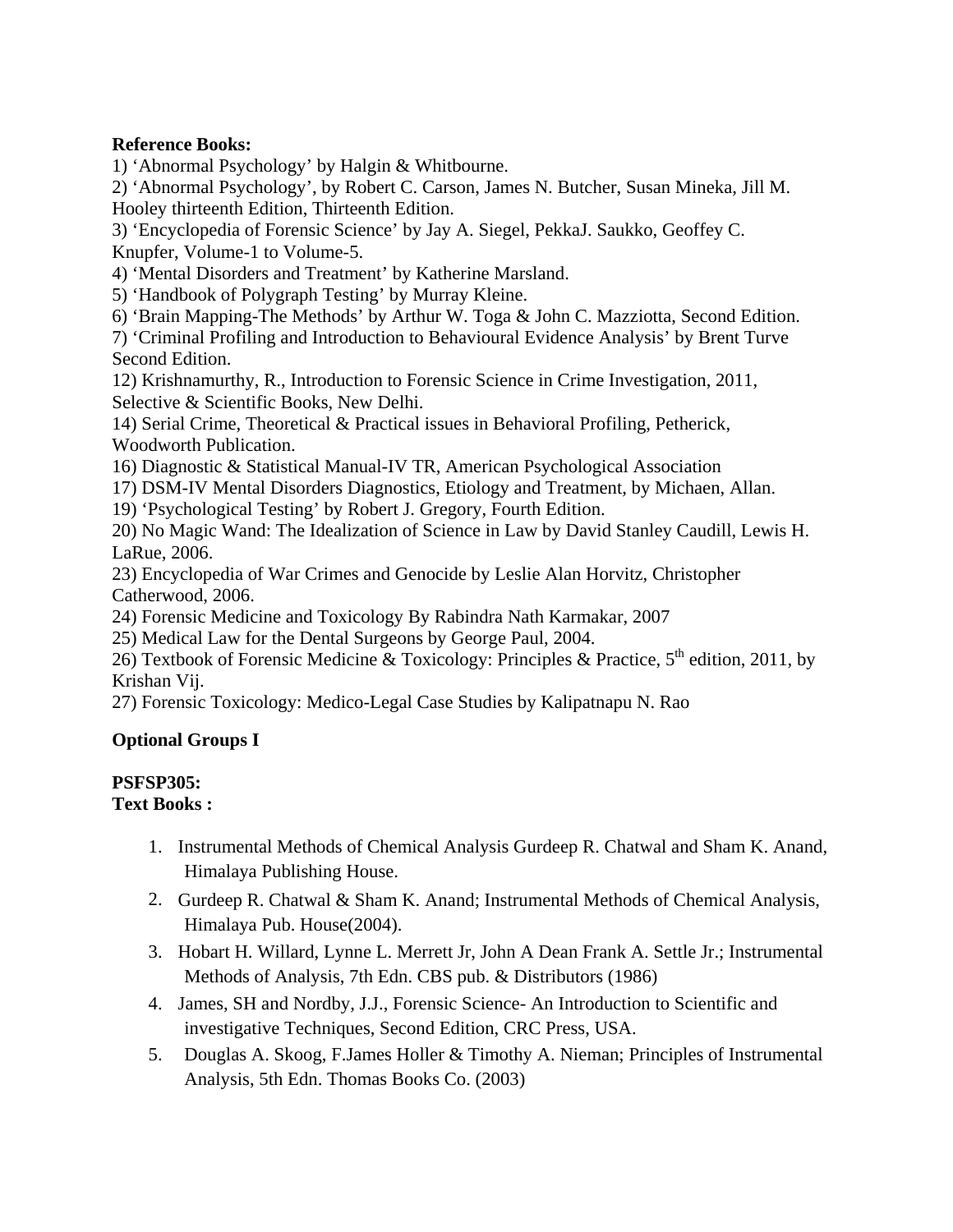#### **Reference Books:**

1) 'Abnormal Psychology' by Halgin & Whitbourne.

2) 'Abnormal Psychology', by Robert C. Carson, James N. Butcher, Susan Mineka, Jill M. Hooley thirteenth Edition, Thirteenth Edition.

3) 'Encyclopedia of Forensic Science' by Jay A. Siegel, PekkaJ. Saukko, Geoffey C. Knupfer, Volume-1 to Volume-5.

4) 'Mental Disorders and Treatment' by Katherine Marsland.

5) 'Handbook of Polygraph Testing' by Murray Kleine.

6) 'Brain Mapping-The Methods' by Arthur W. Toga & John C. Mazziotta, Second Edition.

7) 'Criminal Profiling and Introduction to Behavioural Evidence Analysis' by Brent Turve Second Edition.

12) Krishnamurthy, R., Introduction to Forensic Science in Crime Investigation, 2011, Selective & Scientific Books, New Delhi.

14) Serial Crime, Theoretical & Practical issues in Behavioral Profiling, Petherick, Woodworth Publication.

16) Diagnostic & Statistical Manual-IV TR, American Psychological Association

17) DSM-IV Mental Disorders Diagnostics, Etiology and Treatment, by Michaen, Allan.

19) 'Psychological Testing' by Robert J. Gregory, Fourth Edition.

20) No Magic Wand: The Idealization of Science in Law by David Stanley Caudill, Lewis H. LaRue, 2006.

23) Encyclopedia of War Crimes and Genocide by Leslie Alan Horvitz, Christopher Catherwood, 2006.

24) Forensic Medicine and Toxicology By Rabindra Nath Karmakar, 2007

25) Medical Law for the Dental Surgeons by George Paul, 2004.

26) Textbook of Forensic Medicine & Toxicology: Principles & Practice,  $5<sup>th</sup>$  edition, 2011, by Krishan Vij.

27) Forensic Toxicology: Medico-Legal Case Studies by Kalipatnapu N. Rao

#### **Optional Groups I**

#### **PSFSP305:**

#### **Text Books :**

- 1. Instrumental Methods of Chemical Analysis Gurdeep R. Chatwal and Sham K. Anand, Himalaya Publishing House.
- 2. Gurdeep R. Chatwal & Sham K. Anand; Instrumental Methods of Chemical Analysis, Himalaya Pub. House(2004).
- 3. Hobart H. Willard, Lynne L. Merrett Jr, John A Dean Frank A. Settle Jr.; Instrumental Methods of Analysis, 7th Edn. CBS pub. & Distributors (1986)
- 4. James, SH and Nordby, J.J., Forensic Science- An Introduction to Scientific and investigative Techniques, Second Edition, CRC Press, USA.
- 5. Douglas A. Skoog, F.James Holler & Timothy A. Nieman; Principles of Instrumental Analysis, 5th Edn. Thomas Books Co. (2003)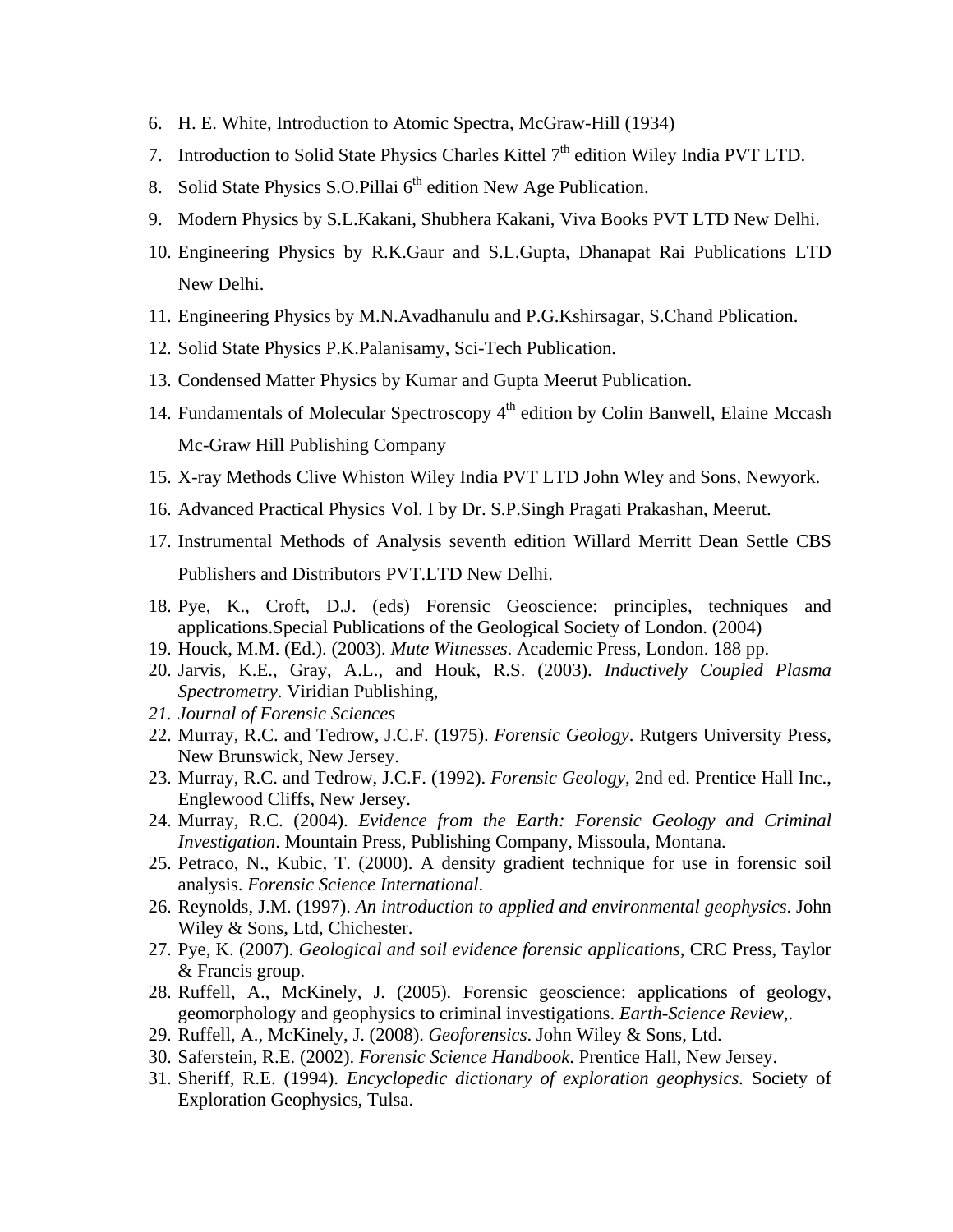- 6. H. E. White, Introduction to Atomic Spectra, McGraw-Hill (1934)
- 7. Introduction to Solid State Physics Charles Kittel  $7<sup>th</sup>$  edition Wiley India PVT LTD.
- 8. Solid State Physics S.O.Pillai  $6<sup>th</sup>$  edition New Age Publication.
- 9. Modern Physics by S.L.Kakani, Shubhera Kakani, Viva Books PVT LTD New Delhi.
- 10. Engineering Physics by R.K.Gaur and S.L.Gupta, Dhanapat Rai Publications LTD New Delhi.
- 11. Engineering Physics by M.N.Avadhanulu and P.G.Kshirsagar, S.Chand Pblication.
- 12. Solid State Physics P.K.Palanisamy, Sci-Tech Publication.
- 13. Condensed Matter Physics by Kumar and Gupta Meerut Publication.
- 14. Fundamentals of Molecular Spectroscopy 4<sup>th</sup> edition by Colin Banwell, Elaine Mccash Mc-Graw Hill Publishing Company
- 15. X-ray Methods Clive Whiston Wiley India PVT LTD John Wley and Sons, Newyork.
- 16. Advanced Practical Physics Vol. I by Dr. S.P.Singh Pragati Prakashan, Meerut.
- 17. Instrumental Methods of Analysis seventh edition Willard Merritt Dean Settle CBS Publishers and Distributors PVT.LTD New Delhi.
- 18. Pye, K., Croft, D.J. (eds) Forensic Geoscience: principles, techniques and applications.Special Publications of the Geological Society of London. (2004)
- 19. Houck, M.M. (Ed.). (2003). *Mute Witnesses*. Academic Press, London. 188 pp.
- 20. Jarvis, K.E., Gray, A.L., and Houk, R.S. (2003). *Inductively Coupled Plasma Spectrometry*. Viridian Publishing,
- *21. Journal of Forensic Sciences*
- 22. Murray, R.C. and Tedrow, J.C.F. (1975). *Forensic Geology*. Rutgers University Press, New Brunswick, New Jersey.
- 23. Murray, R.C. and Tedrow, J.C.F. (1992). *Forensic Geology*, 2nd ed. Prentice Hall Inc., Englewood Cliffs, New Jersey.
- 24. Murray, R.C. (2004). *Evidence from the Earth: Forensic Geology and Criminal Investigation*. Mountain Press, Publishing Company, Missoula, Montana.
- 25. Petraco, N., Kubic, T. (2000). A density gradient technique for use in forensic soil analysis. *Forensic Science International*.
- 26. Reynolds, J.M. (1997). *An introduction to applied and environmental geophysics*. John Wiley & Sons, Ltd, Chichester.
- 27. Pye, K. (2007). *Geological and soil evidence forensic applications*, CRC Press, Taylor & Francis group.
- 28. Ruffell, A., McKinely, J. (2005). Forensic geoscience: applications of geology, geomorphology and geophysics to criminal investigations. *Earth-Science Review*,.
- 29. Ruffell, A., McKinely, J. (2008). *Geoforensics*. John Wiley & Sons, Ltd.
- 30. Saferstein, R.E. (2002). *Forensic Science Handbook*. Prentice Hall, New Jersey.
- 31. Sheriff, R.E. (1994). *Encyclopedic dictionary of exploration geophysics.* Society of Exploration Geophysics, Tulsa.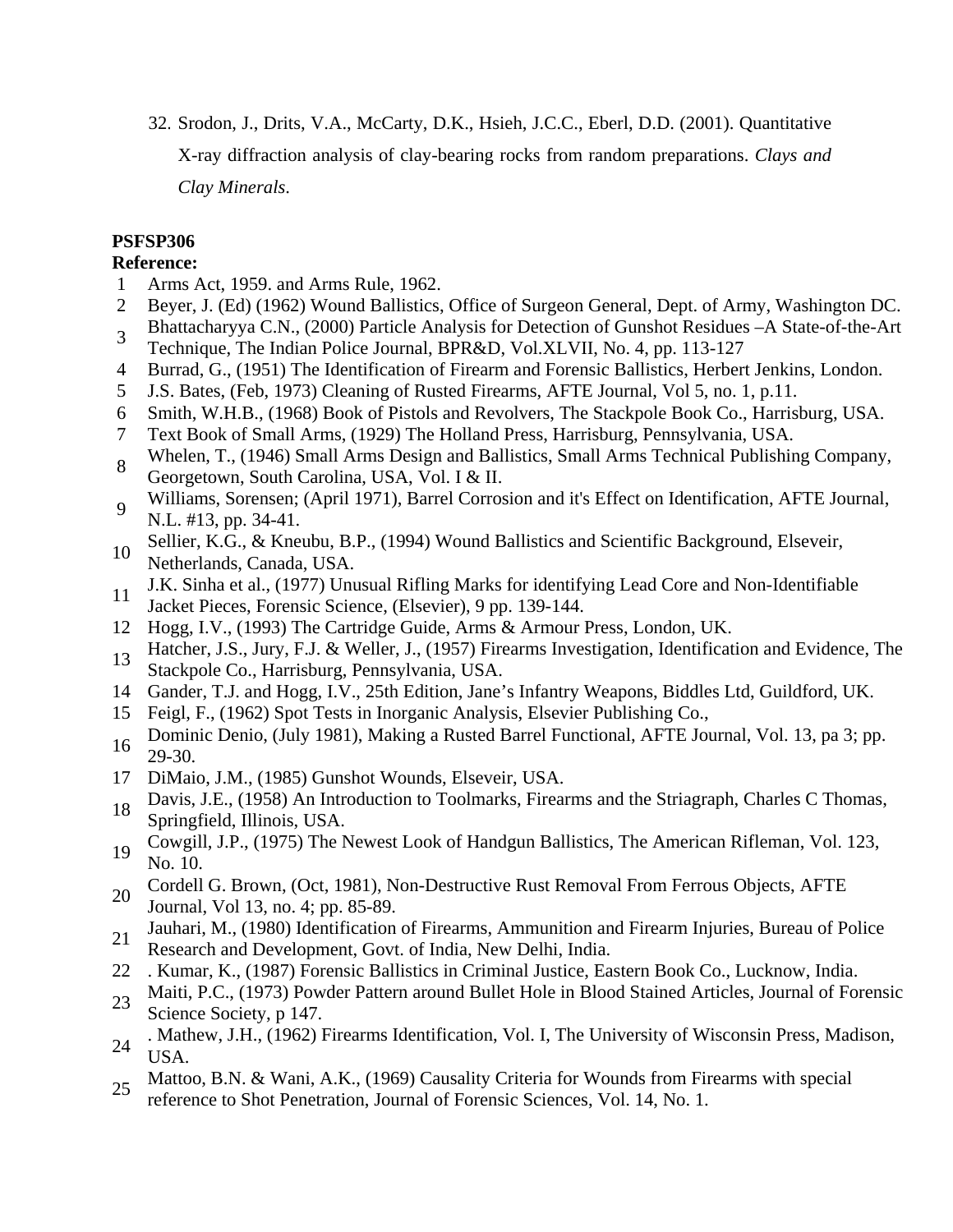32. Srodon, J., Drits, V.A., McCarty, D.K., Hsieh, J.C.C., Eberl, D.D. (2001). Quantitative X-ray diffraction analysis of clay-bearing rocks from random preparations. *Clays and Clay Minerals*.

#### **PSFSP306**

#### **Reference:**

- 1 Arms Act, 1959. and Arms Rule, 1962.
- 2 Beyer, J. (Ed) (1962) Wound Ballistics, Office of Surgeon General, Dept. of Army, Washington DC.
- <sup>3</sup>Bhattacharyya C.N., (2000) Particle Analysis for Detection of Gunshot Residues –A State-of-the-Art Technique, The Indian Police Journal, BPR&D, Vol.XLVII, No. 4, pp. 113-127
- 4 Burrad, G., (1951) The Identification of Firearm and Forensic Ballistics, Herbert Jenkins, London.
- 5 J.S. Bates, (Feb, 1973) Cleaning of Rusted Firearms, AFTE Journal, Vol 5, no. 1, p.11.
- 6 Smith, W.H.B., (1968) Book of Pistols and Revolvers, The Stackpole Book Co., Harrisburg, USA.
- 7 Text Book of Small Arms, (1929) The Holland Press, Harrisburg, Pennsylvania, USA.
- 8Whelen, T., (1946) Small Arms Design and Ballistics, Small Arms Technical Publishing Company, Georgetown, South Carolina, USA, Vol. I & II.
- <sup>9</sup>Williams, Sorensen; (April 1971), Barrel Corrosion and it's Effect on Identification, AFTE Journal, N.L. #13, pp. 34-41.
- 10 Sellier, K.G., & Kneubu, B.P., (1994) Wound Ballistics and Scientific Background, Elseveir, Netherlands, Canada, USA.
- <sup>11</sup>J.K. Sinha et al., (1977) Unusual Rifling Marks for identifying Lead Core and Non-Identifiable Jacket Pieces, Forensic Science, (Elsevier), 9 pp. 139-144.
- 12 Hogg, I.V., (1993) The Cartridge Guide, Arms & Armour Press, London, UK.
- <sup>13</sup>Hatcher, J.S., Jury, F.J. & Weller, J., (1957) Firearms Investigation, Identification and Evidence, The Stackpole Co., Harrisburg, Pennsylvania, USA.
- 14 Gander, T.J. and Hogg, I.V., 25th Edition, Jane's Infantry Weapons, Biddles Ltd, Guildford, UK.
- 15 Feigl, F., (1962) Spot Tests in Inorganic Analysis, Elsevier Publishing Co.,
- 16 Dominic Denio, (July 1981), Making a Rusted Barrel Functional, AFTE Journal, Vol. 13, pa 3; pp. 29-30.
- 17 DiMaio, J.M., (1985) Gunshot Wounds, Elseveir, USA.
- 18 Davis, J.E., (1958) An Introduction to Toolmarks, Firearms and the Striagraph, Charles C Thomas, Springfield, Illinois, USA.
- <sup>19</sup>Cowgill, J.P., (1975) The Newest Look of Handgun Ballistics, The American Rifleman, Vol. 123, No. 10.
- 20 Cordell G. Brown, (Oct, 1981), Non-Destructive Rust Removal From Ferrous Objects, AFTE Journal, Vol 13, no. 4; pp. 85-89.
- 21 Jauhari, M., (1980) Identification of Firearms, Ammunition and Firearm Injuries, Bureau of Police Research and Development, Govt. of India, New Delhi, India.
- 22 . Kumar, K., (1987) Forensic Ballistics in Criminal Justice, Eastern Book Co., Lucknow, India.
- 23 Maiti, P.C., (1973) Powder Pattern around Bullet Hole in Blood Stained Articles, Journal of Forensic Science Society, p 147.
- 24. Mathew, J.H., (1962) Firearms Identification, Vol. I, The University of Wisconsin Press, Madison, USA.
- 25 Mattoo, B.N. & Wani, A.K., (1969) Causality Criteria for Wounds from Firearms with special reference to Shot Penetration, Journal of Forensic Sciences, Vol. 14, No. 1.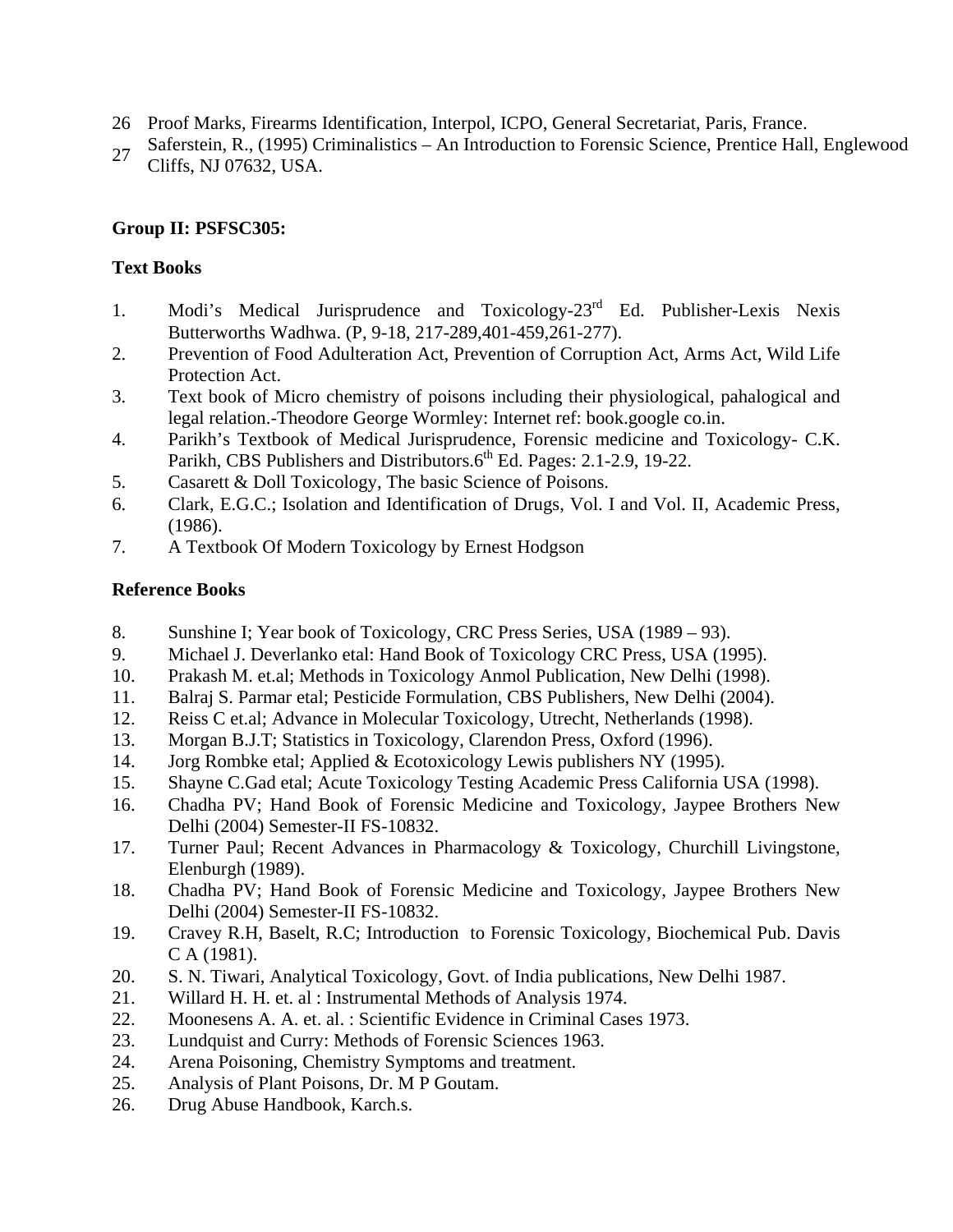- 26 Proof Marks, Firearms Identification, Interpol, ICPO, General Secretariat, Paris, France.
- 27 Saferstein, R., (1995) Criminalistics An Introduction to Forensic Science, Prentice Hall, Englewood Cliffs, NJ 07632, USA.

#### **Group II: PSFSC305:**

#### **Text Books**

- 1. Modi's Medical Jurisprudence and Toxicology-23<sup>rd</sup> Ed. Publisher-Lexis Nexis Butterworths Wadhwa. (P, 9-18, 217-289,401-459,261-277).
- 2. Prevention of Food Adulteration Act, Prevention of Corruption Act, Arms Act, Wild Life Protection Act.
- 3. Text book of Micro chemistry of poisons including their physiological, pahalogical and legal relation.-Theodore George Wormley: Internet ref: book.google co.in.
- 4. Parikh's Textbook of Medical Jurisprudence, Forensic medicine and Toxicology- C.K. Parikh, CBS Publishers and Distributors.6<sup>th</sup> Ed. Pages: 2.1-2.9, 19-22.
- 5. Casarett & Doll Toxicology, The basic Science of Poisons.
- 6. Clark, E.G.C.; Isolation and Identification of Drugs, Vol. I and Vol. II, Academic Press, (1986).
- 7. A Textbook Of Modern Toxicology by Ernest Hodgson

#### **Reference Books**

- 8. Sunshine I; Year book of Toxicology, CRC Press Series, USA (1989 93).
- 9. Michael J. Deverlanko etal: Hand Book of Toxicology CRC Press, USA (1995).
- 10. Prakash M. et.al; Methods in Toxicology Anmol Publication, New Delhi (1998).
- 11. Balraj S. Parmar etal; Pesticide Formulation, CBS Publishers, New Delhi (2004).
- 12. Reiss C et.al; Advance in Molecular Toxicology, Utrecht, Netherlands (1998).
- 13. Morgan B.J.T; Statistics in Toxicology, Clarendon Press, Oxford (1996).
- 14. Jorg Rombke etal; Applied & Ecotoxicology Lewis publishers NY (1995).
- 15. Shayne C.Gad etal; Acute Toxicology Testing Academic Press California USA (1998).
- 16. Chadha PV; Hand Book of Forensic Medicine and Toxicology, Jaypee Brothers New Delhi (2004) Semester-II FS-10832.
- 17. Turner Paul; Recent Advances in Pharmacology & Toxicology, Churchill Livingstone, Elenburgh (1989).
- 18. Chadha PV; Hand Book of Forensic Medicine and Toxicology, Jaypee Brothers New Delhi (2004) Semester-II FS-10832.
- 19. Cravey R.H, Baselt, R.C; Introduction to Forensic Toxicology, Biochemical Pub. Davis C A (1981).
- 20. S. N. Tiwari, Analytical Toxicology, Govt. of India publications, New Delhi 1987.
- 21. Willard H. H. et. al : Instrumental Methods of Analysis 1974.
- 22. Moonesens A. A. et. al. : Scientific Evidence in Criminal Cases 1973.
- 23. Lundquist and Curry: Methods of Forensic Sciences 1963.
- 24. Arena Poisoning, Chemistry Symptoms and treatment.
- 25. Analysis of Plant Poisons, Dr. M P Goutam.
- 26. Drug Abuse Handbook, Karch.s.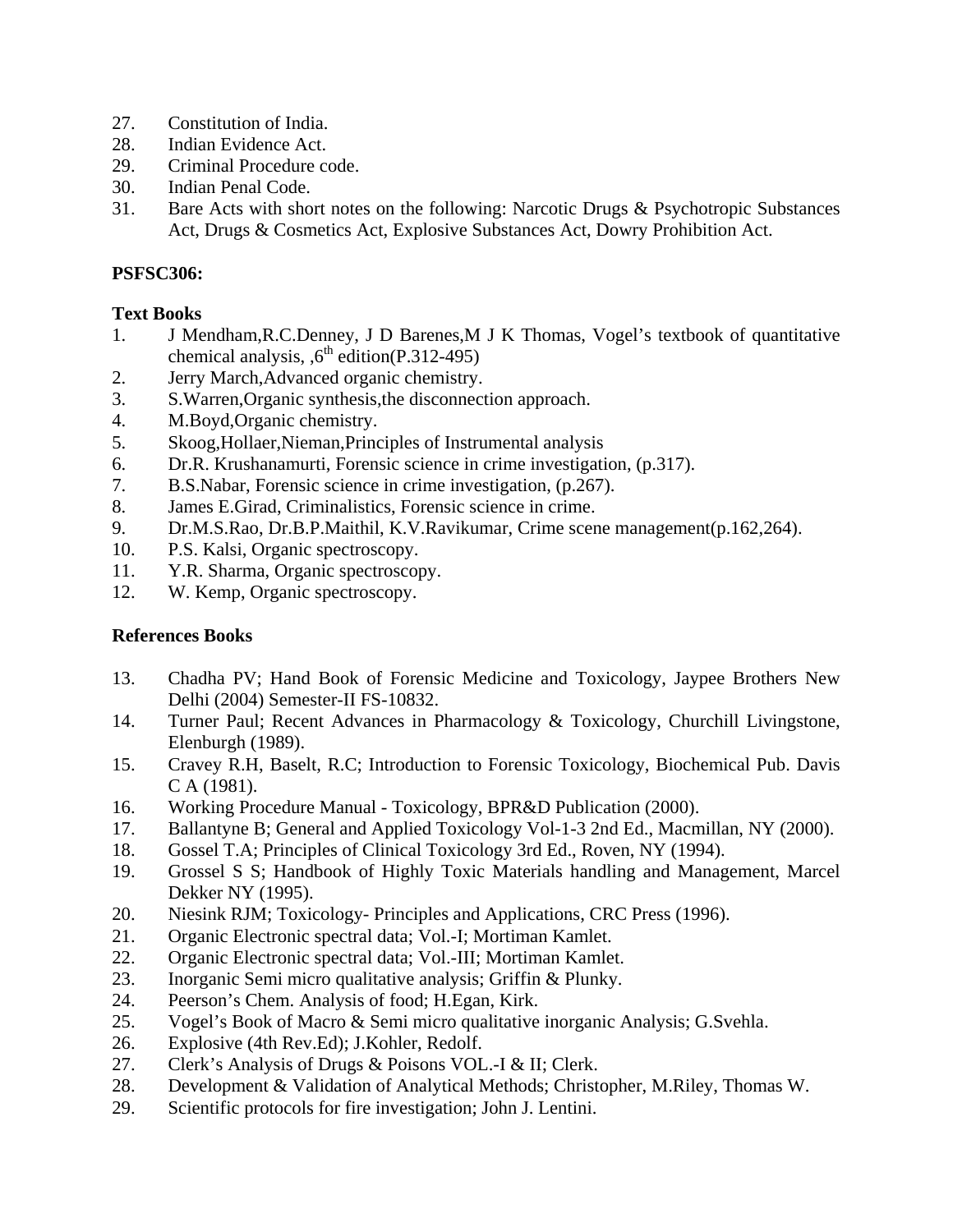- 27. Constitution of India.
- 28. Indian Evidence Act.
- 29. Criminal Procedure code.
- 30. Indian Penal Code.
- 31. Bare Acts with short notes on the following: Narcotic Drugs & Psychotropic Substances Act, Drugs & Cosmetics Act, Explosive Substances Act, Dowry Prohibition Act.

#### **PSFSC306:**

#### **Text Books**

- 1. J Mendham,R.C.Denney, J D Barenes,M J K Thomas, Vogel's textbook of quantitative chemical analysis,  $,6^{\text{th}}$  edition(P.312-495)
- 2. Jerry March,Advanced organic chemistry.
- 3. S.Warren,Organic synthesis,the disconnection approach.
- 4. M.Boyd,Organic chemistry.
- 5. Skoog,Hollaer,Nieman,Principles of Instrumental analysis
- 6. Dr.R. Krushanamurti, Forensic science in crime investigation, (p.317).
- 7. B.S.Nabar, Forensic science in crime investigation, (p.267).
- 8. James E.Girad, Criminalistics, Forensic science in crime.
- 9. Dr.M.S.Rao, Dr.B.P.Maithil, K.V.Ravikumar, Crime scene management(p.162,264).
- 10. P.S. Kalsi, Organic spectroscopy.
- 11. Y.R. Sharma, Organic spectroscopy.
- 12. W. Kemp, Organic spectroscopy.

#### **References Books**

- 13. Chadha PV; Hand Book of Forensic Medicine and Toxicology, Jaypee Brothers New Delhi (2004) Semester-II FS-10832.
- 14. Turner Paul; Recent Advances in Pharmacology & Toxicology, Churchill Livingstone, Elenburgh (1989).
- 15. Cravey R.H, Baselt, R.C; Introduction to Forensic Toxicology, Biochemical Pub. Davis C A (1981).
- 16. Working Procedure Manual Toxicology, BPR&D Publication (2000).
- 17. Ballantyne B; General and Applied Toxicology Vol-1-3 2nd Ed., Macmillan, NY (2000).
- 18. Gossel T.A; Principles of Clinical Toxicology 3rd Ed., Roven, NY (1994).
- 19. Grossel S S; Handbook of Highly Toxic Materials handling and Management, Marcel Dekker NY (1995).
- 20. Niesink RJM; Toxicology- Principles and Applications, CRC Press (1996).
- 21. Organic Electronic spectral data; Vol.-I; Mortiman Kamlet.
- 22. Organic Electronic spectral data; Vol.-III; Mortiman Kamlet.
- 23. Inorganic Semi micro qualitative analysis; Griffin & Plunky.
- 24. Peerson's Chem. Analysis of food; H.Egan, Kirk.
- 25. Vogel's Book of Macro & Semi micro qualitative inorganic Analysis; G.Svehla.
- 26. Explosive (4th Rev.Ed); J.Kohler, Redolf.
- 27. Clerk's Analysis of Drugs & Poisons VOL.-I & II; Clerk.
- 28. Development & Validation of Analytical Methods; Christopher, M.Riley, Thomas W.
- 29. Scientific protocols for fire investigation; John J. Lentini.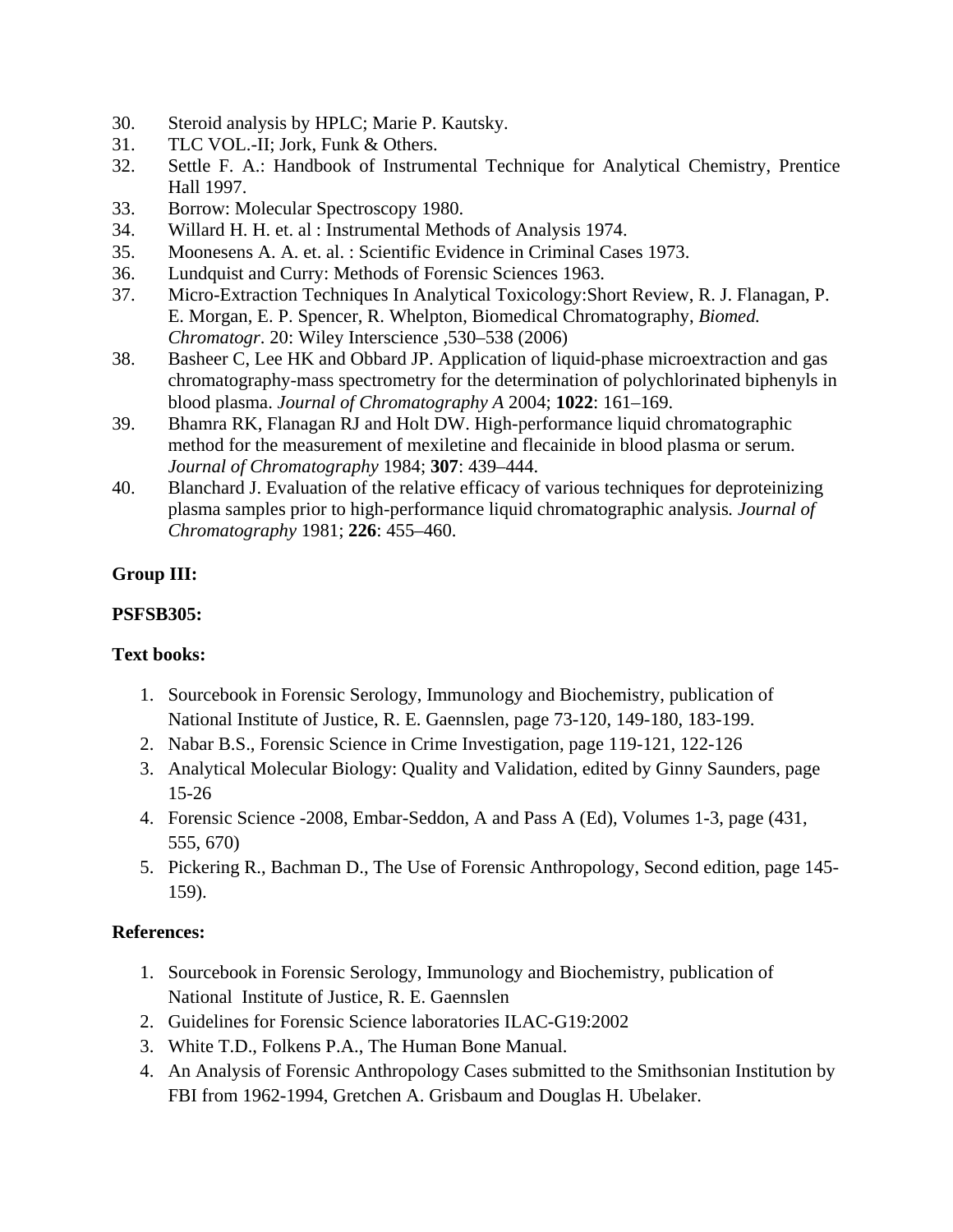- 30. Steroid analysis by HPLC; Marie P. Kautsky.
- 31. TLC VOL.-II; Jork, Funk & Others.
- 32. Settle F. A.: Handbook of Instrumental Technique for Analytical Chemistry, Prentice Hall 1997.
- 33. Borrow: Molecular Spectroscopy 1980.
- 34. Willard H. H. et. al : Instrumental Methods of Analysis 1974.
- 35. Moonesens A. A. et. al. : Scientific Evidence in Criminal Cases 1973.
- 36. Lundquist and Curry: Methods of Forensic Sciences 1963.
- 37. Micro-Extraction Techniques In Analytical Toxicology:Short Review, R. J. Flanagan, P. E. Morgan, E. P. Spencer, R. Whelpton, Biomedical Chromatography, *Biomed. Chromatogr*. 20: Wiley Interscience ,530–538 (2006)
- 38. Basheer C, Lee HK and Obbard JP. Application of liquid-phase microextraction and gas chromatography-mass spectrometry for the determination of polychlorinated biphenyls in blood plasma. *Journal of Chromatography A* 2004; **1022**: 161–169.
- 39. Bhamra RK, Flanagan RJ and Holt DW. High-performance liquid chromatographic method for the measurement of mexiletine and flecainide in blood plasma or serum. *Journal of Chromatography* 1984; **307**: 439–444.
- 40. Blanchard J. Evaluation of the relative efficacy of various techniques for deproteinizing plasma samples prior to high-performance liquid chromatographic analysis*. Journal of Chromatography* 1981; **226**: 455–460.

#### **Group III:**

#### **PSFSB305:**

#### **Text books:**

- 1. Sourcebook in Forensic Serology, Immunology and Biochemistry, publication of National Institute of Justice, R. E. Gaennslen, page 73-120, 149-180, 183-199.
- 2. Nabar B.S., Forensic Science in Crime Investigation, page 119-121, 122-126
- 3. Analytical Molecular Biology: Quality and Validation, edited by Ginny Saunders, page 15-26
- 4. Forensic Science -2008, Embar-Seddon, A and Pass A (Ed), Volumes 1-3, page (431, 555, 670)
- 5. Pickering R., Bachman D., The Use of Forensic Anthropology, Second edition, page 145- 159).

#### **References:**

- 1. Sourcebook in Forensic Serology, Immunology and Biochemistry, publication of National Institute of Justice, R. E. Gaennslen
- 2. Guidelines for Forensic Science laboratories ILAC-G19:2002
- 3. White T.D., Folkens P.A., The Human Bone Manual.
- 4. An Analysis of Forensic Anthropology Cases submitted to the Smithsonian Institution by FBI from 1962-1994, Gretchen A. Grisbaum and Douglas H. Ubelaker.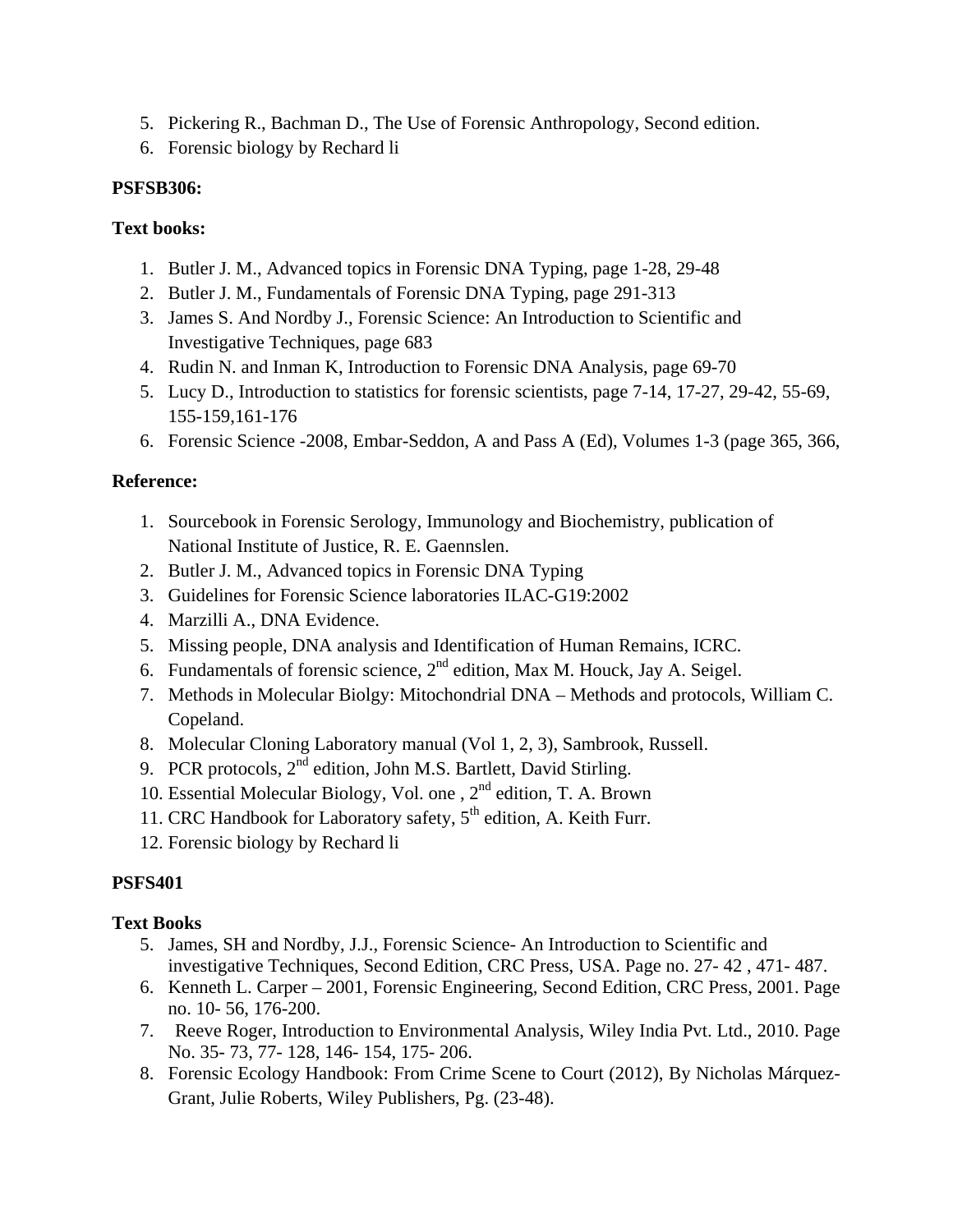- 5. Pickering R., Bachman D., The Use of Forensic Anthropology, Second edition.
- 6. Forensic biology by Rechard li

#### **PSFSB306:**

#### **Text books:**

- 1. Butler J. M., Advanced topics in Forensic DNA Typing, page 1-28, 29-48
- 2. Butler J. M., Fundamentals of Forensic DNA Typing, page 291-313
- 3. James S. And Nordby J., Forensic Science: An Introduction to Scientific and Investigative Techniques, page 683
- 4. Rudin N. and Inman K, Introduction to Forensic DNA Analysis, page 69-70
- 5. Lucy D., Introduction to statistics for forensic scientists, page 7-14, 17-27, 29-42, 55-69, 155-159,161-176
- 6. Forensic Science -2008, Embar-Seddon, A and Pass A (Ed), Volumes 1-3 (page 365, 366,

#### **Reference:**

- 1. Sourcebook in Forensic Serology, Immunology and Biochemistry, publication of National Institute of Justice, R. E. Gaennslen.
- 2. Butler J. M., Advanced topics in Forensic DNA Typing
- 3. Guidelines for Forensic Science laboratories ILAC-G19:2002
- 4. Marzilli A., DNA Evidence.
- 5. Missing people, DNA analysis and Identification of Human Remains, ICRC.
- 6. Fundamentals of forensic science,  $2<sup>nd</sup>$  edition, Max M. Houck, Jay A. Seigel.
- 7. Methods in Molecular Biolgy: Mitochondrial DNA Methods and protocols, William C. Copeland.
- 8. Molecular Cloning Laboratory manual (Vol 1, 2, 3), Sambrook, Russell.
- 9. PCR protocols,  $2<sup>nd</sup>$  edition, John M.S. Bartlett, David Stirling.
- 10. Essential Molecular Biology, Vol. one , 2nd edition, T. A. Brown
- 11. CRC Handbook for Laboratory safety,  $5<sup>th</sup>$  edition, A. Keith Furr.
- 12. Forensic biology by Rechard li

#### **PSFS401**

#### **Text Books**

- 5. James, SH and Nordby, J.J., Forensic Science- An Introduction to Scientific and investigative Techniques, Second Edition, CRC Press, USA. Page no. 27- 42 , 471- 487.
- 6. Kenneth L. Carper 2001, Forensic Engineering, Second Edition, CRC Press, 2001. Page no. 10- 56, 176-200.
- 7. Reeve Roger, Introduction to Environmental Analysis, Wiley India Pvt. Ltd., 2010. Page No. 35- 73, 77- 128, 146- 154, 175- 206.
- 8. Forensic Ecology Handbook: From Crime Scene to Court (2012), By Nicholas Márquez-Grant, Julie Roberts, Wiley Publishers, Pg. (23-48).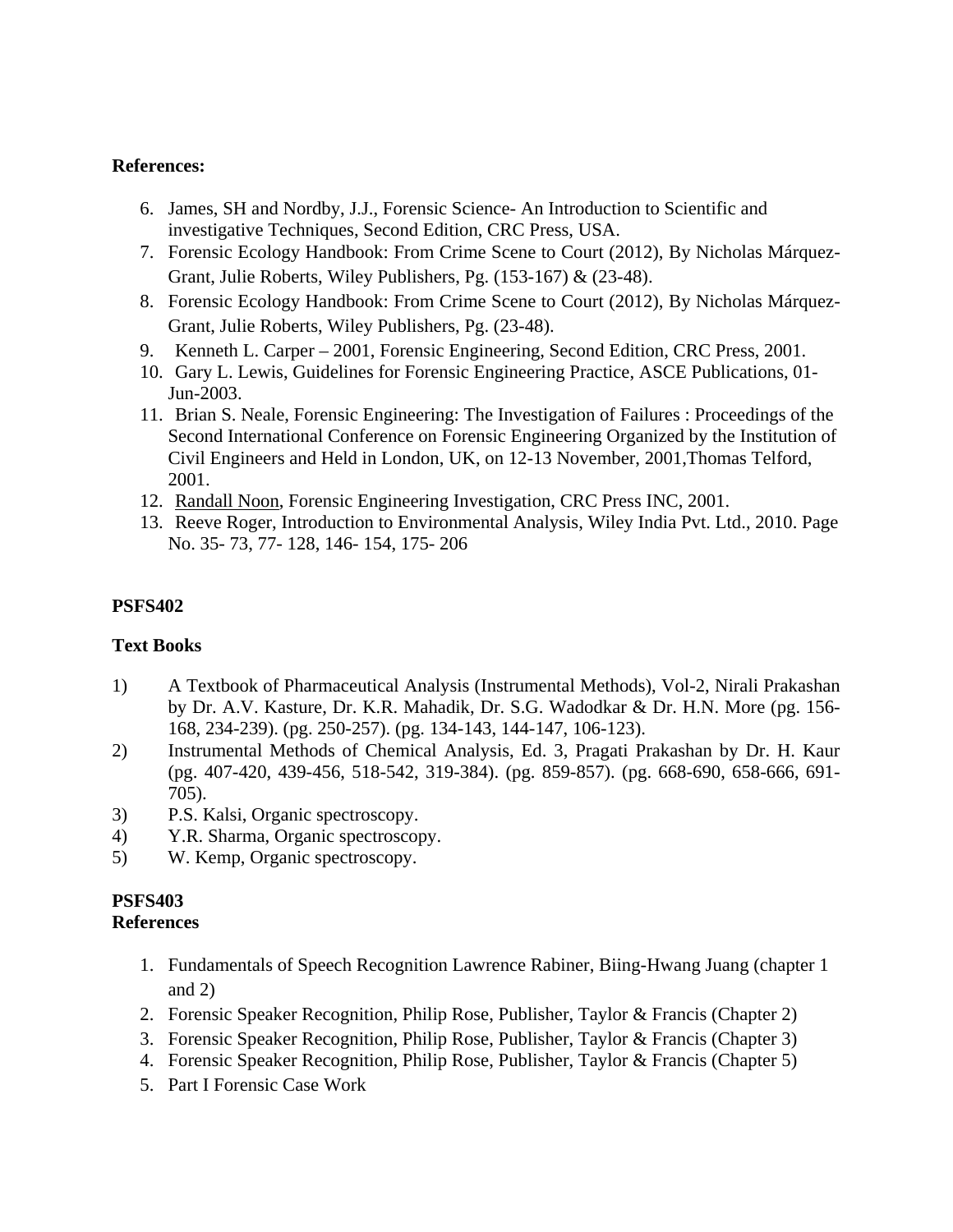#### **References:**

- 6. James, SH and Nordby, J.J., Forensic Science- An Introduction to Scientific and investigative Techniques, Second Edition, CRC Press, USA.
- 7. Forensic Ecology Handbook: From Crime Scene to Court (2012), By Nicholas Márquez-Grant, Julie Roberts, Wiley Publishers, Pg. (153-167) & (23-48).
- 8. Forensic Ecology Handbook: From Crime Scene to Court (2012), By Nicholas Márquez-Grant, Julie Roberts, Wiley Publishers, Pg. (23-48).
- 9. Kenneth L. Carper 2001, Forensic Engineering, Second Edition, CRC Press, 2001.
- 10. Gary L. Lewis, Guidelines for Forensic Engineering Practice, ASCE Publications, 01- Jun-2003.
- 11. Brian S. Neale, Forensic Engineering: The Investigation of Failures : Proceedings of the Second International Conference on Forensic Engineering Organized by the Institution of Civil Engineers and Held in London, UK, on 12-13 November, 2001,Thomas Telford, 2001.
- 12. Randall Noon, Forensic Engineering Investigation, CRC Press INC, 2001.
- 13. Reeve Roger, Introduction to Environmental Analysis, Wiley India Pvt. Ltd., 2010. Page No. 35- 73, 77- 128, 146- 154, 175- 206

#### **PSFS402**

#### **Text Books**

- 1) A Textbook of Pharmaceutical Analysis (Instrumental Methods), Vol-2, Nirali Prakashan by Dr. A.V. Kasture, Dr. K.R. Mahadik, Dr. S.G. Wadodkar & Dr. H.N. More (pg. 156- 168, 234-239). (pg. 250-257). (pg. 134-143, 144-147, 106-123).
- 2) Instrumental Methods of Chemical Analysis, Ed. 3, Pragati Prakashan by Dr. H. Kaur (pg. 407-420, 439-456, 518-542, 319-384). (pg. 859-857). (pg. 668-690, 658-666, 691- 705).
- 3) P.S. Kalsi, Organic spectroscopy.
- 4) Y.R. Sharma, Organic spectroscopy.
- 5) W. Kemp, Organic spectroscopy.

#### **PSFS403**

#### **References**

- 1. Fundamentals of Speech Recognition Lawrence Rabiner, Biing-Hwang Juang (chapter 1 and 2)
- 2. Forensic Speaker Recognition, Philip Rose, Publisher, Taylor & Francis (Chapter 2)
- 3. Forensic Speaker Recognition, Philip Rose, Publisher, Taylor & Francis (Chapter 3)
- 4. Forensic Speaker Recognition, Philip Rose, Publisher, Taylor & Francis (Chapter 5)
- 5. Part I Forensic Case Work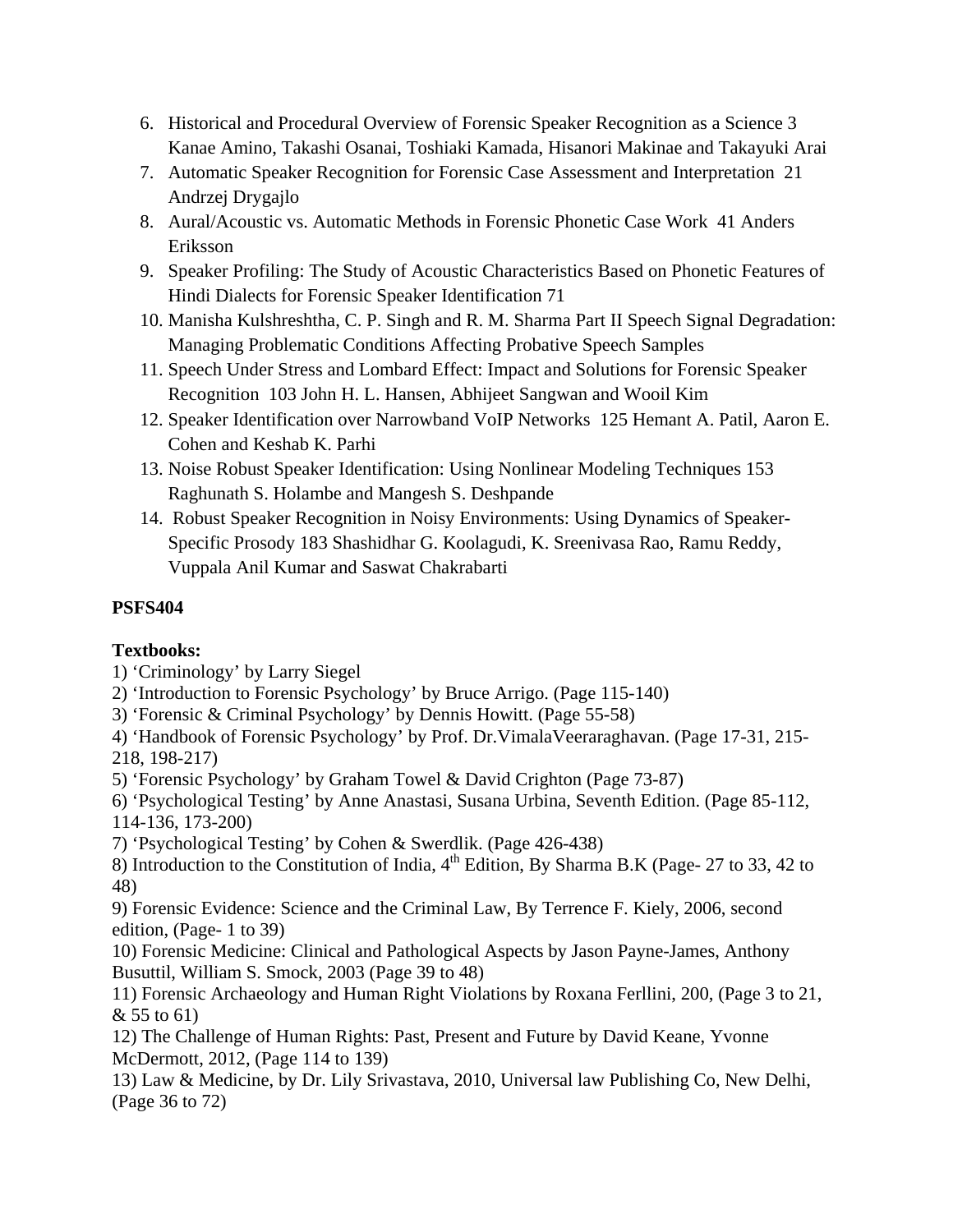- 6. Historical and Procedural Overview of Forensic Speaker Recognition as a Science 3 Kanae Amino, Takashi Osanai, Toshiaki Kamada, Hisanori Makinae and Takayuki Arai
- 7. Automatic Speaker Recognition for Forensic Case Assessment and Interpretation 21 Andrzej Drygajlo
- 8. Aural/Acoustic vs. Automatic Methods in Forensic Phonetic Case Work 41 Anders Eriksson
- 9. Speaker Profiling: The Study of Acoustic Characteristics Based on Phonetic Features of Hindi Dialects for Forensic Speaker Identification 71
- 10. Manisha Kulshreshtha, C. P. Singh and R. M. Sharma Part II Speech Signal Degradation: Managing Problematic Conditions Affecting Probative Speech Samples
- 11. Speech Under Stress and Lombard Effect: Impact and Solutions for Forensic Speaker Recognition 103 John H. L. Hansen, Abhijeet Sangwan and Wooil Kim
- 12. Speaker Identification over Narrowband VoIP Networks 125 Hemant A. Patil, Aaron E. Cohen and Keshab K. Parhi
- 13. Noise Robust Speaker Identification: Using Nonlinear Modeling Techniques 153 Raghunath S. Holambe and Mangesh S. Deshpande
- 14. Robust Speaker Recognition in Noisy Environments: Using Dynamics of Speaker-Specific Prosody 183 Shashidhar G. Koolagudi, K. Sreenivasa Rao, Ramu Reddy, Vuppala Anil Kumar and Saswat Chakrabarti

#### **PSFS404**

#### **Textbooks:**

1) 'Criminology' by Larry Siegel

2) 'Introduction to Forensic Psychology' by Bruce Arrigo. (Page 115-140)

3) 'Forensic & Criminal Psychology' by Dennis Howitt. (Page 55-58)

4) 'Handbook of Forensic Psychology' by Prof. Dr.VimalaVeeraraghavan. (Page 17-31, 215- 218, 198-217)

5) 'Forensic Psychology' by Graham Towel & David Crighton (Page 73-87)

6) 'Psychological Testing' by Anne Anastasi, Susana Urbina, Seventh Edition. (Page 85-112, 114-136, 173-200)

7) 'Psychological Testing' by Cohen & Swerdlik. (Page 426-438)

8) Introduction to the Constitution of India,  $4<sup>th</sup>$  Edition, By Sharma B.K (Page- 27 to 33, 42 to 48)

9) Forensic Evidence: Science and the Criminal Law, By Terrence F. Kiely, 2006, second edition, (Page- 1 to 39)

10) Forensic Medicine: Clinical and Pathological Aspects by Jason Payne-James, Anthony Busuttil, William S. Smock, 2003 (Page 39 to 48)

11) Forensic Archaeology and Human Right Violations by Roxana Ferllini, 200, (Page 3 to 21, & 55 to 61)

12) The Challenge of Human Rights: Past, Present and Future by David Keane, Yvonne McDermott, 2012, (Page 114 to 139)

13) Law & Medicine, by Dr. Lily Srivastava, 2010, Universal law Publishing Co, New Delhi, (Page 36 to 72)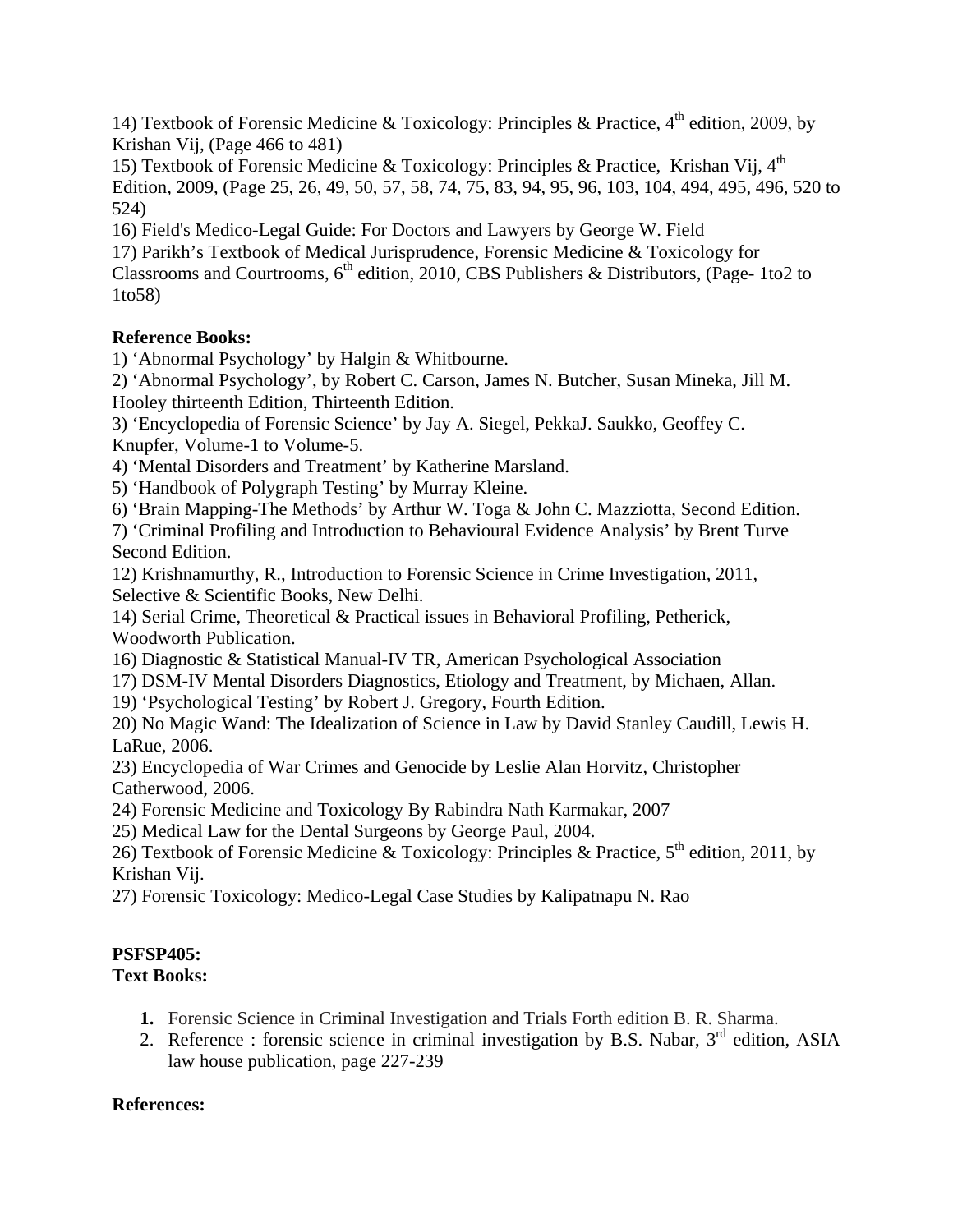14) Textbook of Forensic Medicine & Toxicology: Principles & Practice,  $4<sup>th</sup>$  edition, 2009, by Krishan Vij, (Page 466 to 481)

15) Textbook of Forensic Medicine & Toxicology: Principles & Practice, Krishan Vij,  $4<sup>th</sup>$ Edition, 2009, (Page 25, 26, 49, 50, 57, 58, 74, 75, 83, 94, 95, 96, 103, 104, 494, 495, 496, 520 to 524)

16) Field's Medico-Legal Guide: For Doctors and Lawyers by George W. Field

17) Parikh's Textbook of Medical Jurisprudence, Forensic Medicine & Toxicology for Classrooms and Courtrooms,  $6<sup>th</sup>$  edition, 2010, CBS Publishers & Distributors, (Page- 1to2 to 1to58)

#### **Reference Books:**

1) 'Abnormal Psychology' by Halgin & Whitbourne.

2) 'Abnormal Psychology', by Robert C. Carson, James N. Butcher, Susan Mineka, Jill M. Hooley thirteenth Edition, Thirteenth Edition.

3) 'Encyclopedia of Forensic Science' by Jay A. Siegel, PekkaJ. Saukko, Geoffey C. Knupfer, Volume-1 to Volume-5.

4) 'Mental Disorders and Treatment' by Katherine Marsland.

5) 'Handbook of Polygraph Testing' by Murray Kleine.

6) 'Brain Mapping-The Methods' by Arthur W. Toga & John C. Mazziotta, Second Edition.

7) 'Criminal Profiling and Introduction to Behavioural Evidence Analysis' by Brent Turve Second Edition.

12) Krishnamurthy, R., Introduction to Forensic Science in Crime Investigation, 2011, Selective & Scientific Books, New Delhi.

14) Serial Crime, Theoretical & Practical issues in Behavioral Profiling, Petherick, Woodworth Publication.

16) Diagnostic & Statistical Manual-IV TR, American Psychological Association

17) DSM-IV Mental Disorders Diagnostics, Etiology and Treatment, by Michaen, Allan.

19) 'Psychological Testing' by Robert J. Gregory, Fourth Edition.

20) No Magic Wand: The Idealization of Science in Law by David Stanley Caudill, Lewis H. LaRue, 2006.

23) Encyclopedia of War Crimes and Genocide by Leslie Alan Horvitz, Christopher Catherwood, 2006.

24) Forensic Medicine and Toxicology By Rabindra Nath Karmakar, 2007

25) Medical Law for the Dental Surgeons by George Paul, 2004.

26) Textbook of Forensic Medicine & Toxicology: Principles & Practice,  $5<sup>th</sup>$  edition, 2011, by Krishan Vij.

27) Forensic Toxicology: Medico-Legal Case Studies by Kalipatnapu N. Rao

#### **PSFSP405:**

#### **Text Books:**

- **1.** Forensic Science in Criminal Investigation and Trials Forth edition B. R. Sharma.
- 2. Reference : forensic science in criminal investigation by B.S. Nabar, 3<sup>rd</sup> edition, ASIA law house publication, page 227-239

#### **References:**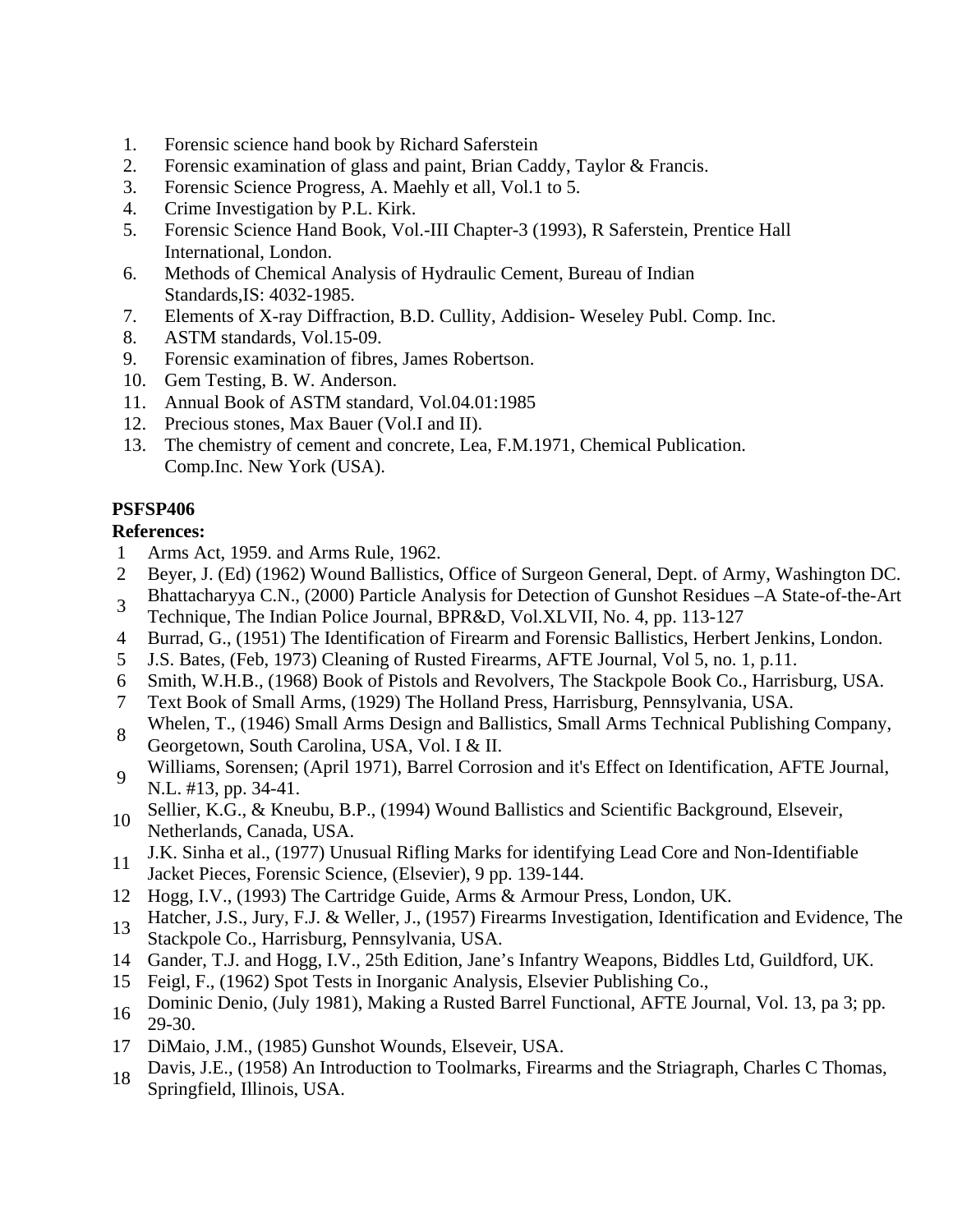- 1. Forensic science hand book by Richard Saferstein
- 2. Forensic examination of glass and paint, Brian Caddy, Taylor & Francis.
- 3. Forensic Science Progress, A. Maehly et all, Vol.1 to 5.
- 4. Crime Investigation by P.L. Kirk.
- 5. Forensic Science Hand Book, Vol.-III Chapter-3 (1993), R Saferstein, Prentice Hall International, London.
- 6. Methods of Chemical Analysis of Hydraulic Cement, Bureau of Indian Standards,IS: 4032-1985.
- 7. Elements of X-ray Diffraction, B.D. Cullity, Addision- Weseley Publ. Comp. Inc.
- 8. ASTM standards, Vol.15-09.
- 9. Forensic examination of fibres, James Robertson.
- 10. Gem Testing, B. W. Anderson.
- 11. Annual Book of ASTM standard, Vol.04.01:1985
- 12. Precious stones, Max Bauer (Vol.I and II).
- 13. The chemistry of cement and concrete, Lea, F.M.1971, Chemical Publication. Comp.Inc. New York (USA).

#### **PSFSP406**

#### **References:**

- 1 Arms Act, 1959. and Arms Rule, 1962.
- 2 Beyer, J. (Ed) (1962) Wound Ballistics, Office of Surgeon General, Dept. of Army, Washington DC.
- 3 Bhattacharyya C.N., (2000) Particle Analysis for Detection of Gunshot Residues –A State-of-the-Art Technique, The Indian Police Journal, BPR&D, Vol.XLVII, No. 4, pp. 113-127
- 4 Burrad, G., (1951) The Identification of Firearm and Forensic Ballistics, Herbert Jenkins, London.
- 5 J.S. Bates, (Feb, 1973) Cleaning of Rusted Firearms, AFTE Journal, Vol 5, no. 1, p.11.
- 6 Smith, W.H.B., (1968) Book of Pistols and Revolvers, The Stackpole Book Co., Harrisburg, USA.
- 7 Text Book of Small Arms, (1929) The Holland Press, Harrisburg, Pennsylvania, USA.
- 8Whelen, T., (1946) Small Arms Design and Ballistics, Small Arms Technical Publishing Company, Georgetown, South Carolina, USA, Vol. I & II.
- 9 Williams, Sorensen; (April 1971), Barrel Corrosion and it's Effect on Identification, AFTE Journal, N.L. #13, pp. 34-41.
- 10 Sellier, K.G., & Kneubu, B.P., (1994) Wound Ballistics and Scientific Background, Elseveir, Netherlands, Canada, USA.
- <sup>11</sup>J.K. Sinha et al., (1977) Unusual Rifling Marks for identifying Lead Core and Non-Identifiable Jacket Pieces, Forensic Science, (Elsevier), 9 pp. 139-144.
- 12 Hogg, I.V., (1993) The Cartridge Guide, Arms & Armour Press, London, UK.
- <sup>13</sup>Hatcher, J.S., Jury, F.J. & Weller, J., (1957) Firearms Investigation, Identification and Evidence, The Stackpole Co., Harrisburg, Pennsylvania, USA.
- 14 Gander, T.J. and Hogg, I.V., 25th Edition, Jane's Infantry Weapons, Biddles Ltd, Guildford, UK.
- 15 Feigl, F., (1962) Spot Tests in Inorganic Analysis, Elsevier Publishing Co.,
- 16 Dominic Denio, (July 1981), Making a Rusted Barrel Functional, AFTE Journal, Vol. 13, pa 3; pp. 29-30.
- 17 DiMaio, J.M., (1985) Gunshot Wounds, Elseveir, USA.
- Davis, J.E., (1958) An Introduction to Toolmarks, Firearms and the Striagraph, Charles C Thomas, Springfield, Illinois, USA.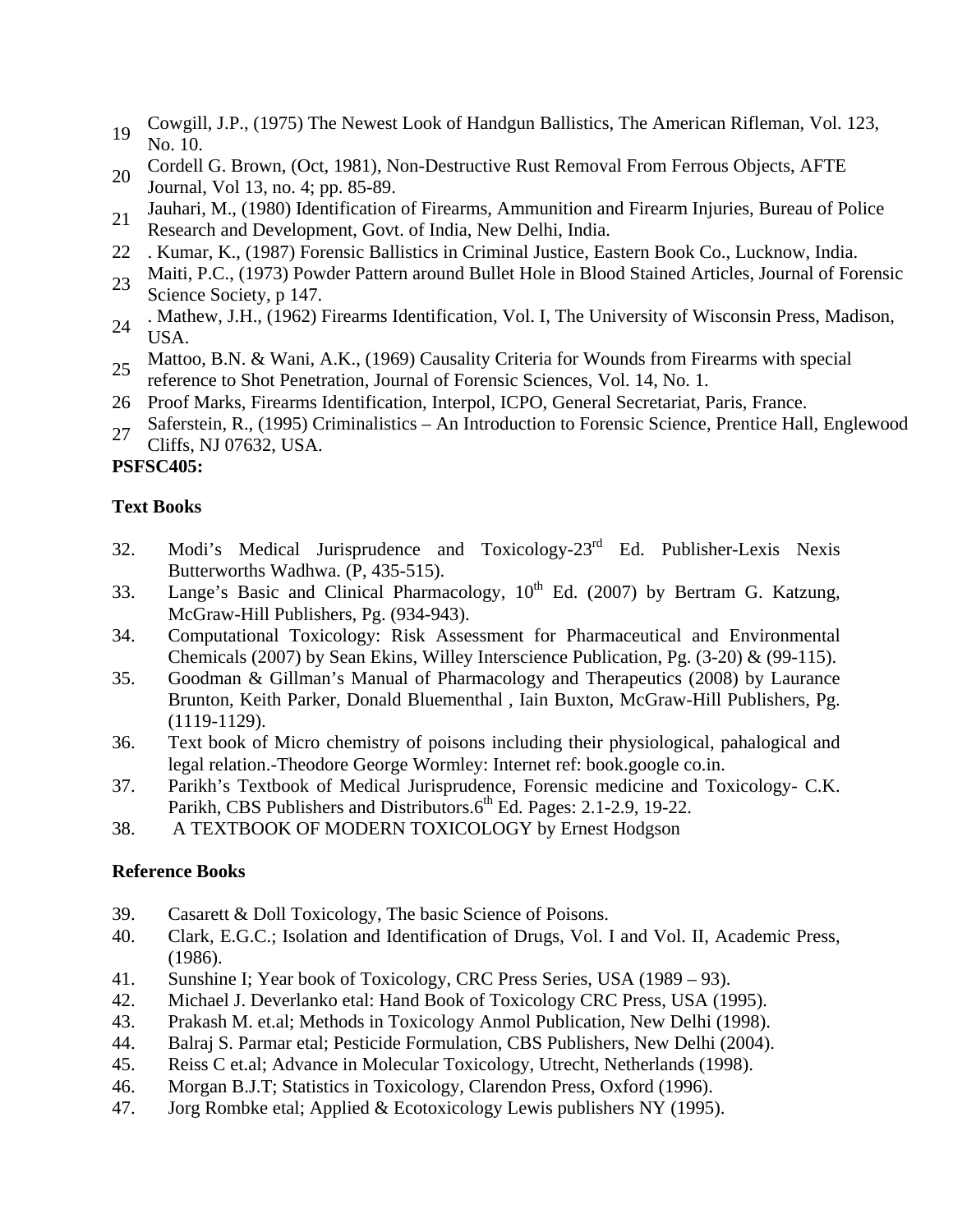- <sup>19</sup>Cowgill, J.P., (1975) The Newest Look of Handgun Ballistics, The American Rifleman, Vol. 123, No. 10.
- 20 Cordell G. Brown, (Oct, 1981), Non-Destructive Rust Removal From Ferrous Objects, AFTE Journal, Vol 13, no. 4; pp. 85-89.
- 21 Jauhari, M., (1980) Identification of Firearms, Ammunition and Firearm Injuries, Bureau of Police Research and Development, Govt. of India, New Delhi, India.
- 22 . Kumar, K., (1987) Forensic Ballistics in Criminal Justice, Eastern Book Co., Lucknow, India.
- 23 Maiti, P.C., (1973) Powder Pattern around Bullet Hole in Blood Stained Articles, Journal of Forensic Science Society, p 147.
- 24 . Mathew, J.H., (1962) Firearms Identification, Vol. I, The University of Wisconsin Press, Madison, USA.
- 25 Mattoo, B.N. & Wani, A.K., (1969) Causality Criteria for Wounds from Firearms with special reference to Shot Penetration, Journal of Forensic Sciences, Vol. 14, No. 1.
- 26 Proof Marks, Firearms Identification, Interpol, ICPO, General Secretariat, Paris, France.
- 27 Saferstein, R., (1995) Criminalistics An Introduction to Forensic Science, Prentice Hall, Englewood Cliffs, NJ 07632, USA.

#### **PSFSC405:**

#### **Text Books**

- 32. Modi's Medical Jurisprudence and Toxicology- $23<sup>rd</sup>$  Ed. Publisher-Lexis Nexis Butterworths Wadhwa. (P, 435-515).
- 33. Lange's Basic and Clinical Pharmacology,  $10^{th}$  Ed. (2007) by Bertram G. Katzung, McGraw-Hill Publishers, Pg. (934-943).
- 34. Computational Toxicology: Risk Assessment for Pharmaceutical and Environmental Chemicals (2007) by Sean Ekins, Willey Interscience Publication, Pg. (3-20) & (99-115).
- 35. Goodman & Gillman's Manual of Pharmacology and Therapeutics (2008) by Laurance Brunton, Keith Parker, Donald Bluementhal , Iain Buxton, McGraw-Hill Publishers, Pg. (1119-1129).
- 36. Text book of Micro chemistry of poisons including their physiological, pahalogical and legal relation.-Theodore George Wormley: Internet ref: book.google co.in.
- 37. Parikh's Textbook of Medical Jurisprudence, Forensic medicine and Toxicology- C.K. Parikh, CBS Publishers and Distributors. $6<sup>th</sup>$  Ed. Pages: 2.1-2.9, 19-22.
- 38. A TEXTBOOK OF MODERN TOXICOLOGY by Ernest Hodgson

#### **Reference Books**

- 39. Casarett & Doll Toxicology, The basic Science of Poisons.
- 40. Clark, E.G.C.; Isolation and Identification of Drugs, Vol. I and Vol. II, Academic Press, (1986).
- 41. Sunshine I; Year book of Toxicology, CRC Press Series, USA (1989 93).
- 42. Michael J. Deverlanko etal: Hand Book of Toxicology CRC Press, USA (1995).
- 43. Prakash M. et.al; Methods in Toxicology Anmol Publication, New Delhi (1998).
- 44. Balraj S. Parmar etal; Pesticide Formulation, CBS Publishers, New Delhi (2004).
- 45. Reiss C et.al; Advance in Molecular Toxicology, Utrecht, Netherlands (1998).
- 46. Morgan B.J.T; Statistics in Toxicology, Clarendon Press, Oxford (1996).
- 47. Jorg Rombke etal; Applied & Ecotoxicology Lewis publishers NY (1995).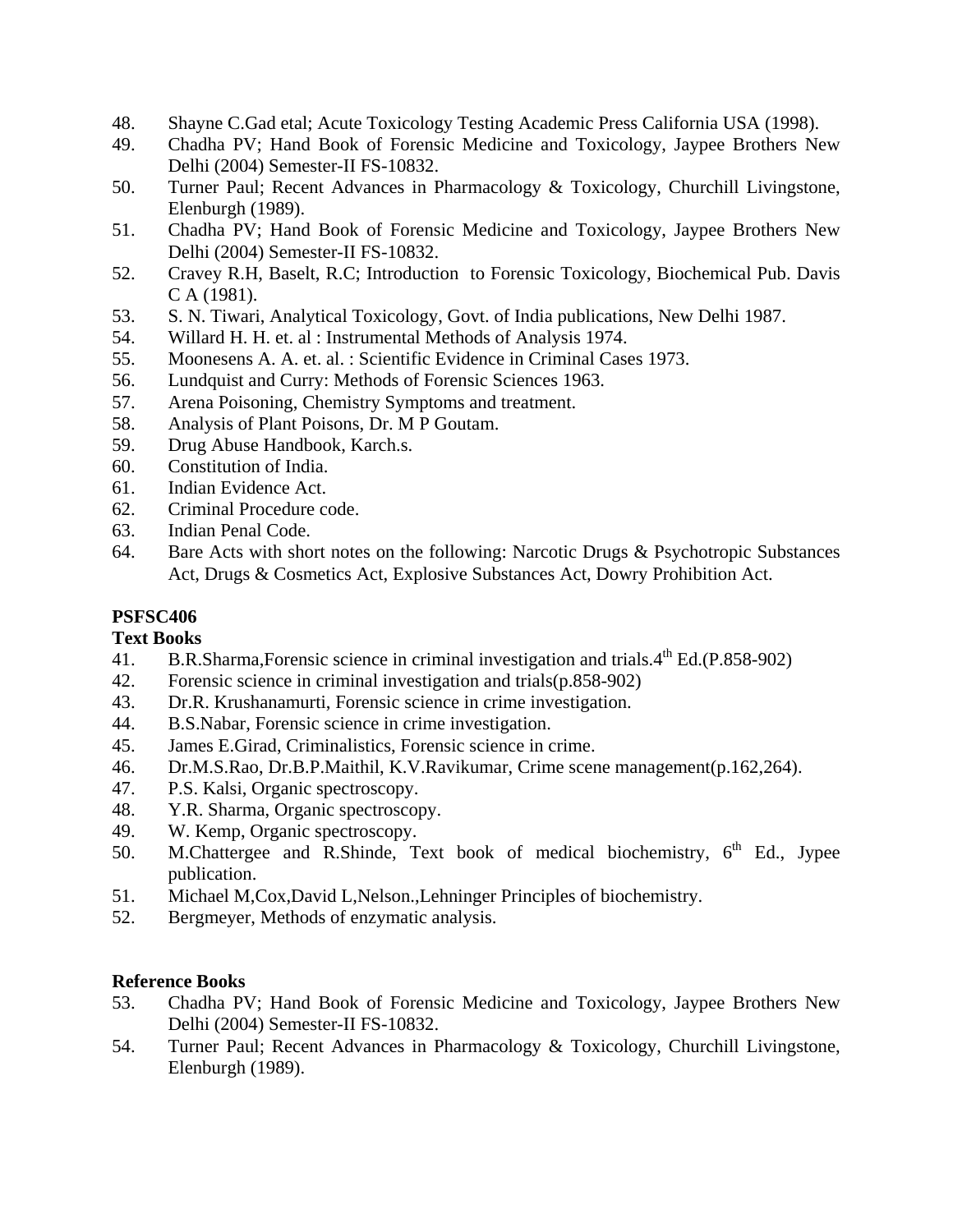- 48. Shayne C.Gad etal; Acute Toxicology Testing Academic Press California USA (1998).
- 49. Chadha PV; Hand Book of Forensic Medicine and Toxicology, Jaypee Brothers New Delhi (2004) Semester-II FS-10832.
- 50. Turner Paul; Recent Advances in Pharmacology & Toxicology, Churchill Livingstone, Elenburgh (1989).
- 51. Chadha PV; Hand Book of Forensic Medicine and Toxicology, Jaypee Brothers New Delhi (2004) Semester-II FS-10832.
- 52. Cravey R.H, Baselt, R.C; Introduction to Forensic Toxicology, Biochemical Pub. Davis C A (1981).
- 53. S. N. Tiwari, Analytical Toxicology, Govt. of India publications, New Delhi 1987.
- 54. Willard H. H. et. al : Instrumental Methods of Analysis 1974.
- 55. Moonesens A. A. et. al. : Scientific Evidence in Criminal Cases 1973.
- 56. Lundquist and Curry: Methods of Forensic Sciences 1963.
- 57. Arena Poisoning, Chemistry Symptoms and treatment.
- 58. Analysis of Plant Poisons, Dr. M P Goutam.
- 59. Drug Abuse Handbook, Karch.s.
- 60. Constitution of India.
- 61. Indian Evidence Act.
- 62. Criminal Procedure code.
- 63. Indian Penal Code.
- 64. Bare Acts with short notes on the following: Narcotic Drugs & Psychotropic Substances Act, Drugs & Cosmetics Act, Explosive Substances Act, Dowry Prohibition Act.

#### **PSFSC406**

#### **Text Books**

- 41. B.R.Sharma, Forensic science in criminal investigation and trials.  $4^{th}$  Ed.(P.858-902)
- 42. Forensic science in criminal investigation and trials(p.858-902)
- 43. Dr.R. Krushanamurti, Forensic science in crime investigation.
- 44. B.S.Nabar, Forensic science in crime investigation.
- 45. James E.Girad, Criminalistics, Forensic science in crime.
- 46. Dr.M.S.Rao, Dr.B.P.Maithil, K.V.Ravikumar, Crime scene management(p.162,264).
- 47. P.S. Kalsi, Organic spectroscopy.
- 48. Y.R. Sharma, Organic spectroscopy.
- 49. W. Kemp, Organic spectroscopy.
- 50. M.Chattergee and R.Shinde, Text book of medical biochemistry,  $6<sup>th</sup>$  Ed., Jypee publication.
- 51. Michael M,Cox,David L,Nelson.,Lehninger Principles of biochemistry.
- 52. Bergmeyer, Methods of enzymatic analysis.

#### **Reference Books**

- 53. Chadha PV; Hand Book of Forensic Medicine and Toxicology, Jaypee Brothers New Delhi (2004) Semester-II FS-10832.
- 54. Turner Paul; Recent Advances in Pharmacology & Toxicology, Churchill Livingstone, Elenburgh (1989).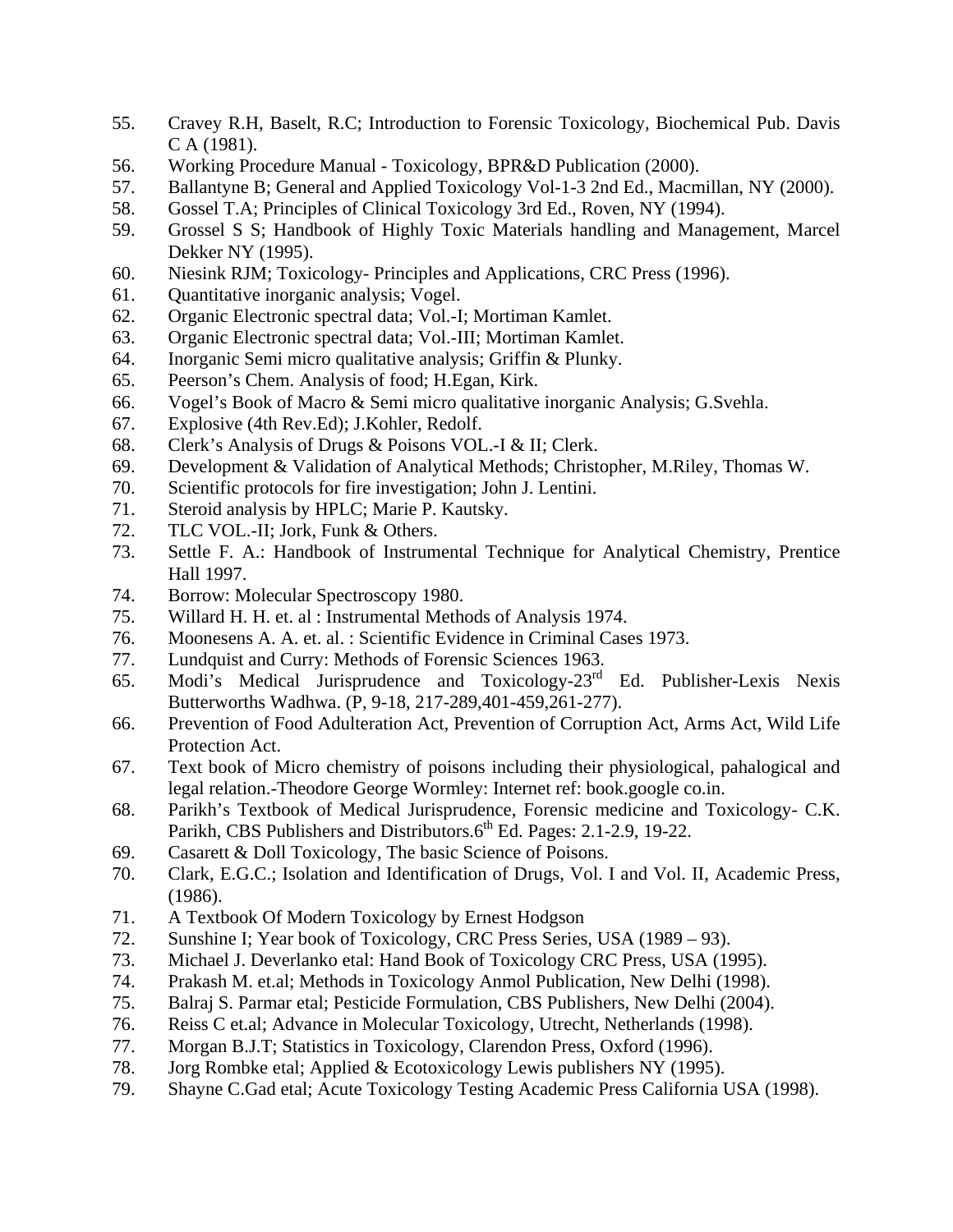- 55. Cravey R.H, Baselt, R.C; Introduction to Forensic Toxicology, Biochemical Pub. Davis C A (1981).
- 56. Working Procedure Manual Toxicology, BPR&D Publication (2000).
- 57. Ballantyne B; General and Applied Toxicology Vol-1-3 2nd Ed., Macmillan, NY (2000).
- 58. Gossel T.A; Principles of Clinical Toxicology 3rd Ed., Roven, NY (1994).
- 59. Grossel S S; Handbook of Highly Toxic Materials handling and Management, Marcel Dekker NY (1995).
- 60. Niesink RJM; Toxicology- Principles and Applications, CRC Press (1996).
- 61. Quantitative inorganic analysis; Vogel.
- 62. Organic Electronic spectral data; Vol.-I; Mortiman Kamlet.
- 63. Organic Electronic spectral data; Vol.-III; Mortiman Kamlet.
- 64. Inorganic Semi micro qualitative analysis; Griffin & Plunky.
- 65. Peerson's Chem. Analysis of food; H.Egan, Kirk.
- 66. Vogel's Book of Macro & Semi micro qualitative inorganic Analysis; G.Svehla.
- 67. Explosive (4th Rev.Ed); J.Kohler, Redolf.
- 68. Clerk's Analysis of Drugs & Poisons VOL.-I & II; Clerk.
- 69. Development & Validation of Analytical Methods; Christopher, M.Riley, Thomas W.
- 70. Scientific protocols for fire investigation; John J. Lentini.
- 71. Steroid analysis by HPLC; Marie P. Kautsky.
- 72. TLC VOL.-II; Jork, Funk & Others.
- 73. Settle F. A.: Handbook of Instrumental Technique for Analytical Chemistry, Prentice Hall 1997.
- 74. Borrow: Molecular Spectroscopy 1980.
- 75. Willard H. H. et. al : Instrumental Methods of Analysis 1974.
- 76. Moonesens A. A. et. al. : Scientific Evidence in Criminal Cases 1973.
- 77. Lundquist and Curry: Methods of Forensic Sciences 1963.
- 65. Modi's Medical Jurisprudence and Toxicology- $23<sup>rd</sup>$  Ed. Publisher-Lexis Nexis Butterworths Wadhwa. (P, 9-18, 217-289,401-459,261-277).
- 66. Prevention of Food Adulteration Act, Prevention of Corruption Act, Arms Act, Wild Life Protection Act.
- 67. Text book of Micro chemistry of poisons including their physiological, pahalogical and legal relation.-Theodore George Wormley: Internet ref: book.google co.in.
- 68. Parikh's Textbook of Medical Jurisprudence, Forensic medicine and Toxicology- C.K. Parikh, CBS Publishers and Distributors.6<sup>th</sup> Ed. Pages: 2.1-2.9, 19-22.
- 69. Casarett & Doll Toxicology, The basic Science of Poisons.
- 70. Clark, E.G.C.; Isolation and Identification of Drugs, Vol. I and Vol. II, Academic Press, (1986).
- 71. A Textbook Of Modern Toxicology by Ernest Hodgson
- 72. Sunshine I; Year book of Toxicology, CRC Press Series, USA (1989 93).
- 73. Michael J. Deverlanko etal: Hand Book of Toxicology CRC Press, USA (1995).
- 74. Prakash M. et.al; Methods in Toxicology Anmol Publication, New Delhi (1998).
- 75. Balraj S. Parmar etal; Pesticide Formulation, CBS Publishers, New Delhi (2004).
- 76. Reiss C et.al; Advance in Molecular Toxicology, Utrecht, Netherlands (1998).
- 77. Morgan B.J.T; Statistics in Toxicology, Clarendon Press, Oxford (1996).
- 78. Jorg Rombke etal; Applied & Ecotoxicology Lewis publishers NY (1995).
- 79. Shayne C.Gad etal; Acute Toxicology Testing Academic Press California USA (1998).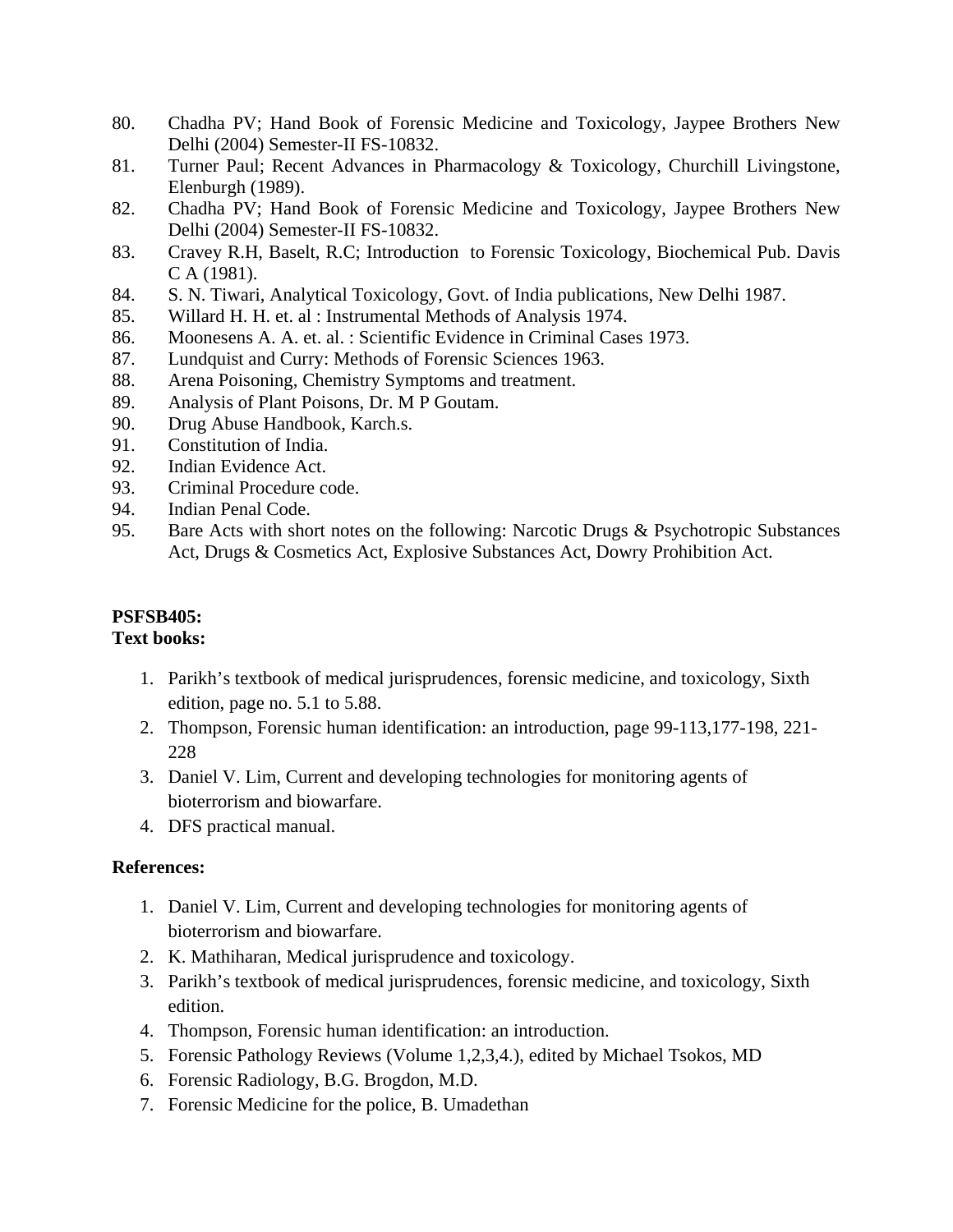- 80. Chadha PV; Hand Book of Forensic Medicine and Toxicology, Jaypee Brothers New Delhi (2004) Semester-II FS-10832.
- 81. Turner Paul; Recent Advances in Pharmacology & Toxicology, Churchill Livingstone, Elenburgh (1989).
- 82. Chadha PV; Hand Book of Forensic Medicine and Toxicology, Jaypee Brothers New Delhi (2004) Semester-II FS-10832.
- 83. Cravey R.H, Baselt, R.C; Introduction to Forensic Toxicology, Biochemical Pub. Davis C A (1981).
- 84. S. N. Tiwari, Analytical Toxicology, Govt. of India publications, New Delhi 1987.
- 85. Willard H. H. et. al : Instrumental Methods of Analysis 1974.
- 86. Moonesens A. A. et. al. : Scientific Evidence in Criminal Cases 1973.
- 87. Lundquist and Curry: Methods of Forensic Sciences 1963.
- 88. Arena Poisoning, Chemistry Symptoms and treatment.
- 89. Analysis of Plant Poisons, Dr. M P Goutam.
- 90. Drug Abuse Handbook, Karch.s.
- 91. Constitution of India.
- 92. Indian Evidence Act.
- 93. Criminal Procedure code.
- 94. Indian Penal Code.
- 95. Bare Acts with short notes on the following: Narcotic Drugs & Psychotropic Substances Act, Drugs & Cosmetics Act, Explosive Substances Act, Dowry Prohibition Act.

#### **PSFSB405:**

#### **Text books:**

- 1. Parikh's textbook of medical jurisprudences, forensic medicine, and toxicology, Sixth edition, page no. 5.1 to 5.88.
- 2. Thompson, Forensic human identification: an introduction, page 99-113,177-198, 221- 228
- 3. Daniel V. Lim, Current and developing technologies for monitoring agents of bioterrorism and biowarfare.
- 4. DFS practical manual.

#### **References:**

- 1. Daniel V. Lim, Current and developing technologies for monitoring agents of bioterrorism and biowarfare.
- 2. K. Mathiharan, Medical jurisprudence and toxicology.
- 3. Parikh's textbook of medical jurisprudences, forensic medicine, and toxicology, Sixth edition.
- 4. Thompson, Forensic human identification: an introduction.
- 5. Forensic Pathology Reviews (Volume 1,2,3,4.), edited by Michael Tsokos, MD
- 6. Forensic Radiology, B.G. Brogdon, M.D.
- 7. Forensic Medicine for the police, B. Umadethan